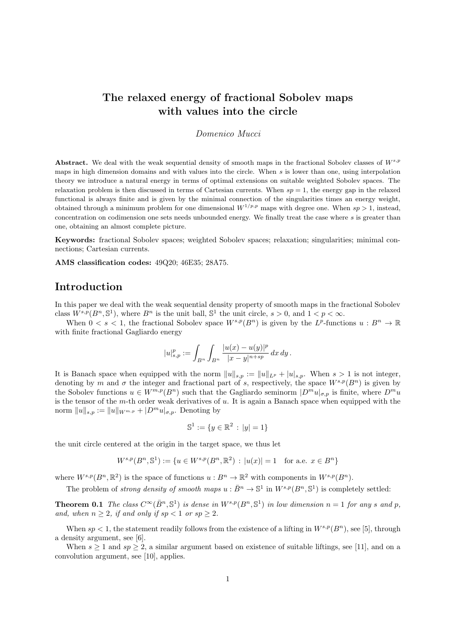# **The relaxed energy of fractional Sobolev maps with values into the circle**

#### *Domenico Mucci*

**Abstract.** We deal with the weak sequential density of smooth maps in the fractional Sobolev classes of *Ws,p* maps in high dimension domains and with values into the circle. When *s* is lower than one, using interpolation theory we introduce a natural energy in terms of optimal extensions on suitable weighted Sobolev spaces. The relaxation problem is then discussed in terms of Cartesian currents. When  $sp = 1$ , the energy gap in the relaxed functional is always finite and is given by the minimal connection of the singularities times an energy weight, obtained through a minimum problem for one dimensional  $W^{1/p,p}$  maps with degree one. When  $sp > 1$ , instead, concentration on codimension one sets needs unbounded energy. We finally treat the case where *s* is greater than one, obtaining an almost complete picture.

**Keywords:** fractional Sobolev spaces; weighted Sobolev spaces; relaxation; singularities; minimal connections; Cartesian currents.

**AMS classification codes:** 49Q20; 46E35; 28A75.

## **Introduction**

In this paper we deal with the weak sequential density property of smooth maps in the fractional Sobolev class  $W^{s,p}(B^n, \mathbb{S}^1)$ , where  $B^n$  is the unit ball,  $\mathbb{S}^1$  the unit circle,  $s > 0$ , and  $1 < p < \infty$ .

When  $0 < s < 1$ , the fractional Sobolev space  $W^{s,p}(B^n)$  is given by the  $L^p$ -functions  $u : B^n \to \mathbb{R}$ with finite fractional Gagliardo energy

$$
|u|_{s,p}^p:=\int_{B^n}\int_{B^n}\frac{|u(x)-u(y)|^p}{|x-y|^{n+sp}}\,dx\,dy\,.
$$

It is Banach space when equipped with the norm  $||u||_{s,p} := ||u||_{L^p} + |u|_{s,p}$ . When  $s > 1$  is not integer, denoting by *m* and  $\sigma$  the integer and fractional part of *s*, respectively, the space  $W^{s,p}(B^n)$  is given by the Sobolev functions  $u \in W^{m,p}(B^n)$  such that the Gagliardo seminorm  $|D^m u|_{\sigma,p}$  is finite, where  $D^m u$ is the tensor of the *m*-th order weak derivatives of *u*. It is again a Banach space when equipped with the norm  $||u||_{s,p} := ||u||_{W^{m,p}} + |D^m u|_{\sigma,p}$ . Denoting by

$$
\mathbb{S}^1 := \{ y \in \mathbb{R}^2 \, : \, |y| = 1 \}
$$

the unit circle centered at the origin in the target space, we thus let

$$
W^{s,p}(B^n, \mathbb{S}^1) := \{ u \in W^{s,p}(B^n, \mathbb{R}^2) : |u(x)| = 1 \text{ for a.e. } x \in B^n \}
$$

where  $W^{s,p}(B^n, \mathbb{R}^2)$  is the space of functions  $u : B^n \to \mathbb{R}^2$  with components in  $W^{s,p}(B^n)$ .

The problem of *strong density of smooth maps*  $u : \overline{B}^n \to \mathbb{S}^1$  in  $W^{s,p}(B^n, \mathbb{S}^1)$  is completely settled:

**Theorem 0.1** The class  $C^{\infty}(\bar{B}^n, \mathbb{S}^1)$  is dense in  $W^{s,p}(B^n, \mathbb{S}^1)$  in low dimension  $n = 1$  for any s and p, *and, when*  $n \geq 2$ *, if and only if*  $sp < 1$  *or*  $sp \geq 2$ *.* 

When  $sp < 1$ , the statement readily follows from the existence of a lifting in  $W^{s,p}(B^n)$ , see [5], through a density argument, see [6].

When  $s \geq 1$  and  $sp \geq 2$ , a similar argument based on existence of suitable liftings, see [11], and on a convolution argument, see [10], applies.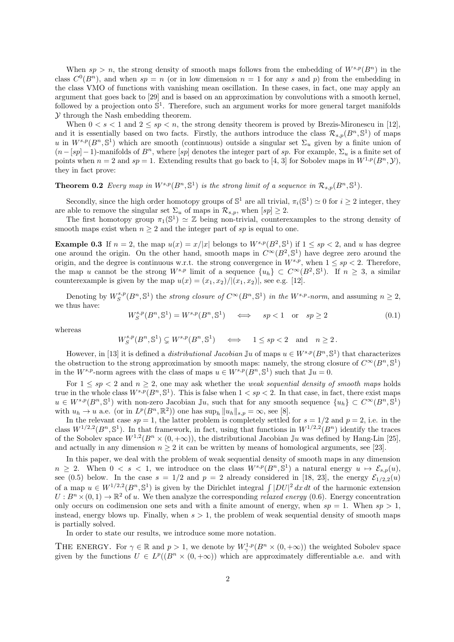When  $sp > n$ , the strong density of smooth maps follows from the embedding of  $W^{s,p}(B^n)$  in the class  $C^0(B^n)$ , and when  $sp = n$  (or in low dimension  $n = 1$  for any *s* and *p*) from the embedding in the class VMO of functions with vanishing mean oscillation. In these cases, in fact, one may apply an argument that goes back to [29] and is based on an approximation by convolutions with a smooth kernel, followed by a projection onto  $\mathbb{S}^1$ . Therefore, such an argument works for more general target manifolds *Y* through the Nash embedding theorem.

When  $0 < s < 1$  and  $2 \le sp < n$ , the strong density theorem is proved by Brezis-Mironescu in [12], and it is essentially based on two facts. Firstly, the authors introduce the class  $\mathcal{R}_{s,p}(B^n, \mathbb{S}^1)$  of maps *u* in  $W^{s,p}(B^n, \mathbb{S}^1)$  which are smooth (continuous) outside a singular set  $\Sigma_u$  given by a finite union of  $(n-[sp]-1)$ -manifolds of  $B^n$ , where [*sp*] denotes the integer part of *sp*. For example,  $\Sigma_u$  is a finite set of points when  $n = 2$  and  $sp = 1$ . Extending results that go back to [4, 3] for Sobolev maps in  $W^{1,p}(B^n, \mathcal{Y})$ , they in fact prove:

#### **Theorem 0.2** *Every map in*  $W^{s,p}(B^n, \mathbb{S}^1)$  *is the strong limit of a sequence in*  $\mathcal{R}_{s,p}(B^n, \mathbb{S}^1)$ *.*

Secondly, since the high order homotopy groups of  $\mathbb{S}^1$  are all trivial,  $\pi_i(\mathbb{S}^1) \simeq 0$  for  $i \geq 2$  integer, they are able to remove the singular set  $\Sigma_u$  of maps in  $\mathcal{R}_{s,p}$ , when  $[sp] \geq 2$ .

The first homotopy group  $\pi_1(\mathbb{S}^1) \simeq \mathbb{Z}$  being non-trivial, counterexamples to the strong density of smooth maps exist when  $n \geq 2$  and the integer part of *sp* is equal to one.

**Example 0.3** If  $n = 2$ , the map  $u(x) = x/|x|$  belongs to  $W^{s,p}(B^2, \mathbb{S}^1)$  if  $1 \le sp < 2$ , and *u* has degree one around the origin. On the other hand, smooth maps in  $C^{\infty}(B^2, \mathbb{S}^1)$  have degree zero around the origin, and the degree is continuous w.r.t. the strong convergence in  $W^{s,p}$ , when  $1 \leq sp < 2$ . Therefore, the map *u* cannot be the strong  $W^{s,p}$  limit of a sequence  $\{u_h\} \subset C^\infty(B^2, \mathbb{S}^1)$ . If  $n \geq 3$ , a similar counterexample is given by the map  $u(x) = (x_1, x_2) / |(x_1, x_2)|$ , see e.g. [12].

Denoting by  $W_S^{s,p}(B^n, \mathbb{S}^1)$  the *strong closure of*  $C^{\infty}(B^n, \mathbb{S}^1)$  in the  $W^{s,p}$ -norm, and assuming  $n \geq 2$ , we thus have:

$$
W_S^{s,p}(B^n, \mathbb{S}^1) = W^{s,p}(B^n, \mathbb{S}^1) \quad \iff \quad sp < 1 \quad \text{or} \quad sp \ge 2 \tag{0.1}
$$

whereas

$$
W^{s,p}_S(B^n,\mathbb{S}^1)\subsetneq W^{s,p}(B^n,\mathbb{S}^1)\quad\iff\quad 1\leq sp<2\quad\text{and}\quad n\geq 2\,.
$$

However, in [13] it is defined a *distributional Jacobian* Ju of maps  $u \in W^{s,p}(B^n, \mathbb{S}^1)$  that characterizes the obstruction to the strong approximation by smooth maps: namely, the strong closure of  $C^{\infty}(B^n, \mathbb{S}^1)$ in the  $W^{s,p}$ -norm agrees with the class of maps  $u \in W^{s,p}(B^n, \mathbb{S}^1)$  such that  $\mathbb{J}u = 0$ .

For  $1 \leq sp < 2$  and  $n \geq 2$ , one may ask whether the *weak sequential density of smooth maps* holds true in the whole class  $W^{s,p}(B^n, \mathbb{S}^1)$ . This is false when  $1 < sp < 2$ . In that case, in fact, there exist maps  $u \in W^{s,p}(B^n, \mathbb{S}^1)$  with non-zero Jacobian J<sub>u</sub>, such that for any smooth sequence  $\{u_h\} \subset C^{\infty}(B^n, \mathbb{S}^1)$ with  $u_h \to u$  a.e. (or in  $L^p(B^n, \mathbb{R}^2)$ ) one has  $\sup_h \|u_h\|_{s,p} = \infty$ , see [8].

In the relevant case  $sp = 1$ , the latter problem is completely settled for  $s = 1/2$  and  $p = 2$ , i.e. in the class  $W^{1/2,2}(B^n, \mathbb{S}^1)$ . In that framework, in fact, using that functions in  $W^{1/2,2}(B^n)$  identify the traces of the Sobolev space  $W^{1,2}(B^n \times (0, +\infty))$ , the distributional Jacobian Ju was defined by Hang-Lin [25], and actually in any dimension  $n \geq 2$  it can be written by means of homological arguments, see [23].

In this paper, we deal with the problem of weak sequential density of smooth maps in any dimension  $n \geq 2$ . When  $0 \leq s \leq 1$ , we introduce on the class  $W^{s,p}(B^n, \mathbb{S}^1)$  a natural energy  $u \mapsto \mathcal{E}_{s,p}(u)$ , see (0.5) below. In the case  $s = 1/2$  and  $p = 2$  already considered in [18, 23], the energy  $\mathcal{E}_{1/2,2}(u)$ of a map  $u \in W^{1/2,2}(B^n, \mathbb{S}^1)$  is given by the Dirichlet integral  $\int |DU|^2 dx dt$  of the harmonic extension  $U: B<sup>n</sup> \times (0,1) \to \mathbb{R}^2$  of *u*. We then analyze the corresponding *relaxed energy* (0.6). Energy concentration only occurs on codimension one sets and with a finite amount of energy, when  $sp = 1$ . When  $sp > 1$ , instead, energy blows up. Finally, when  $s > 1$ , the problem of weak sequential density of smooth maps is partially solved.

In order to state our results, we introduce some more notation.

THE ENERGY. For  $\gamma \in \mathbb{R}$  and  $p > 1$ , we denote by  $W^{1,p}_\gamma(B^n \times (0, +\infty))$  the weighted Sobolev space given by the functions  $U \in L^p((B^n \times (0, +\infty))$  which are approximately differentiable a.e. and with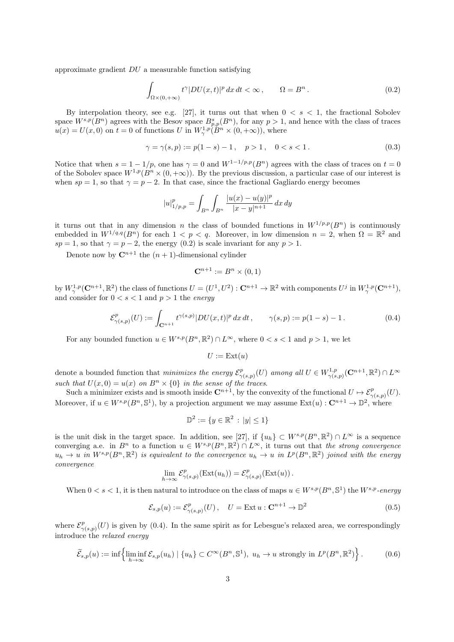approximate gradient *DU* a measurable function satisfying

$$
\int_{\Omega \times (0, +\infty)} t^{\gamma} |DU(x, t)|^p dx dt < \infty, \qquad \Omega = B^n.
$$
\n(0.2)

By interpolation theory, see e.g. [27], it turns out that when 0 *< s <* 1, the fractional Sobolev space  $W^{s,p}(B^n)$  agrees with the Besov space  $B^s_{p,p}(B^n)$ , for any  $p > 1$ , and hence with the class of traces  $u(x) = U(x,0)$  on  $t = 0$  of functions *U* in  $W^{1,p}_{\gamma}(\hat{B}^n \times (0,+\infty))$ , where

$$
\gamma = \gamma(s, p) := p(1 - s) - 1, \quad p > 1, \quad 0 < s < 1.
$$
\n(0.3)

Notice that when  $s = 1 - 1/p$ , one has  $\gamma = 0$  and  $W^{1-1/p,p}(B^n)$  agrees with the class of traces on  $t = 0$ of the Sobolev space  $W^{1,p}(B^n \times (0, +\infty))$ . By the previous discussion, a particular case of our interest is when  $sp = 1$ , so that  $\gamma = p - 2$ . In that case, since the fractional Gagliardo energy becomes

$$
|u|_{1/p,p}^p = \int_{B^n} \int_{B^n} \frac{|u(x) - u(y)|^p}{|x - y|^{n+1}} dx dy
$$

it turns out that in any dimension *n* the class of bounded functions in  $W^{1/p,p}(B^n)$  is continuously embedded in  $W^{1/q,q}(B^n)$  for each  $1 < p < q$ . Moreover, in low dimension  $n = 2$ , when  $\Omega = \mathbb{R}^2$  and  $sp = 1$ , so that  $\gamma = p - 2$ , the energy (0.2) is scale invariant for any  $p > 1$ .

Denote now by  $\mathbb{C}^{n+1}$  the  $(n+1)$ -dimensional cylinder

$$
\mathbf{C}^{n+1} := B^n \times (0,1)
$$

by  $W^{1,p}_{\gamma}(\mathbb{C}^{n+1},\mathbb{R}^2)$  the class of functions  $U=(U^1,U^2):\mathbb{C}^{n+1}\to\mathbb{R}^2$  with components  $U^j$  in  $W^{1,p}_{\gamma}(\mathbb{C}^{n+1}),$ and consider for  $0 < s < 1$  and  $p > 1$  the *energy* 

$$
\mathcal{E}^p_{\gamma(s,p)}(U) := \int_{\mathbf{C}^{n+1}} t^{\gamma(s,p)} |DU(x,t)|^p \, dx \, dt \,, \qquad \gamma(s,p) := p(1-s) - 1 \,. \tag{0.4}
$$

For any bounded function  $u \in W^{s,p}(B^n,\mathbb{R}^2) \cap L^{\infty}$ , where  $0 < s < 1$  and  $p > 1$ , we let

$$
U := \mathrm{Ext}(u)
$$

denote a bounded function that *minimizes the energy*  $\mathcal{E}_{\infty}^p$  $v_{\gamma(s,p)}^p(U)$  *among all*  $U \in W_{\gamma(s,p)}^{1,p}$ *γ*(*s,p*) (**C***n*+1 *,* R 2 ) *∩ L<sup>∞</sup> such that*  $U(x, 0) = u(x)$  *on*  $B<sup>n</sup> \times \{0\}$  *in the sense of the traces.* 

Such a minimizer exists and is smooth inside  $\mathbb{C}^{n+1}$ , by the convexity of the functional  $U \mapsto \mathcal{E}^p_{\gamma(s,p)}(U)$ . Moreover, if  $u \in W^{s,p}(B^n, \mathbb{S}^1)$ , by a projection argument we may assume  $Ext(u): \mathbb{C}^{n+1} \to \mathbb{D}^2$ , where

$$
\mathbb{D}^2 := \{ y \in \mathbb{R}^2 \, : \, |y| \le 1 \}
$$

is the unit disk in the target space. In addition, see [27], if  $\{u_h\} \subset W^{s,p}(B^n,\mathbb{R}^2) \cap L^\infty$  is a sequence converging a.e. in  $B^n$  to a function  $u \in W^{s,p}(B^n,\mathbb{R}^2) \cap L^\infty$ , it turns out that *the strong convergence*  $u_h \to u$  in  $W^{s,p}(B^n,\mathbb{R}^2)$  is equivalent to the convergence  $u_h \to u$  in  $L^p(B^n,\mathbb{R}^2)$  joined with the energy *convergence*

$$
\lim_{h \to \infty} \mathcal{E}^p_{\gamma(s,p)}(\text{Ext}(u_h)) = \mathcal{E}^p_{\gamma(s,p)}(\text{Ext}(u)).
$$

When  $0 < s < 1$ , it is then natural to introduce on the class of maps  $u \in W^{s,p}(B^n, \mathbb{S}^1)$  the  $W^{s,p}$ -energy

$$
\mathcal{E}_{s,p}(u) := \mathcal{E}^p_{\gamma(s,p)}(U), \quad U = \text{Ext } u : \mathbf{C}^{n+1} \to \mathbb{D}^2
$$
\n(0.5)

where  $\mathcal{E}^p_{\gamma}$  $\gamma_{(s,p)}(U)$  is given by (0.4). In the same spirit as for Lebesgue's relaxed area, we correspondingly introduce the *relaxed energy*

$$
\widetilde{\mathcal{E}}_{s,p}(u) := \inf \left\{ \liminf_{h \to \infty} \mathcal{E}_{s,p}(u_h) \mid \{u_h\} \subset C^{\infty}(B^n, \mathbb{S}^1), \ u_h \to u \text{ strongly in } L^p(B^n, \mathbb{R}^2) \right\}.
$$
 (0.6)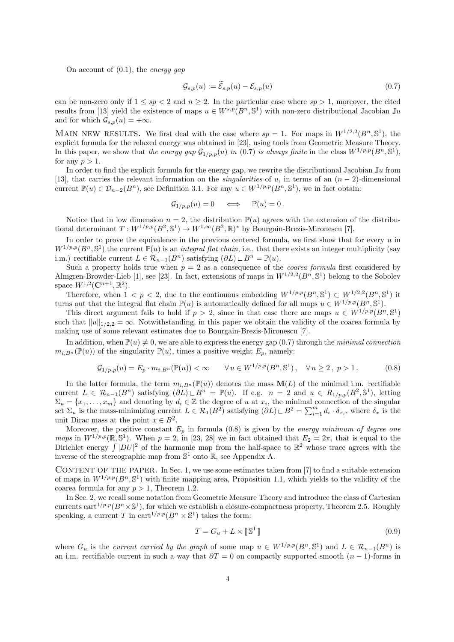On account of (0.1), the *energy gap*

$$
\mathcal{G}_{s,p}(u) := \tilde{\mathcal{E}}_{s,p}(u) - \mathcal{E}_{s,p}(u) \tag{0.7}
$$

can be non-zero only if  $1 \leq sp < 2$  and  $n \geq 2$ . In the particular case where  $sp > 1$ , moreover, the cited results from [13] yield the existence of maps  $u \in W^{s,p}(B^n, \mathbb{S}^1)$  with non-zero distributional Jacobian Ju and for which  $\mathcal{G}_{s,p}(u) = +\infty$ .

MAIN NEW RESULTS. We first deal with the case where  $sp = 1$ . For maps in  $W^{1/2,2}(B^n, \mathbb{S}^1)$ , the explicit formula for the relaxed energy was obtained in [23], using tools from Geometric Measure Theory. In this paper, we show that *the energy gap*  $\mathcal{G}_{1/p,p}(u)$  *in* (0.7) *is always finite* in the class  $W^{1/p,p}(B^n, \mathbb{S}^1)$ , for any  $p > 1$ .

In order to find the explicit formula for the energy gap, we rewrite the distributional Jacobian J*u* from [13], that carries the relevant information on the *singularities* of *u*, in terms of an  $(n-2)$ -dimensional current  $\mathbb{P}(u) \in \mathcal{D}_{n-2}(B^n)$ , see Definition 3.1. For any  $u \in W^{1/p,p}(B^n, \mathbb{S}^1)$ , we in fact obtain:

$$
\mathcal{G}_{1/p,p}(u) = 0 \quad \iff \quad \mathbb{P}(u) = 0 \, .
$$

Notice that in low dimension  $n = 2$ , the distribution  $\mathbb{P}(u)$  agrees with the extension of the distributional determinant  $T: W^{1/p,p}(B^2, \mathbb{S}^1) \to W^{1,\infty}(B^2, \mathbb{R})^*$  by Bourgain-Brezis-Mironescu [7].

In order to prove the equivalence in the previous centered formula, we first show that for every *u* in  $W^{1/p,p}(B^n, \mathbb{S}^1)$  the current  $\mathbb{P}(u)$  is an *integral flat chain*, i.e., that there exists an integer multiplicity (say i.m.) rectifiable current *L* ∈  $\mathcal{R}_{n-1}(B^n)$  satisfying  $(\partial L) \sqcup B^n = \mathbb{P}(u)$ .

Such a property holds true when  $p = 2$  as a consequence of the *coarea formula* first considered by Almgren-Browder-Lieb [1], see [23]. In fact, extensions of maps in  $W^{1/2,2}(B^n, \mathbb{S}^1)$  belong to the Sobolev space  $W^{1,2}(\mathbf{C}^{n+1}, \mathbb{R}^2)$ .

Therefore, when  $1 < p < 2$ , due to the continuous embedding  $W^{1/p,p}(B^n, \mathbb{S}^1) \subset W^{1/2,2}(B^n, \mathbb{S}^1)$  it turns out that the integral flat chain  $\mathbb{P}(u)$  is automatically defined for all maps  $u \in W^{1/p,p}(B^n, \mathbb{S}^1)$ .

This direct argument fails to hold if  $p > 2$ , since in that case there are maps  $u \in W^{1/p,p}(B^n, \mathbb{S}^1)$ such that  $||u||_{1/2,2} = \infty$ . Notwithstanding, in this paper we obtain the validity of the coarea formula by making use of some relevant estimates due to Bourgain-Brezis-Mironescu [7].

In addition, when  $\mathbb{P}(u) \neq 0$ , we are able to express the energy gap (0.7) through the *minimal connection*  $m_{i,B^n}(\mathbb{P}(u))$  of the singularity  $\mathbb{P}(u)$ , times a positive weight  $E_p$ , namely:

$$
\mathcal{G}_{1/p,p}(u) = E_p \cdot m_{i,B^n}(\mathbb{P}(u)) < \infty \qquad \forall \, u \in W^{1/p,p}(B^n, \mathbb{S}^1), \quad \forall \, n \ge 2, \ p > 1. \tag{0.8}
$$

In the latter formula, the term  $m_{i,B^n}(\mathbb{P}(u))$  denotes the mass  $\mathbf{M}(L)$  of the minimal i.m. rectifiable current  $L \in \mathcal{R}_{n-1}(B^n)$  satisfying  $(\partial L) \cup B^n = \mathbb{P}(u)$ . If e.g.  $n = 2$  and  $u \in R_{1/p,p}(B^2, \mathbb{S}^1)$ , letting  $\Sigma_u = \{x_1, \ldots, x_m\}$  and denoting by  $d_i \in \mathbb{Z}$  the degree of *u* at  $x_i$ , the minimal connection of the singular set  $\Sigma_u$  is the mass-minimizing current  $L \in \mathcal{R}_1(B^2)$  satisfying  $(\partial L) \cup B^2 = \sum_{i=1}^m d_i \cdot \delta_{x_i}$ , where  $\delta_x$  is the unit Dirac mass at the point  $x \in B^2$ .

Moreover, the positive constant *E<sup>p</sup>* in formula (0.8) is given by the *energy minimum of degree one maps* in  $W^{1/p,p}(\mathbb{R}, \mathbb{S}^1)$ . When  $p = 2$ , in [23, 28] we in fact obtained that  $E_2 = 2\pi$ , that is equal to the Dirichlet energy  $\int |DU|^2$  of the harmonic map from the half-space to  $\mathbb{R}^2$  whose trace agrees with the inverse of the stereographic map from  $\mathbb{S}^1$  onto  $\mathbb{R}$ , see Appendix A.

CONTENT OF THE PAPER. In Sec. 1, we use some estimates taken from [7] to find a suitable extension of maps in  $W^{1/p,p}(B^n, \mathbb{S}^1)$  with finite mapping area, Proposition 1.1, which yields to the validity of the coarea formula for any  $p > 1$ , Theorem 1.2.

In Sec. 2, we recall some notation from Geometric Measure Theory and introduce the class of Cartesian currents cart<sup>1/p,p</sup>( $B<sup>n</sup> \times \mathbb{S}$ <sup>1</sup>), for which we establish a closure-compactness property, Theorem 2.5. Roughly speaking, a current *T* in cart<sup> $1/p,p$ </sup>( $B<sup>n</sup> \times \mathbb{S}<sup>1</sup>$ ) takes the form:

$$
T = G_u + L \times \llbracket \mathbb{S}^1 \rrbracket \tag{0.9}
$$

where  $G_u$  is the *current carried by the graph* of some map  $u \in W^{1/p,p}(B^n, \mathbb{S}^1)$  and  $L \in \mathcal{R}_{n-1}(B^n)$  is an i.m. rectifiable current in such a way that *∂T* = 0 on compactly supported smooth (*n −* 1)-forms in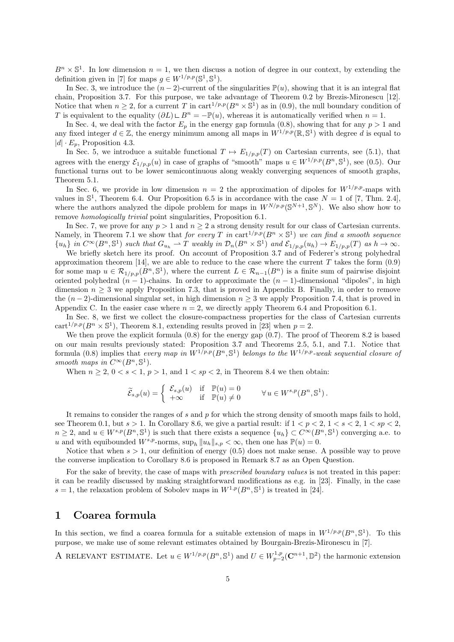$B<sup>n</sup> \times \mathbb{S}^{1}$ . In low dimension  $n = 1$ , we then discuss a notion of degree in our context, by extending the definition given in [7] for maps  $g \in W^{1/p,p}(\mathbb{S}^1, \mathbb{S}^1)$ .

In Sec. 3, we introduce the  $(n-2)$ -current of the singularities  $\mathbb{P}(u)$ , showing that it is an integral flat chain, Proposition 3.7. For this purpose, we take advantage of Theorem 0.2 by Brezis-Mironescu [12]. Notice that when  $n \geq 2$ , for a current *T* in cart<sup>1/p,p</sup>( $B<sup>n</sup> \times \mathbb{S}<sup>1</sup>$ ) as in (0.9), the null boundary condition of *T* is equivalent to the equality  $(\partial L) \cup B^n = -\mathbb{P}(u)$ , whereas it is automatically verified when  $n = 1$ .

In Sec. 4, we deal with the factor  $E_p$  in the energy gap formula (0.8), showing that for any  $p > 1$  and any fixed integer  $d \in \mathbb{Z}$ , the energy minimum among all maps in  $W^{1/p,p}(\mathbb{R}, \mathbb{S}^1)$  with degree d is equal to  $|d| \cdot E_p$ , Proposition 4.3.

In Sec. 5, we introduce a suitable functional  $T \mapsto E_{1/p,p}(T)$  on Cartesian currents, see (5.1), that agrees with the energy  $\mathcal{E}_{1/p,p}(u)$  in case of graphs of "smooth" maps  $u \in W^{1/p,p}(B^n, \mathbb{S}^1)$ , see (0.5). Our functional turns out to be lower semicontinuous along weakly converging sequences of smooth graphs, Theorem 5.1.

In Sec. 6, we provide in low dimension  $n = 2$  the approximation of dipoles for  $W^{1/p,p}$ -maps with values in  $\mathbb{S}^1$ , Theorem 6.4. Our Proposition 6.5 is in accordance with the case  $N = 1$  of [7, Thm. 2.4], where the authors analyzed the dipole problem for maps in  $W^{N/p,p}(\mathbb{S}^{N+1},\mathbb{S}^N)$ . We also show how to remove *homologically trivial* point singularities, Proposition 6.1.

In Sec. 7, we prove for any *p >* 1 and *n ≥* 2 a strong density result for our class of Cartesian currents. Namely, in Theorem 7.1 we show that *for every T in* cart<sup>1/p,p</sup>( $B<sup>n</sup> \times \mathbb{S}$ <sup>1</sup>) we can find a smooth sequence  ${u_h}$  in  $C^{\infty}(B^n, \mathbb{S}^1)$  such that  $G_{u_h} \rightharpoonup T$  weakly in  $\mathcal{D}_n(B^n \times \mathbb{S}^1)$  and  $\mathcal{E}_{1/p,p}(u_h) \rightharpoonup E_{1/p,p}(T)$  as  $h \to \infty$ .

We briefly sketch here its proof. On account of Proposition 3.7 and of Federer's strong polyhedral approximation theorem [14], we are able to reduce to the case where the current *T* takes the form (0.9) for some map  $u \in \mathcal{R}_{1/p,p}(B^n, \mathbb{S}^1)$ , where the current  $L \in \mathcal{R}_{n-1}(B^n)$  is a finite sum of pairwise disjoint oriented polyhedral  $(n-1)$ -chains. In order to approximate the  $(n-1)$ -dimensional "dipoles", in high dimension  $n \geq 3$  we apply Proposition 7.3, that is proved in Appendix B. Finally, in order to remove the  $(n-2)$ -dimensional singular set, in high dimension  $n \geq 3$  we apply Proposition 7.4, that is proved in Appendix C. In the easier case where  $n = 2$ , we directly apply Theorem 6.4 and Proposition 6.1.

In Sec. 8, we first we collect the closure-compactness properties for the class of Cartesian currents cart<sup>1/p,p</sup>( $B<sup>n</sup> \times \mathbb{S}$ <sup>1</sup>), Theorem 8.1, extending results proved in [23] when  $p = 2$ .

We then prove the explicit formula  $(0.8)$  for the energy gap  $(0.7)$ . The proof of Theorem 8.2 is based on our main results previously stated: Proposition 3.7 and Theorems 2.5, 5.1, and 7.1. Notice that formula  $(0.8)$  implies that *every map in*  $W^{1/p,p}(B^n, \mathbb{S}^1)$  *belongs to the*  $W^{1/p,p}$ *-weak sequential closure of smooth maps in*  $C^{\infty}(B^n, \mathbb{S}^1)$ .

When  $n \geq 2$ ,  $0 \leq s \leq 1$ ,  $p > 1$ , and  $1 \leq sp \leq 2$ , in Theorem 8.4 we then obtain:

$$
\widetilde{\mathcal{E}}_{s,p}(u) = \begin{cases} \ \mathcal{E}_{s,p}(u) & \text{if} \quad \mathbb{P}(u) = 0 \\ +\infty & \text{if} \quad \mathbb{P}(u) \neq 0 \end{cases} \qquad \forall \, u \in W^{s,p}(B^n,\mathbb{S}^1) \, .
$$

It remains to consider the ranges of *s* and *p* for which the strong density of smooth maps fails to hold, see Theorem 0.1, but  $s > 1$ . In Corollary 8.6, we give a partial result: if  $1 < p < 2$ ,  $1 < s < 2$ ,  $1 < sp < 2$ ,  $n \geq 2$ , and  $u \in W^{s,p}(B^n, \mathbb{S}^1)$  is such that there exists a sequence  $\{u_h\} \subset C^{\infty}(B^n, \mathbb{S}^1)$  converging a.e. to *u* and with equibounded  $W^{s,p}$ -norms,  $\sup_h \|u_h\|_{s,p} < \infty$ , then one has  $\mathbb{P}(u) = 0$ .

Notice that when  $s > 1$ , our definition of energy  $(0.5)$  does not make sense. A possible way to prove the converse implication to Corollary 8.6 is proposed in Remark 8.7 as an Open Question.

For the sake of brevity, the case of maps with *prescribed boundary values* is not treated in this paper: it can be readily discussed by making straightforward modifications as e.g. in [23]. Finally, in the case  $s = 1$ , the relaxation problem of Sobolev maps in  $W^{1,p}(B^n, \mathbb{S}^1)$  is treated in [24].

#### **1 Coarea formula**

In this section, we find a coarea formula for a suitable extension of maps in  $W^{1/p,p}(B^n, \mathbb{S}^1)$ . To this purpose, we make use of some relevant estimates obtained by Bourgain-Brezis-Mironescu in [7].

A RELEVANT ESTIMATE. Let  $u \in W^{1/p,p}(B^n, \mathbb{S}^1)$  and  $U \in W^{1,p}_{p-2}(\mathbb{C}^{n+1}, \mathbb{D}^2)$  the harmonic extension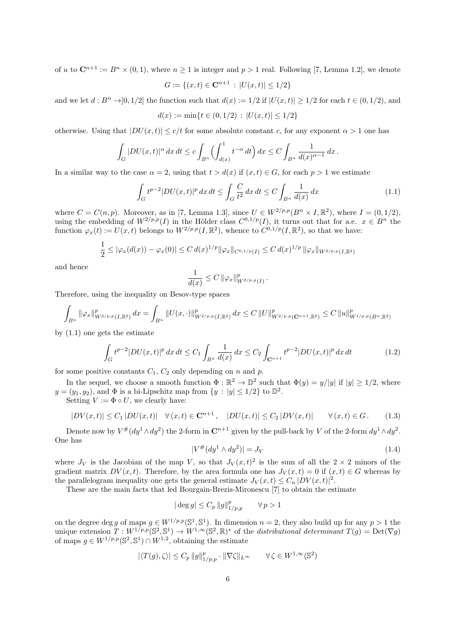of *u* to  $\mathbb{C}^{n+1} := B^n \times (0,1)$ , where  $n \geq 1$  is integer and  $p > 1$  real. Following [7, Lemma 1.2], we denote

$$
G := \{(x, t) \in \mathbf{C}^{n+1} : |U(x, t)| \le 1/2\}
$$

and we let  $d : B<sup>n</sup> \to [0, 1/2]$  the function such that  $d(x) := 1/2$  if  $|U(x,t)| \ge 1/2$  for each  $t \in (0, 1/2)$ , and

$$
d(x) := \min\{t \in (0, 1/2) \, : \, |U(x, t)| \le 1/2\}
$$

otherwise. Using that  $|DU(x,t)| \leq c/t$  for some absolute constant *c*, for any exponent  $\alpha > 1$  one has

$$
\int_G |DU(x,t)|^{\alpha} dx dt \leq c \int_{B^n} \left( \int_{d(x)}^1 t^{-\alpha} dt \right) dx \leq C \int_{B^n} \frac{1}{d(x)^{\alpha-1}} dx.
$$

In a similar way to the case  $\alpha = 2$ , using that  $t > d(x)$  if  $(x, t) \in G$ , for each  $p > 1$  we estimate

$$
\int_{G} t^{p-2} |DU(x,t)|^p \, dx \, dt \le \int_{G} \frac{C}{t^2} \, dx \, dt \le C \int_{B^n} \frac{1}{d(x)} \, dx \tag{1.1}
$$

where  $C = C(n, p)$ . Moreover, as in [7, Lemma 1.3], since  $U \in W^{2/p,p}(B^n \times I, \mathbb{R}^2)$ , where  $I = (0, 1/2)$ , using the embedding of  $W^{2/p,p}(I)$  in the Hölder class  $C^{0,1/p}(I)$ , it turns out that for a.e.  $x \in B^n$  the function  $\varphi_x(t) := U(x, t)$  belongs to  $W^{2/p,p}(I, \mathbb{R}^2)$ , whence to  $C^{0,1/p}(I, \mathbb{R}^2)$ , so that we have:

$$
\frac{1}{2} \leq |\varphi_x(d(x)) - \varphi_x(0)| \leq C d(x)^{1/p} ||\varphi_x||_{C^{0,1/p}(I)} \leq C d(x)^{1/p} ||\varphi_x||_{W^{2/p,p}(I,\mathbb{R}^2)}
$$

and hence

$$
\frac{1}{d(x)} \leq C \left\| \varphi_x \right\|_{W^{2/p,p}(I)}^p.
$$

Therefore, using the inequality on Besov-type spaces

$$
\int_{B^n} \|\varphi_x\|_{W^{2/p,p}(I,\mathbb{R}^2)}^p dx = \int_{B^n} \|U(x,\cdot)\|_{W^{2/p,p}(I,\mathbb{R}^2)}^p dx \leq C \|U\|_{W^{2/p,p}(\mathbf{C}^{n+1},\mathbb{R}^2)}^p \leq C \|u\|_{W^{1/p,p}(B^n,\mathbb{R}^2)}^p
$$

by (1.1) one gets the estimate

$$
\int_{G} t^{p-2} |DU(x,t)|^p \, dx \, dt \le C_1 \int_{B^n} \frac{1}{d(x)} \, dx \le C_2 \int_{\mathbf{C}^{n+1}} t^{p-2} |DU(x,t)|^p \, dx \, dt \tag{1.2}
$$

for some positive constants  $C_1$ ,  $C_2$  only depending on *n* and *p*.

In the sequel, we choose a smooth function  $\Phi : \mathbb{R}^2 \to \mathbb{D}^2$  such that  $\Phi(y) = y/|y|$  if  $|y| \ge 1/2$ , where  $y = (y_1, y_2)$ , and  $\Phi$  is a bi-Lipschitz map from  $\{y : |y| \leq 1/2\}$  to  $\mathbb{D}^2$ .

Setting  $V := \Phi \circ U$ , we clearly have:

$$
|DV(x,t)| \le C_1 |DU(x,t)| \quad \forall (x,t) \in \mathbf{C}^{n+1}, \quad |DU(x,t)| \le C_2 |DV(x,t)| \qquad \forall (x,t) \in G. \tag{1.3}
$$

Denote now by  $V^{\#}(dy^1 \wedge dy^2)$  the 2-form in  $\mathbb{C}^{n+1}$  given by the pull-back by *V* of the 2-form  $dy^1 \wedge dy^2$ . One has

$$
|V^{\#}(dy^1 \wedge dy^2)| = J_V \tag{1.4}
$$

where  $J_V$  is the Jacobian of the map *V*, so that  $J_V(x,t)^2$  is the sum of all the  $2 \times 2$  minors of the gradient matrix  $DV(x,t)$ . Therefore, by the area formula one has  $J_V(x,t) = 0$  if  $(x,t) \in G$  whereas by the parallelogram inequality one gets the general estimate  $J_V(x,t) \leq C_n |DV(x,t)|^2$ .

These are the main facts that led Bourgain-Brezis-Mironescu [7] to obtain the estimate

$$
|\deg g| \le C_p \, ||g||_{1/p,p}^p \qquad \forall \, p > 1
$$

on the degree deg *g* of maps  $g \in W^{1/p,p}(\mathbb{S}^1,\mathbb{S}^1)$ . In dimension  $n=2$ , they also build up for any  $p>1$  the unique extension  $T: W^{1/p,p}(\mathbb{S}^2, \mathbb{S}^1) \to W^{1,\infty}(\mathbb{S}^2, \mathbb{R})^*$  of the *distributional determinant*  $T(g) = \text{Det}(\nabla g)$ of maps  $g \in W^{1/p,p}(\mathbb{S}^2,\mathbb{S}^1) \cap W^{1,2}$ , obtaining the estimate

$$
|\langle T(g),\zeta\rangle|\leq C_p\,\|g\|_{1/p,p}^p\cdot\|\nabla\zeta\|_{L^\infty}\qquad\forall\,\zeta\in W^{1,\infty}(\mathbb{S}^2)
$$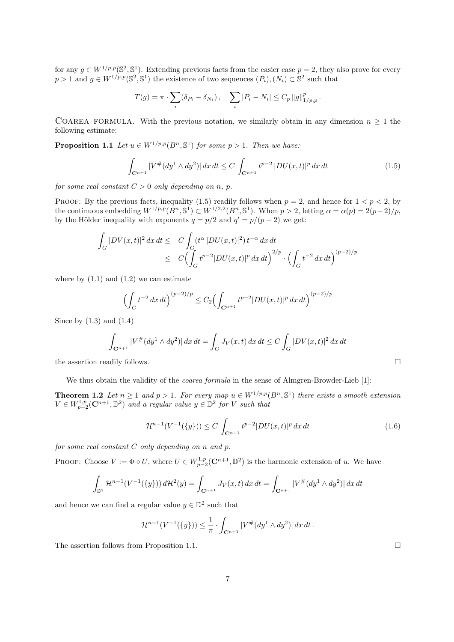for any  $g \in W^{1/p,p}(\mathbb{S}^2,\mathbb{S}^1)$ . Extending previous facts from the easier case  $p=2$ , they also prove for every  $p > 1$  and  $g \in W^{1/p,p}(\mathbb{S}^2, \mathbb{S}^1)$  the existence of two sequences  $(P_i), (N_i) \subset \mathbb{S}^2$  such that

$$
T(g) = \pi \cdot \sum_{i} (\delta_{P_i} - \delta_{N_i}), \quad \sum_{i} |P_i - N_i| \le C_p \|g\|_{1/p, p}^p.
$$

COAREA FORMULA. With the previous notation, we similarly obtain in any dimension  $n \geq 1$  the following estimate:

**Proposition 1.1** *Let*  $u \in W^{1/p,p}(B^n, \mathbb{S}^1)$  *for some*  $p > 1$ *. Then we have:* 

$$
\int_{\mathbf{C}^{n+1}} |V^{\#}(dy^1 \wedge dy^2)| \, dx \, dt \le C \int_{\mathbf{C}^{n+1}} t^{p-2} |DU(x,t)|^p \, dx \, dt \tag{1.5}
$$

*for some real constant*  $C > 0$  *only depending on n, p.* 

PROOF: By the previous facts, inequality (1.5) readily follows when  $p = 2$ , and hence for  $1 < p < 2$ , by the continuous embedding  $W^{1/p,p}(B^n, \mathbb{S}^1) \subset W^{1/2,2}(B^n, \mathbb{S}^1)$ . When  $p > 2$ , letting  $\alpha = \alpha(p) = 2(p-2)/p$ , by the Hölder inequality with exponents  $q = p/2$  and  $q' = p/(p-2)$  we get:

$$
\int_G |DV(x,t)|^2 dx dt \le C \int_G (t^{\alpha} |DU(x,t)|^2) t^{-\alpha} dx dt
$$
  
 
$$
\le C \Bigl( \int_G t^{p-2} |DU(x,t)|^p dx dt \Bigr)^{2/p} \cdot \Bigl( \int_G t^{-2} dx dt \Bigr)^{(p-2)/p}
$$

where by  $(1.1)$  and  $(1.2)$  we can estimate

$$
\left(\int_G t^{-2} dx dt\right)^{(p-2)/p} \le C_2 \left(\int_{\mathbf{C}^{n+1}} t^{p-2} |DU(x,t)|^p dx dt\right)^{(p-2)/p}
$$

Since by  $(1.3)$  and  $(1.4)$ 

$$
\int_{\mathbf{C}^{n+1}} |V^{\#}(dy^1 \wedge dy^2)| \, dx \, dt = \int_G J_V(x, t) \, dx \, dt \le C \int_G |DV(x, t)|^2 \, dx \, dt
$$

the assertion readily follows.  $\Box$ 

We thus obtain the validity of the *coarea formula* in the sense of Almgren-Browder-Lieb [1]:

**Theorem 1.2** Let  $n \geq 1$  and  $p > 1$ . For every map  $u \in W^{1/p,p}(B^n, \mathbb{S}^1)$  there exists a smooth extension  $V \in W_{p-2}^{1,p}(\mathbb{C}^{n+1}, \mathbb{D}^2)$  *and a regular value*  $y \in \mathbb{D}^2$  *for V such that* 

$$
\mathcal{H}^{n-1}(V^{-1}(\{y\})) \le C \int_{\mathbf{C}^{n+1}} t^{p-2} |DU(x,t)|^p \, dx \, dt \tag{1.6}
$$

*for some real constant C only depending on n and p.*

PROOF: Choose  $V := \Phi \circ U$ , where  $U \in W^{1,p}_{p-2}(\mathbb{C}^{n+1}, \mathbb{D}^2)$  is the harmonic extension of *u*. We have

$$
\int_{\mathbb{D}^2} \mathcal{H}^{n-1}(V^{-1}(\{y\})) d\mathcal{H}^2(y) = \int_{\mathbf{C}^{n+1}} J_V(x, t) dx dt = \int_{\mathbf{C}^{n+1}} |V^{\#}(dy^1 \wedge dy^2)| dx dt
$$

and hence we can find a regular value  $y \in \mathbb{D}^2$  such that

$$
\mathcal{H}^{n-1}(V^{-1}(\{y\})) \leq \frac{1}{\pi} \cdot \int_{\mathbf{C}^{n+1}} |V^{\#}(dy^1 \wedge dy^2)| dx dt.
$$

The assertion follows from Proposition 1.1.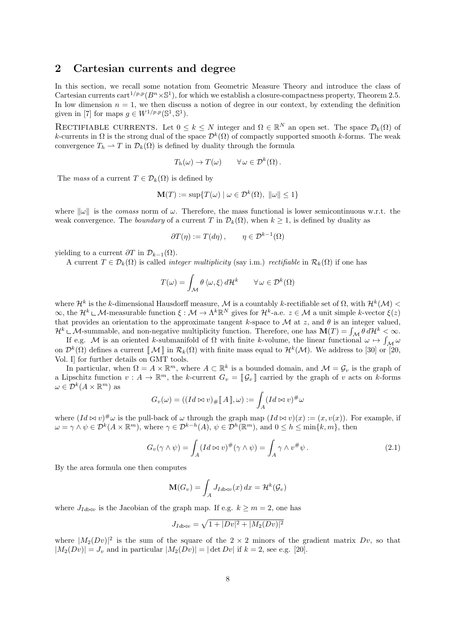#### **2 Cartesian currents and degree**

In this section, we recall some notation from Geometric Measure Theory and introduce the class of Cartesian currents cart<sup>1/p,p</sup>( $B<sup>n</sup> \times \mathbb{S}$ <sup>1</sup>), for which we establish a closure-compactness property, Theorem 2.5. In low dimension  $n = 1$ , we then discuss a notion of degree in our context, by extending the definition given in [7] for maps  $g \in W^{1/p,p}(\mathbb{S}^1, \mathbb{S}^1)$ .

RECTIFIABLE CURRENTS. Let  $0 \leq k \leq N$  integer and  $\Omega \in \mathbb{R}^N$  an open set. The space  $\mathcal{D}_k(\Omega)$  of *k*-currents in  $\Omega$  is the strong dual of the space  $\mathcal{D}^k(\Omega)$  of compactly supported smooth *k*-forms. The weak convergence  $T_h \rightharpoonup T$  in  $\mathcal{D}_k(\Omega)$  is defined by duality through the formula

$$
T_h(\omega) \to T(\omega) \qquad \forall \omega \in \mathcal{D}^k(\Omega).
$$

The *mass* of a current  $T \in \mathcal{D}_k(\Omega)$  is defined by

$$
\mathbf{M}(T) := \sup \{ T(\omega) \mid \omega \in \mathcal{D}^k(\Omega), \ \|\omega\| \le 1 \}
$$

where  $\|\omega\|$  is the *comass* norm of  $\omega$ . Therefore, the mass functional is lower semicontinuous w.r.t. the weak convergence. The *boundary* of a current *T* in  $\mathcal{D}_k(\Omega)$ , when  $k \geq 1$ , is defined by duality as

$$
\partial T(\eta) := T(d\eta), \qquad \eta \in \mathcal{D}^{k-1}(\Omega)
$$

yielding to a current  $\partial T$  in  $\mathcal{D}_{k-1}(\Omega)$ .

A current  $T \in \mathcal{D}_k(\Omega)$  is called *integer multiplicity* (say i.m.) *rectifiable* in  $\mathcal{R}_k(\Omega)$  if one has

$$
T(\omega) = \int_{\mathcal{M}} \theta \langle \omega, \xi \rangle d\mathcal{H}^{k} \qquad \forall \omega \in \mathcal{D}^{k}(\Omega)
$$

where  $\mathcal{H}^k$  is the *k*-dimensional Hausdorff measure,  $\mathcal M$  is a countably *k*-rectifiable set of  $\Omega$ , with  $\mathcal{H}^k(\mathcal M)$  <  $\infty$ , the  $\mathcal{H}^k \sqcup \mathcal{M}$ -measurable function  $\xi : \mathcal{M} \to \Lambda^k \mathbb{R}^N$  gives for  $\mathcal{H}^k$ -a.e.  $z \in \mathcal{M}$  a unit simple *k*-vector  $\xi(z)$ that provides an orientation to the approximate tangent *k*-space to  $M$  at *z*, and  $\theta$  is an integer valued,

 $\mathcal{H}^k \subset \mathcal{M}$ -summable, and non-negative multiplicity function. Therefore, one has  $\mathbf{M}(T) = \int_{\mathcal{M}} \theta \, d\mathcal{H}^k < \infty$ .<br>If e.g.  $\mathcal{M}$  is an oriented k-submanifold of  $\Omega$  with finite k-volume, the linear functio on  $\mathcal{D}^k(\Omega)$  defines a current  $\llbracket \mathcal{M} \rrbracket$  in  $\mathcal{R}_k(\Omega)$  with finite mass equal to  $\mathcal{H}^k(\mathcal{M})$ . We address to [30] or [20, Vol. I] for further details on GMT tools.

In particular, when  $\Omega = A \times \mathbb{R}^m$ , where  $A \subset \mathbb{R}^k$  is a bounded domain, and  $\mathcal{M} = \mathcal{G}_v$  is the graph of a Lipschitz function  $v: A \to \mathbb{R}^m$ , the *k*-current  $G_v = \llbracket \mathcal{G}_v \rrbracket$  carried by the graph of *v* acts on *k*-forms  $\omega \in \mathcal{D}^k(A \times \mathbb{R}^m)$  as

$$
G_v(\omega) = ((Id \bowtie v)_{\#}[[A]], \omega) := \int_A (Id \bowtie v)^{\#} \omega
$$

where  $(Id \otimes v)^\# \omega$  is the pull-back of  $\omega$  through the graph map  $(Id \otimes v)(x) := (x, v(x))$ . For example, if  $\omega = \gamma \wedge \psi \in \mathcal{D}^k(A \times \mathbb{R}^m)$ , where  $\gamma \in \mathcal{D}^{k-h}(A)$ ,  $\psi \in \mathcal{D}^h(\mathbb{R}^m)$ , and  $0 \leq h \leq \min\{k,m\}$ , then

$$
G_v(\gamma \wedge \psi) = \int_A (Id \otimes v)^\#(\gamma \wedge \psi) = \int_A \gamma \wedge v^\# \psi \,.
$$
 (2.1)

By the area formula one then computes

$$
\mathbf{M}(G_v) = \int_A J_{Id\bowtie v}(x) \, dx = \mathcal{H}^k(\mathcal{G}_v)
$$

where  $J_{Id\bowtie v}$  is the Jacobian of the graph map. If e.g.  $k \ge m = 2$ , one has

$$
J_{Id \bowtie v} = \sqrt{1 + |Dv|^2 + |M_2(Dv)|^2}
$$

where  $|M_2(Dv)|^2$  is the sum of the square of the  $2 \times 2$  minors of the gradient matrix *Dv*, so that  $|M_2(Dv)| = J_v$  and in particular  $|M_2(Dv)| = |\det Dv|$  if  $k = 2$ , see e.g. [20].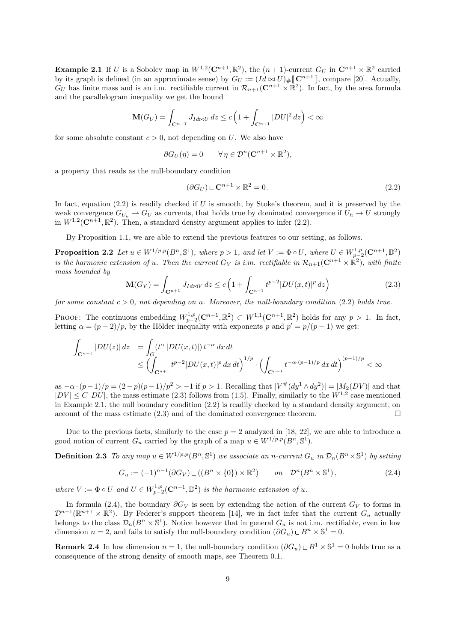**Example 2.1** If *U* is a Sobolev map in  $W^{1,2}(\mathbb{C}^{n+1}, \mathbb{R}^2)$ , the  $(n+1)$ -current  $G_U$  in  $\mathbb{C}^{n+1} \times \mathbb{R}^2$  carried by its graph is defined (in an approximate sense) by  $G_U := (Id \bowtie U)_\# [\![\mathbf{C}^{n+1}]\!]$ , compare [20]. Actually,  $G_U$  has finite mass and is an i.m. rectifiable current in  $\mathcal{R}_{n+1}(\mathbb{C}^{n+1}\times\mathbb{R}^2)$ . In fact, by the area formula and the parallelogram inequality we get the bound

$$
\mathbf{M}(G_U) = \int_{\mathbf{C}^{n+1}} J_{Id \bowtie U} dz \le c \left( 1 + \int_{\mathbf{C}^{n+1}} |DU|^2 dz \right) < \infty
$$

for some absolute constant  $c > 0$ , not depending on *U*. We also have

$$
\partial G_U(\eta) = 0 \qquad \forall \eta \in \mathcal{D}^n(\mathbf{C}^{n+1} \times \mathbb{R}^2),
$$

a property that reads as the null-boundary condition

$$
(\partial G_U) \sqcup \mathbf{C}^{n+1} \times \mathbb{R}^2 = 0. \tag{2.2}
$$

In fact, equation (2.2) is readily checked if *U* is smooth, by Stoke's theorem, and it is preserved by the weak convergence  $G_{U_h} \to G_U$  as currents, that holds true by dominated convergence if  $U_h \to U$  strongly in  $W^{1,2}(\mathbb{C}^{n+1}, \mathbb{R}^2)$ . Then, a standard density argument applies to infer  $(2.2)$ .

By Proposition 1.1, we are able to extend the previous features to our setting, as follows.

**Proposition 2.2** Let  $u \in W^{1/p,p}(B^n, \mathbb{S}^1)$ , where  $p > 1$ , and let  $V := \Phi \circ U$ , where  $U \in W^{1,p}_{p-2}(\mathbb{C}^{n+1}, \mathbb{D}^2)$ *is the harmonic extension of <i>u*. Then the current  $G_V$  *is i.m. rectifiable in*  $\mathcal{R}_{n+1}(\mathbb{C}^{n+1}\times\mathbb{R}^2)$ *, with finite mass bounded by*

$$
\mathbf{M}(G_V) = \int_{\mathbf{C}^{n+1}} J_{Id \bowtie V} \, dz \le c \left( 1 + \int_{\mathbf{C}^{n+1}} t^{p-2} |DU(x, t)|^p \, dz \right) \tag{2.3}
$$

*for some constant c >* 0*, not depending on u. Moreover, the null-boundary condition* (2.2) *holds true.*

PROOF: The continuous embedding  $W_{p-2}^{1,p}(\mathbb{C}^{n+1}, \mathbb{R}^2) \subset W^{1,1}(\mathbb{C}^{n+1}, \mathbb{R}^2)$  holds for any  $p > 1$ . In fact, letting  $\alpha = (p-2)/p$ , by the Hölder inequality with exponents p and  $p' = p/(p-1)$  we get:

$$
\int_{\mathbf{C}^{n+1}} |DU(z)| dz = \int_G (t^{\alpha} |DU(x,t)|) t^{-\alpha} dx dt
$$
  
\n
$$
\leq \left( \int_{\mathbf{C}^{n+1}} t^{p-2} |DU(x,t)|^p dx dt \right)^{1/p} \cdot \left( \int_{\mathbf{C}^{n+1}} t^{-\alpha \cdot (p-1)/p} dx dt \right)^{(p-1)/p} < \infty
$$

as  $-\alpha \cdot (p-1)/p = (2-p)(p-1)/p^2 > -1$  if  $p > 1$ . Recalling that  $|V^{\#}(dy^1 \wedge dy^2)| = |M_2(DV)|$  and that  $|DV| \leq C |DU|$ , the mass estimate (2.3) follows from (1.5). Finally, similarly to the  $W^{1,2}$  case mentioned in Example 2.1, the null boundary condition (2.2) is readily checked by a standard density argument, on account of the mass estimate  $(2.3)$  and of the dominated convergence theorem.

Due to the previous facts, similarly to the case  $p = 2$  analyzed in [18, 22], we are able to introduce a good notion of current  $G_u$  carried by the graph of a map  $u \in W^{1/p,p}(B^n, \mathbb{S}^1)$ .

**Definition 2.3** To any map  $u \in W^{1/p,p}(B^n, \mathbb{S}^1)$  we associate an n-current  $G_u$  in  $\mathcal{D}_n(B^n \times \mathbb{S}^1)$  by setting

$$
G_u := (-1)^{n-1} (\partial G_V) \sqcup ((B^n \times \{0\}) \times \mathbb{R}^2) \qquad on \quad \mathcal{D}^n (B^n \times \mathbb{S}^1), \tag{2.4}
$$

*where*  $V := \Phi \circ U$  *and*  $U \in W_{p-2}^{1,p}(\mathbb{C}^{n+1}, \mathbb{D}^2)$  *is the harmonic extension of u.* 

In formula (2.4), the boundary  $\partial G_V$  is seen by extending the action of the current  $G_V$  to forms in  $\mathcal{D}^{n+1}(\mathbb{R}^{n+1}\times\mathbb{R}^2)$ . By Federer's support theorem [14], we in fact infer that the current  $G_u$  actually belongs to the class  $\mathcal{D}_n(B^n \times \mathbb{S}^1)$ . Notice however that in general  $G_u$  is not i.m. rectifiable, even in low dimension  $n = 2$ , and fails to satisfy the null-boundary condition  $(\partial G_u) \cup B^n \times \mathbb{S}^1 = 0$ .

**Remark 2.4** In low dimension  $n = 1$ , the null-boundary condition  $(\partial G_u) \cup B^1 \times \mathbb{S}^1 = 0$  holds true as a consequence of the strong density of smooth maps, see Theorem 0.1.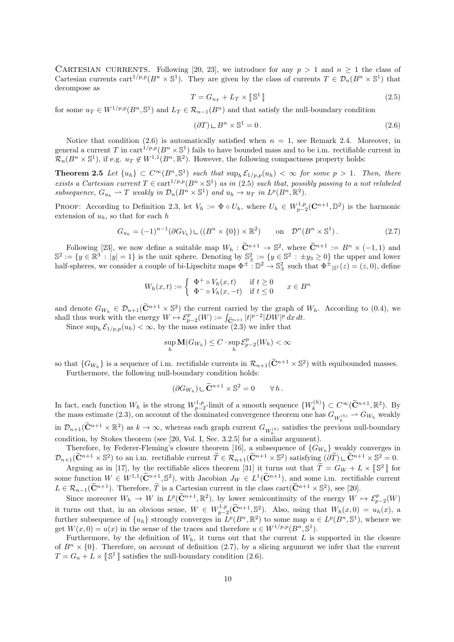CARTESIAN CURRENTS. Following [20, 23], we introduce for any  $p > 1$  and  $n \ge 1$  the class of Cartesian currents cart<sup>1/p,p</sup>( $B^n \times \mathbb{S}^1$ ). They are given by the class of currents  $T \in \mathcal{D}_n(B^n \times \mathbb{S}^1)$  that decompose as

$$
T = G_{u_T} + L_T \times \llbracket \mathbb{S}^1 \rrbracket \tag{2.5}
$$

for some  $u_T \in W^{1/p,p}(B^n, \mathbb{S}^1)$  and  $L_T \in \mathcal{R}_{n-1}(B^n)$  and that satisfy the null-boundary condition

$$
(\partial T) \sqcup B^n \times \mathbb{S}^1 = 0. \tag{2.6}
$$

Notice that condition  $(2.6)$  is automatically satisfied when  $n = 1$ , see Remark 2.4. Moreover, in general a current *T* in cart<sup>1/p,p</sup>( $B<sup>n</sup> \times \mathbb{S}<sup>1</sup>$ ) fails to have bounded mass and to be i.m. rectifiable current in  $\mathcal{R}_n(B^n \times \mathbb{S}^1)$ , if e.g.  $u_T \notin W^{1,1}(B^n,\mathbb{R}^2)$ . However, the following compactness property holds:

**Theorem 2.5** Let  $\{u_h\} \subset C^{\infty}(B^n, \mathbb{S}^1)$  such that  $\sup_h \mathcal{E}_{1/p,p}(u_h) < \infty$  for some  $p > 1$ . Then, there *exists a Cartesian current*  $T \in \text{cart}^{1/p,p}(B^n \times \mathbb{S}^1)$  *as in* (2.5) *such that, possibly passing to a not relabeled* subsequence,  $G_{u_h} \rightharpoonup T$  weakly in  $\mathcal{D}_n(B^n \times \mathbb{S}^1)$  and  $u_h \to u_T$  in  $L^p(B^n, \mathbb{R}^2)$ .

PROOF: According to Definition 2.3, let  $V_h := \Phi \circ U_h$ , where  $U_h \in W^{1,p}_{p-2}(\mathbb{C}^{n+1}, \mathbb{D}^2)$  is the harmonic extension of *uh*, so that for each *h*

$$
G_{u_h} = (-1)^{n-1} (\partial G_{V_h}) \sqcup ((B^n \times \{0\}) \times \mathbb{R}^2) \qquad \text{on} \quad \mathcal{D}^n (B^n \times \mathbb{S}^1).
$$
 (2.7)

Following [23], we now define a suitable map  $W_h$ :  $\tilde{\mathbf{C}}^{n+1} \to \mathbb{S}^2$ , where  $\tilde{\mathbf{C}}^{n+1} := B^n \times (-1,1)$  and  $\mathbb{S}^2 := \{y \in \mathbb{R}^3 : |y| = 1\}$  is the unit sphere. Denoting by  $\mathbb{S}^2_+ := \{y \in \mathbb{S}^2 : \pm y_3 \ge 0\}$  the upper and lower half-spheres, we consider a couple of bi-Lipschitz maps  $\Phi^{\pm} : \mathbb{D}^2 \to \mathbb{S}^2_{\pm}$  such that  $\Phi^{\pm}|_{\mathbb{S}^1}(z) = (z,0)$ , define

$$
W_h(x,t) := \begin{cases} \Phi^+ \circ V_h(x,t) & \text{if } t \ge 0\\ \Phi^- \circ V_h(x,-t) & \text{if } t \le 0 \end{cases} \qquad x \in B^n
$$

and denote  $G_{W_h} \in \mathcal{D}_{n+1}(\tilde{\mathbf{C}}^{n+1} \times \mathbb{S}^2)$  the current carried by the graph of  $W_h$ . According to (0.4), we shall thus work with the energy  $W \mapsto \mathcal{E}_{p-2}^p(W) := \int_{\widetilde{\mathbf{C}}_p^{n+1}} |t|^{p-2} |DW|^p dx dt$ .

Since  $\sup_h \mathcal{E}_{1/p,p}(u_h) < \infty$ , by the mass estimate (2.3) we infer that

$$
\sup_h \mathbf{M}(G_{W_h}) \le C \cdot \sup_h \mathcal{E}_{p-2}^p(W_h) < \infty
$$

so that  ${G_{W_h}}$  is a sequence of i.m. rectifiable currents in  $\mathcal{R}_{n+1}(\tilde{\mathbf{C}}^{n+1} \times \mathbb{S}^2)$  with equibounded masses. Furthermore, the following null-boundary condition holds:

$$
(\partial G_{W_h}) \,\mathop{\mathbb{L}} \widetilde{\mathbf{C}}^{n+1} \times \mathbb{S}^2 = 0 \qquad \forall \, h \,.
$$

In fact, each function  $W_h$  is the strong  $W_{p-2}^{1,p}$ -limit of a smooth sequence  $\{W_k^{(h)}\}$  ${C^{\infty}(\tilde{\mathbf{C}}^{n+1}, \mathbb{R}^2)}$ . By the mass estimate (2.3), on account of the dominated convergence theorem one has  $G_{W_k^{(h)}} \to G_{W_h}$  weakly  $\inf D_{n+1}(\mathbf{C}^{n+1}\times\mathbb{R}^2)$  as  $k\to\infty$ , whereas each graph current  $G_{W_k^{(h)}}$  satisfies the previous null-boundary condition, by Stokes theorem (see [20, Vol. I, Sec. 3.2.5] for a similar argument).

Therefore, by Federer-Fleming's closure theorem [16], a subsequence of *{G<sup>W</sup><sup>h</sup> }* weakly converges in  $\mathcal{D}_{n+1}(\mathbf{C}^{n+1} \times \mathbb{S}^2)$  to an i.m. rectifiable current  $T \in \mathcal{R}_{n+1}(\mathbf{C}^{n+1} \times \mathbb{S}^2)$  satisfying  $(\partial T) \cup \mathbf{C}^{n+1} \times \mathbb{S}^2 = 0$ .

Arguing as in [17], by the rectifiable slices theorem [31] it turns out that  $\tilde{T} = G_W + L \times [\mathbb{S}^2]$  for some function  $W \in W^{1,1}(\tilde{C}^{n+1}, \mathbb{S}^2)$ , with Jacobian  $J_W \in L^1(\tilde{C}^{n+1})$ , and some i.m. rectifiable current  $L \in \mathcal{R}_{n-1}(\tilde{\mathbf{C}}^{n+1})$ . Therefore,  $\tilde{T}$  is a Cartesian current in the class cart $(\tilde{\mathbf{C}}^{n+1} \times \mathbb{S}^2)$ , see [20].

Since moreover  $W_h \to W$  in  $L^p(\widetilde{\mathbf{C}}^{n+1}, \mathbb{R}^2)$ , by lower semicontinuity of the energy  $W \mapsto \mathcal{E}_{p-2}^p(W)$ it turns out that, in an obvious sense,  $W \in W_{p-2}^{1,p}(\tilde{\mathbf{C}}^{n+1}, \mathbb{S}^2)$ . Also, using that  $W_h(x, 0) = u_h(x)$ , a further subsequence of  $\{u_h\}$  strongly converges in  $L^p(B^n, \mathbb{R}^2)$  to some map  $u \in L^p(B^n, \mathbb{S}^1)$ , whence we get  $W(x, 0) = u(x)$  in the sense of the traces and therefore  $u \in W^{1/p,p}(B^n, \mathbb{S}^1)$ .

Furthermore, by the definition of  $W_h$ , it turns out that the current  $L$  is supported in the closure of  $B<sup>n</sup> \times \{0\}$ . Therefore, on account of definition (2.7), by a slicing argument we infer that the current  $T = G_u + L \times [\mathbb{S}^1]$  satisfies the null-boundary condition (2.6).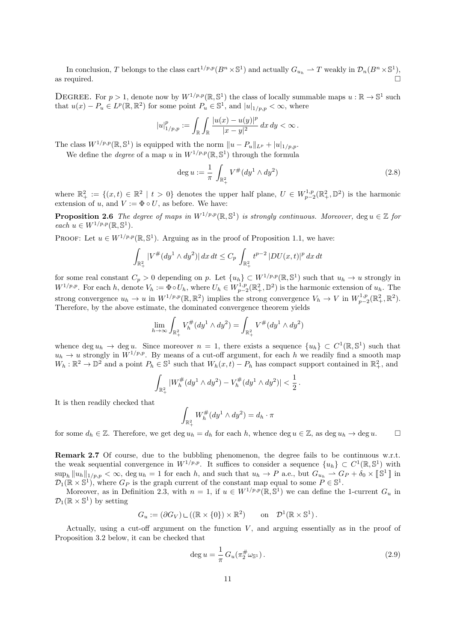In conclusion, *T* belongs to the class cart<sup>1/p,p</sup>( $B^n \times \mathbb{S}^1$ ) and actually  $G_{u_h} \to T$  weakly in  $\mathcal{D}_n(B^n \times \mathbb{S}^1)$ , as required.  $\Box$ 

DEGREE. For  $p > 1$ , denote now by  $W^{1/p,p}(\mathbb{R}, \mathbb{S}^1)$  the class of locally summable maps  $u : \mathbb{R} \to \mathbb{S}^1$  such that  $u(x) - P_u \in L^p(\mathbb{R}, \mathbb{R}^2)$  for some point  $P_u \in \mathbb{S}^1$ , and  $|u|_{1/p, p} < \infty$ , where

$$
|u|_{1/p,p}^p := \int_{\mathbb{R}} \int_{\mathbb{R}} \frac{|u(x) - u(y)|^p}{|x - y|^2} \, dx \, dy < \infty \, .
$$

The class  $W^{1/p,p}(\mathbb{R}, \mathbb{S}^1)$  is equipped with the norm  $||u - P_u||_{L^p} + |u|_{1/p,p}$ .

We define the *degree* of a map *u* in  $W^{1/p,p}(\mathbb{R}, \mathbb{S}^1)$  through the formula

$$
\deg u := \frac{1}{\pi} \int_{\mathbb{R}^2_+} V^\# (dy^1 \wedge dy^2) \tag{2.8}
$$

where  $\mathbb{R}^2_+ := \{(x, t) \in \mathbb{R}^2 \mid t > 0\}$  denotes the upper half plane,  $U \in W^{1,p}_{p-2}(\mathbb{R}^2_+,\mathbb{D}^2)$  is the harmonic extension of *u*, and  $V := \Phi \circ U$ , as before. We have:

**Proposition 2.6** *The degree of maps in*  $W^{1/p,p}(\mathbb{R}, \mathbb{S}^1)$  *is strongly continuous. Moreover,* deg  $u \in \mathbb{Z}$  *for*  $\text{each } u \in W^{1/p,p}(\mathbb{R}, \mathbb{S}^1).$ 

PROOF: Let  $u \in W^{1/p,p}(\mathbb{R}, \mathbb{S}^1)$ . Arguing as in the proof of Proposition 1.1, we have:

$$
\int_{\mathbb{R}^2_+} |V^\# (dy^1 \wedge dy^2)|\,dx\,dt \leq C_p \, \int_{\mathbb{R}^2_+} t^{p-2} \, |DU(x,t)|^p \,dx\,dt
$$

for some real constant  $C_p > 0$  depending on *p*. Let  $\{u_h\} \subset W^{1/p,p}(\mathbb{R}, \mathbb{S}^1)$  such that  $u_h \to u$  strongly in  $W^{1/p,p}$ . For each h, denote  $V_h := \Phi \circ U_h$ , where  $U_h \in W^{1,p}_{p-2}(\mathbb{R}^2_+, \mathbb{D}^2)$  is the harmonic extension of  $u_h$ . The strong convergence  $u_h \to u$  in  $W^{1/p,p}(\mathbb{R}, \mathbb{R}^2)$  implies the strong convergence  $V_h \to V$  in  $W^{1,p}_{p-2}(\mathbb{R}^2_+, \mathbb{R}^2)$ . Therefore, by the above estimate, the dominated convergence theorem yields

$$
\lim_{h \to \infty} \int_{\mathbb{R}^2_+} V_h^{\#}(dy^1 \wedge dy^2) = \int_{\mathbb{R}^2_+} V^{\#}(dy^1 \wedge dy^2)
$$

whence  $\deg u_h \to \deg u$ . Since moreover  $n = 1$ , there exists a sequence  $\{u_h\} \subset C^1(\mathbb{R}, \mathbb{S}^1)$  such that  $u_h \to u$  strongly in  $W^{1/p,p}$ . By means of a cut-off argument, for each *h* we readily find a smooth map  $W_h: \mathbb{R}^2 \to \mathbb{D}^2$  and a point  $P_h \in \mathbb{S}^1$  such that  $W_h(x,t) - P_h$  has compact support contained in  $\mathbb{R}^2_+$ , and

$$
\int_{\mathbb{R}^2_+} |W_h^{\#}(dy^1 \wedge dy^2) - V_h^{\#}(dy^1 \wedge dy^2)| < \frac{1}{2}.
$$

It is then readily checked that

$$
\int_{\mathbb{R}^2_+} W_h^{\#}(dy^1 \wedge dy^2) = d_h \cdot \pi
$$

for some  $d_h \in \mathbb{Z}$ . Therefore, we get  $\deg u_h = d_h$  for each *h*, whence  $\deg u \in \mathbb{Z}$ , as  $\deg u_h \to \deg u$ .  $\Box$ 

**Remark 2.7** Of course, due to the bubbling phenomenon, the degree fails to be continuous w.r.t. the weak sequential convergence in  $W^{1/p,p}$ . It suffices to consider a sequence  $\{u_h\} \subset C^1(\mathbb{R}, \mathbb{S}^1)$  with  $\sup_h \|u_h\|_{1/p,p} < \infty$ ,  $\deg u_h = 1$  for each h, and such that  $u_h \to P$  a.e., but  $G_{u_h} \to G_P + \delta_0 \times [\mathbb{S}^1]$  in  $\mathcal{D}_1(\mathbb{R} \times \mathbb{S}^1)$ , where  $G_P$  is the graph current of the constant map equal to some  $P \in \mathbb{S}^1$ .

Moreover, as in Definition 2.3, with  $n = 1$ , if  $u \in W^{1/p,p}(\mathbb{R}, \mathbb{S}^1)$  we can define the 1-current  $G_u$  in  $\mathcal{D}_1(\mathbb{R} \times \mathbb{S}^1)$  by setting

$$
G_u := (\partial G_V) \sqcup ((\mathbb{R} \times \{0\}) \times \mathbb{R}^2) \qquad \text{on} \quad \mathcal{D}^1(\mathbb{R} \times \mathbb{S}^1).
$$

Actually, using a cut-off argument on the function *V* , and arguing essentially as in the proof of Proposition 3.2 below, it can be checked that

$$
\deg u = \frac{1}{\pi} G_u(\pi_2^{\#} \omega_{\mathbb{S}^1}).
$$
\n(2.9)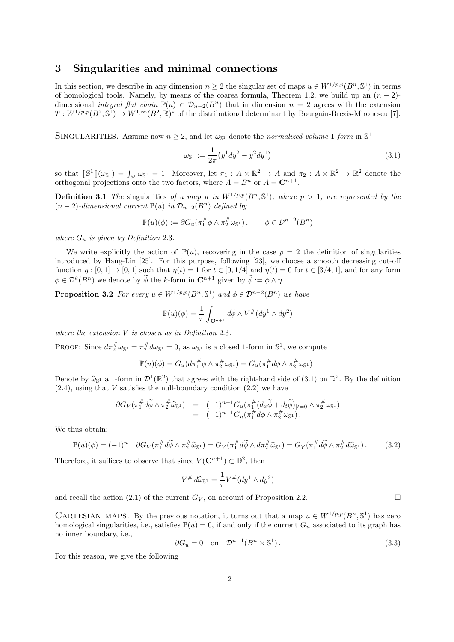#### **3 Singularities and minimal connections**

In this section, we describe in any dimension  $n \geq 2$  the singular set of maps  $u \in W^{1/p,p}(B^n, \mathbb{S}^1)$  in terms of homological tools. Namely, by means of the coarea formula, Theorem 1.2, we build up an  $(n-2)$ dimensional *integral flat chain*  $\mathbb{P}(u) \in \mathcal{D}_{n-2}(B^n)$  that in dimension  $n = 2$  agrees with the extension  $T: W^{1/p,p}(B^2, \mathbb{S}^1) \to W^{1,\infty}(B^2, \mathbb{R})^*$  of the distributional determinant by Bourgain-Brezis-Mironescu [7].

SINGULARITIES. Assume now  $n \geq 2$ , and let  $\omega_{\mathbb{S}^1}$  denote the *normalized volume* 1*-form* in  $\mathbb{S}^1$ 

$$
\omega_{\mathbb{S}^1} := \frac{1}{2\pi} \left( y^1 dy^2 - y^2 dy^1 \right) \tag{3.1}
$$

so that  $[\mathbb{S}^1](\omega_{\mathbb{S}^1}) = \int_{\mathbb{S}^1} \omega_{\mathbb{S}^1} = 1$ . Moreover, let  $\pi_1 : A \times \mathbb{R}^2 \to A$  and  $\pi_2 : A \times \mathbb{R}^2 \to \mathbb{R}^2$  denote the orthogonal projections onto the two factors, where  $A = B^n$  or  $A = \mathbb{C}^{n+1}$ .

**Definition 3.1** *The* singularities of a map *u* in  $W^{1/p,p}(B^n, \mathbb{S}^1)$ , where  $p > 1$ , are represented by the  $(n-2)$ *-dimensional current*  $\mathbb{P}(u)$  *in*  $\mathcal{D}_{n-2}(B^n)$  *defined by* 

$$
\mathbb{P}(u)(\phi) := \partial G_u(\pi_1^{\#} \phi \wedge \pi_2^{\#} \omega_{\mathbb{S}^1}), \qquad \phi \in \mathcal{D}^{n-2}(B^n)
$$

*where*  $G_u$  *is given by Definition* 2.3*.* 

We write explicitly the action of  $\mathbb{P}(u)$ , recovering in the case  $p = 2$  the definition of singularities introduced by Hang-Lin [25]. For this purpose, following [23], we choose a smooth decreasing cut-off function  $\eta : [0, 1] \to [0, 1]$  such that  $\eta(t) = 1$  for  $t \in [0, 1/4]$  and  $\eta(t) = 0$  for  $t \in [3/4, 1]$ , and for any form  $\phi \in \mathcal{D}^k(B^n)$  we denote by  $\phi$  the *k*-form in  $\mathbb{C}^{n+1}$  given by  $\phi := \phi \wedge \eta$ .

**Proposition 3.2** *For every*  $u \in W^{1/p,p}(B^n, \mathbb{S}^1)$  *and*  $\phi \in \mathcal{D}^{n-2}(B^n)$  *we have* 

$$
\mathbb{P}(u)(\phi) = \frac{1}{\pi} \int_{\mathbf{C}^{n+1}} d\widetilde{\phi} \wedge V^{\#}(dy^1 \wedge dy^2)
$$

*where the extension V is chosen as in Definition* 2*.*3*.*

PROOF: Since  $d\pi_2^{\#}\omega_{\mathbb{S}^1} = \pi_2^{\#}d\omega_{\mathbb{S}^1} = 0$ , as  $\omega_{\mathbb{S}^1}$  is a closed 1-form in  $\mathbb{S}^1$ , we compute

$$
\mathbb{P}(u)(\phi) = G_u(d\pi_1^{\#}\phi \wedge \pi_2^{\#}\omega_{\mathbb{S}^1}) = G_u(\pi_1^{\#}d\phi \wedge \pi_2^{\#}\omega_{\mathbb{S}^1}).
$$

Denote by  $\hat{\omega}_{\mathbb{S}^1}$  a 1-form in  $\mathcal{D}^1(\mathbb{R}^2)$  that agrees with the right-hand side of (3.1) on  $\mathbb{D}^2$ . By the definition  $(2.4)$ , using that *V* satisfies the null-boundary condition  $(2.2)$  we have

$$
\begin{array}{rcl}\n\partial G_V(\pi_1^\#d\widetilde{\phi}\wedge \pi_2^\# \widehat{\omega}_{\mathbb{S}^1}) & = & (-1)^{n-1} G_u(\pi_1^\#(d_x\widetilde{\phi}+d_t\widetilde{\phi})_{|t=0}\wedge \pi_2^\# \omega_{\mathbb{S}^1}) \\
& = & (-1)^{n-1} G_u(\pi_1^\#d\phi\wedge \pi_2^\# \omega_{\mathbb{S}^1})\,.\n\end{array}
$$

We thus obtain:

$$
\mathbb{P}(u)(\phi) = (-1)^{n-1} \partial G_V(\pi_1^{\#} d\widetilde{\phi} \wedge \pi_2^{\#} \widehat{\omega}_{\mathbb{S}^1}) = G_V(\pi_1^{\#} d\widetilde{\phi} \wedge d\pi_2^{\#} \widehat{\omega}_{\mathbb{S}^1}) = G_V(\pi_1^{\#} d\widetilde{\phi} \wedge \pi_2^{\#} d\widehat{\omega}_{\mathbb{S}^1}). \tag{3.2}
$$

Therefore, it suffices to observe that since  $V(\mathbb{C}^{n+1}) \subset \mathbb{D}^2$ , then

$$
V^{\#} d\widehat{\omega}_{\mathbb{S}^1} = \frac{1}{\pi} V^{\#} (dy^1 \wedge dy^2)
$$

and recall the action (2.1) of the current  $G_V$ , on account of Proposition 2.2.

CARTESIAN MAPS. By the previous notation, it turns out that a map  $u \in W^{1/p,p}(B^n, \mathbb{S}^1)$  has zero homological singularities, i.e., satisfies  $\mathbb{P}(u) = 0$ , if and only if the current  $G_u$  associated to its graph has no inner boundary, i.e.,

$$
\partial G_u = 0 \quad \text{on} \quad \mathcal{D}^{n-1}(B^n \times \mathbb{S}^1). \tag{3.3}
$$

For this reason, we give the following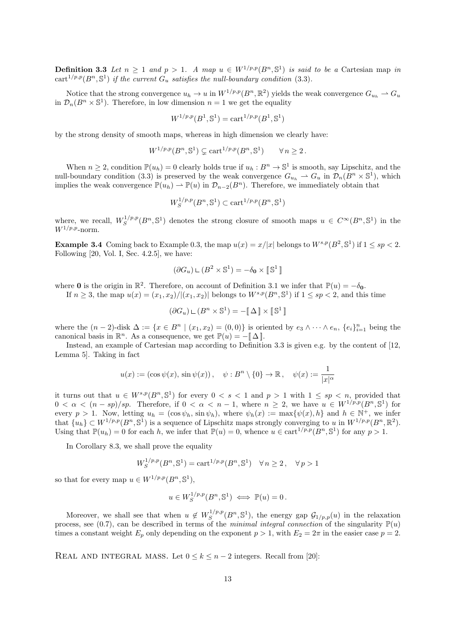**Definition 3.3** Let  $n \geq 1$  and  $p > 1$ . A map  $u \in W^{1/p,p}(B^n, \mathbb{S}^1)$  is said to be a Cartesian map *in* cart<sup>1/p,p</sup>( $B^n$ ,  $\mathbb{S}^1$ ) *if the current*  $G_u$  *satisfies the null-boundary condition* (3.3)*.* 

Notice that the strong convergence  $u_h \to u$  in  $W^{1/p,p}(B^n, \mathbb{R}^2)$  yields the weak convergence  $G_{u_h} \to G_u$ in  $\mathcal{D}_n(B^n \times \mathbb{S}^1)$ . Therefore, in low dimension  $n = 1$  we get the equality

$$
W^{1/p,p}(B^1,\mathbb{S}^1) = \text{cart}^{1/p,p}(B^1,\mathbb{S}^1)
$$

by the strong density of smooth maps, whereas in high dimension we clearly have:

$$
W^{1/p,p}(B^n, \mathbb{S}^1) \subsetneq \text{cart}^{1/p,p}(B^n, \mathbb{S}^1) \qquad \forall n \ge 2.
$$

When  $n \geq 2$ , condition  $\mathbb{P}(u_h) = 0$  clearly holds true if  $u_h : B^n \to \mathbb{S}^1$  is smooth, say Lipschitz, and the null-boundary condition (3.3) is preserved by the weak convergence  $G_{u_h} \to G_u$  in  $\mathcal{D}_n(B^n \times \mathbb{S}^1)$ , which implies the weak convergence  $\mathbb{P}(u_h) \to \mathbb{P}(u)$  in  $\mathcal{D}_{n-2}(B^n)$ . Therefore, we immediately obtain that

$$
W_S^{1/p,p}(B^n,\mathbb{S}^1) \subset \text{cart}^{1/p,p}(B^n,\mathbb{S}^1)
$$

where, we recall,  $W_S^{1/p,p}$  $S^{1/p,p}(B^n, \mathbb{S}^1)$  denotes the strong closure of smooth maps  $u \in C^{\infty}(B^n, \mathbb{S}^1)$  in the  $W^{1/p,p}$ -norm.

**Example 3.4** Coming back to Example 0.3, the map  $u(x) = x/|x|$  belongs to  $W^{s,p}(B^2, \mathbb{S}^1)$  if  $1 \le sp < 2$ . Following [20, Vol. I, Sec. 4.2.5], we have:

$$
(\partial G_u) \mathop{\llcorner} (B^2 \times \mathbb{S}^1) = -\delta_0 \times \llbracket \mathbb{S}^1 \rrbracket
$$

where **0** is the origin in  $\mathbb{R}^2$ . Therefore, on account of Definition 3.1 we infer that  $\mathbb{P}(u) = -\delta_0$ . If  $n \geq 3$ , the map  $u(x) = (x_1, x_2) / |(x_1, x_2)|$  belongs to  $W^{s,p}(B^n, \mathbb{S}^1)$  if  $1 \leq sp < 2$ , and this time

$$
(\partial G_u) \mathop{\llcorner} (B^n \times \mathbb{S}^1) = -[\![ \, \Delta \, ]\!] \times [\![ \, \mathbb{S}^1 \, ]\!]
$$

where the  $(n-2)$ -disk  $\Delta := \{x \in B^n \mid (x_1, x_2) = (0,0)\}\$ is oriented by  $e_3 \wedge \cdots \wedge e_n$ ,  $\{e_i\}_{i=1}^n$  being the canonical basis in  $\mathbb{R}^n$ . As a consequence, we get  $\mathbb{P}(u) = -[\![ \Delta ]\!]$ .

Instead, an example of Cartesian map according to Definition 3.3 is given e.g. by the content of [12, Lemma 5]. Taking in fact

$$
u(x) := (\cos \psi(x), \sin \psi(x)), \quad \psi : B^n \setminus \{0\} \to \mathbb{R}, \quad \psi(x) := \frac{1}{|x|^{\alpha}}
$$

it turns out that  $u \in W^{s,p}(B^n, \mathbb{S}^1)$  for every  $0 < s < 1$  and  $p > 1$  with  $1 \le sp < n$ , provided that  $0 < \alpha < (n - sp)/sp$ . Therefore, if  $0 < \alpha < n - 1$ , where  $n \geq 2$ , we have  $u \in W^{1/p,p}(B^n, \mathbb{S}^1)$  for every  $p > 1$ . Now, letting  $u_h = (\cos \psi_h, \sin \psi_h)$ , where  $\psi_h(x) := \max{\psi(x), h}$  and  $h \in \mathbb{N}^+$ , we infer that  $\{u_h\} \subset W^{1/p,p}(B^n, \mathbb{S}^1)$  is a sequence of Lipschitz maps strongly converging to *u* in  $W^{1/p,p}(B^n, \mathbb{R}^2)$ . Using that  $\mathbb{P}(u_h) = 0$  for each *h*, we infer that  $\mathbb{P}(u) = 0$ , whence  $u \in \text{cart}^{1/p,p}(B^n, \mathbb{S}^1)$  for any  $p > 1$ .

In Corollary 8.3, we shall prove the equality

$$
W_S^{1/p,p}(B^n, \mathbb{S}^1) = \text{cart}^{1/p,p}(B^n, \mathbb{S}^1) \quad \forall n \ge 2, \quad \forall p > 1
$$

so that for every map  $u \in W^{1/p,p}(B^n, \mathbb{S}^1)$ ,

$$
u \in W_S^{1/p,p}(B^n, \mathbb{S}^1) \iff \mathbb{P}(u) = 0.
$$

Moreover, we shall see that when  $u \notin W^{1/p,p}_{S}$  $S^{1/p,p}(B^n, \mathbb{S}^1)$ , the energy gap  $\mathcal{G}_{1/p,p}(u)$  in the relaxation process, see (0.7), can be described in terms of the *minimal integral connection* of the singularity  $\mathbb{P}(u)$ times a constant weight  $E_p$  only depending on the exponent  $p > 1$ , with  $E_2 = 2\pi$  in the easier case  $p = 2$ .

REAL AND INTEGRAL MASS. Let  $0 \leq k \leq n-2$  integers. Recall from [20]: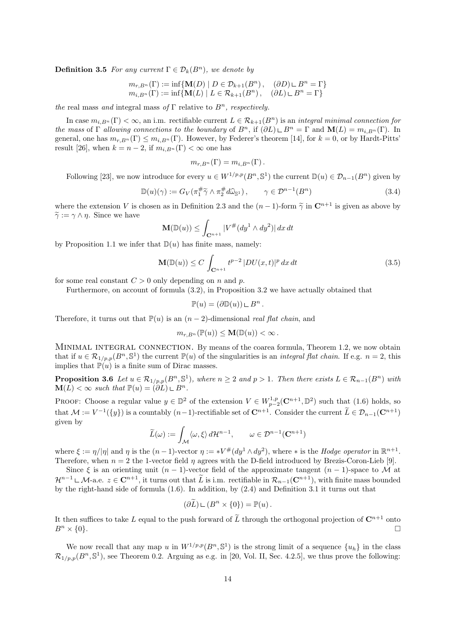**Definition 3.5** *For any current*  $\Gamma \in \mathcal{D}_k(B^n)$ *, we denote by* 

 $m_{r,B^n}(\Gamma) := \inf \{ \mathbf{M}(D) \mid D \in \mathcal{D}_{k+1}(B^n), \quad (\partial D) \cup B^n = \Gamma \}$  $m_i B_n(\Gamma) := \inf \{ M(L) \mid L \in \mathcal{R}_{k+1}(B^n), \quad (\partial L) \subseteq B^n = \Gamma \}$ 

*the* real mass *and* integral mass *of* Γ relative to *Bn, respectively.*

In case  $m_{i,B^n}(\Gamma) < \infty$ , an i.m. rectifiable current  $L \in \mathcal{R}_{k+1}(B^n)$  is an *integral minimal connection for the mass* of  $\Gamma$  *allowing connections to the boundary* of  $B^n$ , if  $(\partial L) \square B^n = \Gamma$  and  $\mathbf{M}(L) = m_{i,B^n}(\Gamma)$ . In general, one has  $m_r B_n(\Gamma) \leq m_i B_n(\Gamma)$ . However, by Federer's theorem [14], for  $k = 0$ , or by Hardt-Pitts' result [26], when  $k = n - 2$ , if  $m_{i,B^n}(\Gamma) < \infty$  one has

$$
m_{r,B^n}(\Gamma)=m_{i,B^n}(\Gamma).
$$

Following [23], we now introduce for every  $u \in W^{1/p,p}(B^n, \mathbb{S}^1)$  the current  $\mathbb{D}(u) \in \mathcal{D}_{n-1}(B^n)$  given by

$$
\mathbb{D}(u)(\gamma) := G_V(\pi_1^\# \widetilde{\gamma} \wedge \pi_2^\# d\widehat{\omega}_{\mathbb{S}^1}), \qquad \gamma \in \mathcal{D}^{n-1}(B^n)
$$
\n(3.4)

where the extension *V* is chosen as in Definition 2.3 and the  $(n-1)$ -form  $\tilde{\gamma}$  in  $\mathbb{C}^{n+1}$  is given as above by  $\widetilde{\gamma} := \gamma \wedge \eta$ . Since we have

$$
\mathbf{M}(\mathbb{D}(u)) \le \int_{\mathbf{C}^{n+1}} |V^{\#}(dy^1 \wedge dy^2)| dx dt
$$

by Proposition 1.1 we infer that  $\mathbb{D}(u)$  has finite mass, namely:

$$
\mathbf{M}(\mathbb{D}(u)) \le C \int_{\mathbf{C}^{n+1}} t^{p-2} |DU(x,t)|^p dx dt \qquad (3.5)
$$

for some real constant  $C > 0$  only depending on *n* and *p*.

Furthermore, on account of formula (3.2), in Proposition 3.2 we have actually obtained that

$$
\mathbb{P}(u) = (\partial \mathbb{D}(u)) \sqcup B^n.
$$

Therefore, it turns out that  $\mathbb{P}(u)$  is an  $(n-2)$ -dimensional *real flat chain*, and

$$
m_{r,B^n}(\mathbb{P}(u)) \leq \mathbf{M}(\mathbb{D}(u)) < \infty.
$$

MINIMAL INTEGRAL CONNECTION. By means of the coarea formula, Theorem 1.2, we now obtain that if  $u \in \mathcal{R}_{1/p,p}(B^n, \mathbb{S}^1)$  the current  $\mathbb{P}(u)$  of the singularities is an *integral flat chain*. If e.g.  $n = 2$ , this implies that  $\mathbb{P}(u)$  is a finite sum of Dirac masses.

**Proposition 3.6** Let  $u \in \mathcal{R}_{1/p,p}(B^n, \mathbb{S}^1)$ , where  $n \geq 2$  and  $p > 1$ . Then there exists  $L \in \mathcal{R}_{n-1}(B^n)$  with  $\mathbf{M}(L) < \infty$  such that  $\mathbb{P}(u) = (\partial L) \sqcup B^n$ .

PROOF: Choose a regular value  $y \in \mathbb{D}^2$  of the extension  $V \in W^{1,p}_{p-2}(\mathbb{C}^{n+1},\mathbb{D}^2)$  such that  $(1.6)$  holds, so that  $\mathcal{M} := V^{-1}(\{y\})$  is a countably  $(n-1)$ -rectifiable set of  $\mathbb{C}^{n+1}$ . Consider the current  $\tilde{L} \in \mathcal{D}_{n-1}(\mathbb{C}^{n+1})$ given by

$$
\widetilde{L}(\omega) := \int_{\mathcal{M}} \langle \omega, \xi \rangle d\mathcal{H}^{n-1}, \qquad \omega \in \mathcal{D}^{n-1}(\mathbf{C}^{n+1})
$$

where  $\xi := \eta/|\eta|$  and  $\eta$  is the  $(n-1)$ -vector  $\eta := *V^{\#}(dy^1 \wedge dy^2)$ , where  $*$  is the *Hodge operator* in  $\mathbb{R}^{n+1}$ . Therefore, when *n* = 2 the 1-vector field *η* agrees with the D-field introduced by Brezis-Coron-Lieb [9].

Since  $\xi$  is an orienting unit  $(n-1)$ -vector field of the approximate tangent  $(n-1)$ -space to *M* at *H*<sup>*n*−1</sup>  $\subset$  *M*-a.e. *z* ∈ **C**<sup>*n*+1</sup>, it turns out that  $\tilde{L}$  is i.m. rectifiable in  $\mathcal{R}_{n-1}(\mathbf{C}^{n+1})$ , with finite mass bounded by the right-hand side of formula (1.6). In addition, by (2.4) and Definition 3.1 it turns out that

$$
(\partial \widetilde{L}) \sqcup (B^n \times \{0\}) = \mathbb{P}(u) .
$$

It then suffices to take *L* equal to the push forward of  $\tilde{L}$  through the orthogonal projection of  $\mathbb{C}^{n+1}$  onto  $B^n \times \{0\}$ .  $B^n \times \{0\}.$ 

We now recall that any map *u* in  $W^{1/p,p}(B^n, \mathbb{S}^1)$  is the strong limit of a sequence  $\{u_h\}$  in the class  $\mathcal{R}_{1/p,p}(B^n, \mathbb{S}^1)$ , see Theorem 0.2. Arguing as e.g. in [20, Vol. II, Sec. 4.2.5], we thus prove the following: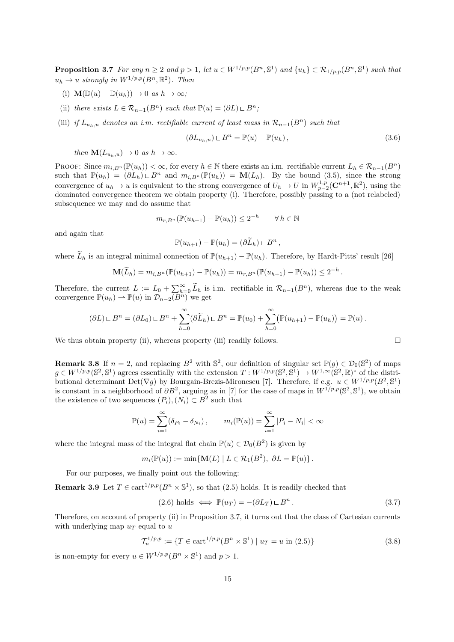**Proposition 3.7** For any  $n \geq 2$  and  $p > 1$ , let  $u \in W^{1/p,p}(B^n, \mathbb{S}^1)$  and  $\{u_h\} \subset \mathcal{R}_{1/p,p}(B^n, \mathbb{S}^1)$  such that  $u_h \to u$  *strongly in*  $W^{1/p,p}(B^n,\mathbb{R}^2)$ *. Then* 

- (i)  $\mathbf{M}(\mathbb{D}(u) \mathbb{D}(u_h)) \to 0$  *as*  $h \to \infty$ ;
- (ii) *there exists*  $L \in \mathcal{R}_{n-1}(B^n)$  *such that*  $\mathbb{P}(u) = (\partial L) \sqcup B^n$ ;
- (iii) *if*  $L_{u_h, u}$  *denotes an i.m. rectifiable current of least mass in*  $\mathcal{R}_{n-1}(B^n)$  *such that*

$$
(\partial L_{u_h, u}) \sqcup B^n = \mathbb{P}(u) - \mathbb{P}(u_h), \qquad (3.6)
$$

*then*  $\mathbf{M}(L_{u_h,u}) \to 0$  *as*  $h \to \infty$ *.* 

PROOF: Since  $m_i B_n(\mathbb{P}(u_h)) < \infty$ , for every  $h \in \mathbb{N}$  there exists an i.m. rectifiable current  $L_h \in \mathcal{R}_{n-1}(B^n)$ such that  $\mathbb{P}(u_h) = (\partial L_h) \cup B^n$  and  $m_{i,B^n}(\mathbb{P}(u_h)) = \mathbf{M}(L_h)$ . By the bound (3.5), since the strong convergence of  $u_h \to u$  is equivalent to the strong convergence of  $U_h \to U$  in  $W_{p-2}^{1,p}(\mathbb{C}^{n+1}, \mathbb{R}^2)$ , using the dominated convergence theorem we obtain property (i). Therefore, possibly passing to a (not relabeled) subsequence we may and do assume that

$$
m_{r,B^n}(\mathbb{P}(u_{h+1}) - \mathbb{P}(u_h)) \le 2^{-h} \qquad \forall \, h \in \mathbb{N}
$$

and again that

$$
\mathbb{P}(u_{h+1}) - \mathbb{P}(u_h) = (\partial \widetilde{L}_h) \sqcup B^n,
$$

where  $\widetilde{L}_h$  is an integral minimal connection of  $\mathbb{P}(u_{h+1}) - \mathbb{P}(u_h)$ . Therefore, by Hardt-Pitts' result [26]

$$
\mathbf{M}(\widetilde{L}_h) = m_{i,B^n}(\mathbb{P}(u_{h+1}) - \mathbb{P}(u_h)) = m_{r,B^n}(\mathbb{P}(u_{h+1}) - \mathbb{P}(u_h)) \leq 2^{-h}.
$$

Therefore, the current  $L := L_0 + \sum_{h=0}^{\infty} \tilde{L}_h$  is i.m. rectifiable in  $\mathcal{R}_{n-1}(B^n)$ , whereas due to the weak convergence  $\mathbb{P}(u_h) \to \mathbb{P}(u)$  in  $\mathcal{D}_{n-2}(B^n)$  we get

$$
(\partial L) \sqcup B^n = (\partial L_0) \sqcup B^n + \sum_{h=0}^{\infty} (\partial \widetilde{L}_h) \sqcup B^n = \mathbb{P}(u_0) + \sum_{h=0}^{\infty} (\mathbb{P}(u_{h+1}) - \mathbb{P}(u_h)) = \mathbb{P}(u).
$$

We thus obtain property (ii), whereas property (iii) readily follows.  $\Box$ 

**Remark 3.8** If  $n = 2$ , and replacing  $B^2$  with  $\mathbb{S}^2$ , our definition of singular set  $\mathbb{P}(g) \in \mathcal{D}_0(\mathbb{S}^2)$  of maps  $g \in W^{1/p,p}(\mathbb{S}^2, \mathbb{S}^1)$  agrees essentially with the extension  $T: W^{1/p,p}(\mathbb{S}^2, \mathbb{S}^1) \to W^{1,\infty}(\mathbb{S}^2, \mathbb{R})^*$  of the distributional determinant  $Det(\nabla g)$  by Bourgain-Brezis-Mironescu [7]. Therefore, if e.g.  $u \in W^{1/p,p}(B^2, \mathbb{S}^1)$ is constant in a neighborhood of  $\partial B^2$ , arguing as in [7] for the case of maps in  $W^{1/p,p}(\mathbb{S}^2,\mathbb{S}^1)$ , we obtain the existence of two sequences  $(P_i)$ ,  $(N_i) \subset B^2$  such that

$$
\mathbb{P}(u) = \sum_{i=1}^{\infty} (\delta_{P_i} - \delta_{N_i}), \qquad m_i(\mathbb{P}(u)) = \sum_{i=1}^{\infty} |P_i - N_i| < \infty
$$

where the integral mass of the integral flat chain  $\mathbb{P}(u) \in \mathcal{D}_0(B^2)$  is given by

$$
m_i(\mathbb{P}(u)) := \min\{\mathbf{M}(L) \mid L \in \mathcal{R}_1(B^2), \ \partial L = \mathbb{P}(u)\}.
$$

For our purposes, we finally point out the following:

**Remark 3.9** Let  $T \in \text{cart}^{1/p,p}(B^n \times \mathbb{S}^1)$ , so that  $(2.5)$  holds. It is readily checked that

$$
(2.6) holds \iff \mathbb{P}(u_T) = -(\partial L_T) \sqcup B^n. \tag{3.7}
$$

Therefore, on account of property (ii) in Proposition 3.7, it turns out that the class of Cartesian currents with underlying map *u<sup>T</sup>* equal to *u*

$$
\mathcal{T}_u^{1/p,p} := \{ T \in \text{cart}^{1/p,p}(B^n \times \mathbb{S}^1) \mid u_T = u \text{ in (2.5)} \}
$$
\n(3.8)

is non-empty for every  $u \in W^{1/p,p}(B^n \times \mathbb{S}^1)$  and  $p > 1$ .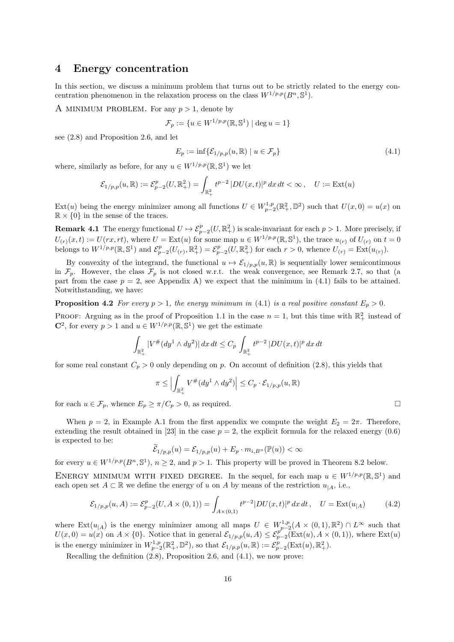# **4 Energy concentration**

In this section, we discuss a minimum problem that turns out to be strictly related to the energy concentration phenomenon in the relaxation process on the class  $W^{1/p,p}(B^n, \mathbb{S}^1)$ .

A MINIMUM PROBLEM. For any  $p > 1$ , denote by

$$
\mathcal{F}_p := \{ u \in W^{1/p,p}(\mathbb{R}, \mathbb{S}^1) \mid \deg u = 1 \}
$$

see (2.8) and Proposition 2.6, and let

$$
E_p := \inf \{ \mathcal{E}_{1/p,p}(u,\mathbb{R}) \mid u \in \mathcal{F}_p \}
$$
\n
$$
(4.1)
$$

where, similarly as before, for any  $u \in W^{1/p,p}(\mathbb{R}, \mathbb{S}^1)$  we let

$$
\mathcal{E}_{1/p,p}(u,\mathbb{R}) := \mathcal{E}_{p-2}^p(U,\mathbb{R}^2_+) = \int_{\mathbb{R}^2_+} t^{p-2} |DU(x,t)|^p \, dx \, dt < \infty \,, \quad U := \text{Ext}(u)
$$

Ext(*u*) being the energy minimizer among all functions  $U \in W_{p-2}^{1,p}(\mathbb{R}^2_+,\mathbb{D}^2)$  such that  $U(x,0) = u(x)$  on  $\mathbb{R} \times \{0\}$  in the sense of the traces.

**Remark 4.1** The energy functional  $U \mapsto \mathcal{E}_{p-2}^p(U,\mathbb{R}^2_+)$  is scale-invariant for each  $p > 1$ . More precisely, if  $U_{(r)}(x,t) := U(rx,rt)$ , where  $U = \text{Ext}(u)$  for some map  $u \in W^{1/p,p}(\mathbb{R}, \mathbb{S}^1)$ , the trace  $u_{(r)}$  of  $U_{(r)}$  on  $t = 0$ belongs to  $W^{1/p,p}(\mathbb{R}, \mathbb{S}^1)$  and  $\mathcal{E}_{p-2}^p(U_{(r)}, \mathbb{R}^2_+) = \mathcal{E}_{p-2}^p(U, \mathbb{R}^2_+)$  for each  $r > 0$ , whence  $U_{(r)} = \text{Ext}(u_{(r)})$ .

By convexity of the integrand, the functional  $u \mapsto \mathcal{E}_{1/p,p}(u,\mathbb{R})$  is sequentially lower semicontinuous in  $\mathcal{F}_p$ . However, the class  $\mathcal{F}_p$  is not closed w.r.t. the weak convergence, see Remark 2.7, so that (a part from the case  $p = 2$ , see Appendix A) we expect that the minimum in (4.1) fails to be attained. Notwithstanding, we have:

**Proposition 4.2** *For every*  $p > 1$ *, the energy minimum in* (4.1) *is a real positive constant*  $E_p > 0$ *.* 

PROOF: Arguing as in the proof of Proposition 1.1 in the case  $n = 1$ , but this time with  $\mathbb{R}^2_+$  instead of **C**<sup>2</sup>, for every  $p > 1$  and  $u \in W^{1/p,p}(\mathbb{R}, \mathbb{S}^1)$  we get the estimate

$$
\int_{\mathbb{R}^2_+} |V^\# (dy^1 \wedge dy^2)| \, dx \, dt \le C_p \int_{\mathbb{R}^2_+} t^{p-2} \, |DU(x, t)|^p \, dx \, dt
$$

for some real constant  $C_p > 0$  only depending on *p*. On account of definition (2.8), this yields that

$$
\pi \leq \Bigl|\int_{\mathbb{R}_+^2} V^\# (dy^1 \wedge dy^2)\Bigr| \leq C_p \cdot \mathcal{E}_{1/p,p}(u,\mathbb{R})
$$

for each  $u \in \mathcal{F}_p$ , whence  $E_p \geq \pi / C_p > 0$ , as required.

When  $p = 2$ , in Example A.1 from the first appendix we compute the weight  $E_2 = 2\pi$ . Therefore, extending the result obtained in [23] in the case  $p = 2$ , the explicit formula for the relaxed energy (0.6) is expected to be:

$$
\widetilde{\mathcal{E}}_{1/p,p}(u) = \mathcal{E}_{1/p,p}(u) + E_p \cdot m_{i,B^n}(\mathbb{P}(u)) < \infty
$$

for every  $u \in W^{1/p,p}(B^n, \mathbb{S}^1)$ ,  $n \geq 2$ , and  $p > 1$ . This property will be proved in Theorem 8.2 below.

ENERGY MINIMUM WITH FIXED DEGREE. In the sequel, for each map  $u \in W^{1/p,p}(\mathbb{R}, \mathbb{S}^1)$  and each open set  $A \subset \mathbb{R}$  we define the energy of *u* on *A* by means of the restriction  $u_{A}$ , i.e.,

$$
\mathcal{E}_{1/p,p}(u,A) := \mathcal{E}_{p-2}^p(U, A \times (0,1)) = \int_{A \times (0,1)} t^{p-2} |DU(x,t)|^p dx dt, \quad U = \text{Ext}(u_{|A})
$$
 (4.2)

where  $\text{Ext}(u_{|A})$  is the energy minimizer among all maps  $U \in W^{1,p}_{p-2}(A \times (0,1), \mathbb{R}^2) \cap L^{\infty}$  such that  $U(x,0) = u(x)$  on  $A \times \{0\}$ . Notice that in general  $\mathcal{E}_{1/p,p}(u, A) \leq \mathcal{E}_{p-2}^{p^k}(\text{Ext}(u), A \times (0,1)),$  where  $\text{Ext}(u)$ is the energy minimizer in  $W_{p-2}^{1,p}(\mathbb{R}^2_+, \mathbb{D}^2)$ , so that  $\mathcal{E}_{1/p,p}(u,\mathbb{R}) := \mathcal{E}_{p-2}^p(\text{Ext}(u), \mathbb{R}^2_+).$ 

Recalling the definition (2.8), Proposition 2.6, and (4.1), we now prove: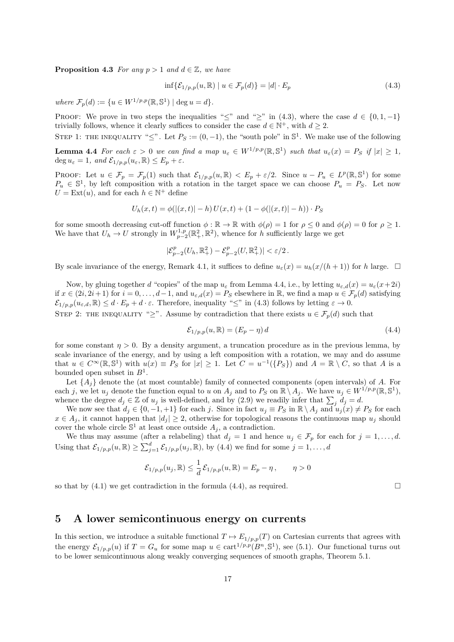**Proposition 4.3** *For any*  $p > 1$  *and*  $d \in \mathbb{Z}$ *, we have* 

$$
\inf \{ \mathcal{E}_{1/p,p}(u,\mathbb{R}) \mid u \in \mathcal{F}_p(d) \} = |d| \cdot E_p \tag{4.3}
$$

 $where \mathcal{F}_p(d) := \{ u \in W^{1/p,p}(\mathbb{R}, \mathbb{S}^1) \mid \deg u = d \}.$ 

PROOF: We prove in two steps the inequalities " $\leq$ " and " $\geq$ " in (4.3), where the case  $d \in \{0, 1, -1\}$ trivially follows, whence it clearly suffices to consider the case  $d \in \mathbb{N}^+$ , with  $d \geq 2$ .

STEP 1: THE INEQUALITY " $\leq$ ". Let  $P_S := (0, -1)$ , the "south pole" in  $\mathbb{S}^1$ . We make use of the following

**Lemma 4.4** For each  $\varepsilon > 0$  we can find a map  $u_{\varepsilon} \in W^{1/p,p}(\mathbb{R}, \mathbb{S}^1)$  such that  $u_{\varepsilon}(x) = P_S$  if  $|x| \geq 1$ ,  $\deg u_{\varepsilon} = 1$ *, and*  $\mathcal{E}_{1/p,p}(u_{\varepsilon}, \mathbb{R}) \leq E_p + \varepsilon$ *.* 

**PROOF:** Let  $u \in \mathcal{F}_p = \mathcal{F}_p(1)$  such that  $\mathcal{E}_{1/p,p}(u,\mathbb{R}) < E_p + \varepsilon/2$ . Since  $u - P_u \in L^p(\mathbb{R}, \mathbb{S}^1)$  for some  $P_u \in \mathbb{S}^1$ , by left composition with a rotation in the target space we can choose  $P_u = P_S$ . Let now  $U = \text{Ext}(u)$ , and for each  $h \in \mathbb{N}^+$  define

$$
U_h(x,t) = \phi(|(x,t)| - h) U(x,t) + (1 - \phi(|(x,t)| - h)) \cdot P_S
$$

for some smooth decreasing cut-off function  $\phi : \mathbb{R} \to \mathbb{R}$  with  $\phi(\rho) = 1$  for  $\rho \leq 0$  and  $\phi(\rho) = 0$  for  $\rho \geq 1$ . We have that  $U_h \to U$  strongly in  $W_{p-2}^{1,p}(\mathbb{R}^2_+,\mathbb{R}^2)$ , whence for *h* sufficiently large we get

$$
|\mathcal{E}_{p-2}^p(U_h,\mathbb{R}^2_+) - \mathcal{E}_{p-2}^p(U,\mathbb{R}^2_+)| < \varepsilon/2 \,.
$$

By scale invariance of the energy, Remark 4.1, it suffices to define  $u_{\varepsilon}(x) = u_h(x/(h+1))$  for *h* large.  $\square$ 

Now, by gluing together *d* "copies" of the map  $u_{\varepsilon}$  from Lemma 4.4, i.e., by letting  $u_{\varepsilon,d}(x) = u_{\varepsilon}(x+2i)$ if *x* ∈ (2*i*, 2*i*+1) for *i* = 0, . . . , *d* − 1, and  $u_{\varepsilon,d}(x) = P_S$  elsewhere in ℝ, we find a map  $u \in \mathcal{F}_p(d)$  satisfying  $\mathcal{E}_{1/p,p}(u_{\varepsilon,d},\mathbb{R}) \leq d \cdot E_p + d \cdot \varepsilon$ . Therefore, inequality " $\leq$ " in (4.3) follows by letting  $\varepsilon \to 0$ .

STEP 2: THE INEQUALITY "<sup>2</sup>". Assume by contradiction that there exists  $u \in \mathcal{F}_p(d)$  such that

$$
\mathcal{E}_{1/p,p}(u,\mathbb{R}) = (E_p - \eta) d \tag{4.4}
$$

for some constant  $\eta > 0$ . By a density argument, a truncation procedure as in the previous lemma, by scale invariance of the energy, and by using a left composition with a rotation, we may and do assume that  $u \in C^{\infty}(\mathbb{R}, \mathbb{S}^1)$  with  $u(x) \equiv P_S$  for  $|x| \geq 1$ . Let  $C = u^{-1}(\{P_S\})$  and  $A = \mathbb{R} \setminus C$ , so that A is a bounded open subset in *B*<sup>1</sup> .

Let  ${A_i}$  denote the (at most countable) family of connected components (open intervals) of *A*. For each j, we let  $u_j$  denote the function equal to u on  $A_j$  and to  $P_S$  on  $\mathbb{R}\setminus A_j$ . We have  $u_j \in W^{1/p,p}(\mathbb{R}, \mathbb{S}^1)$ , whence the degree  $d_j \in \mathbb{Z}$  of  $u_j$  is well-defined, and by (2.9) we readily infer that  $\sum_j d_j = d$ .

We now see that  $d_j \in \{0, -1, +1\}$  for each j. Since in fact  $u_j \equiv P_S$  in  $\mathbb{R} \setminus A_j$  and  $u_j(x) \neq P_S$  for each *x* ∈ *A*<sub>*j*</sub>, it cannot happen that  $|d_i|$  ≥ 2, otherwise for topological reasons the continuous map *u<sub>j</sub>* should cover the whole circle  $\mathbb{S}^1$  at least once outside  $A_j$ , a contradiction.

We thus may assume (after a relabeling) that  $d_j = 1$  and hence  $u_j \in \mathcal{F}_p$  for each for  $j = 1, \ldots, d$ . Using that  $\mathcal{E}_{1/p,p}(u,\mathbb{R}) \geq \sum_{j=1}^{d} \mathcal{E}_{1/p,p}(u_j,\mathbb{R})$ , by (4.4) we find for some  $j = 1, \ldots, d$ 

$$
\mathcal{E}_{1/p,p}(u_j,\mathbb{R}) \leq \frac{1}{d} \mathcal{E}_{1/p,p}(u,\mathbb{R}) = E_p - \eta, \qquad \eta > 0
$$

so that by  $(4.1)$  we get contradiction in the formula  $(4.4)$ , as required.

### **5 A lower semicontinuous energy on currents**

In this section, we introduce a suitable functional  $T \mapsto E_{1/p,p}(T)$  on Cartesian currents that agrees with the energy  $\mathcal{E}_{1/p,p}(u)$  if  $T = G_u$  for some map  $u \in \text{cart}^{1/p,p}(B^n, \mathbb{S}^1)$ , see (5.1). Our functional turns out to be lower semicontinuous along weakly converging sequences of smooth graphs, Theorem 5.1.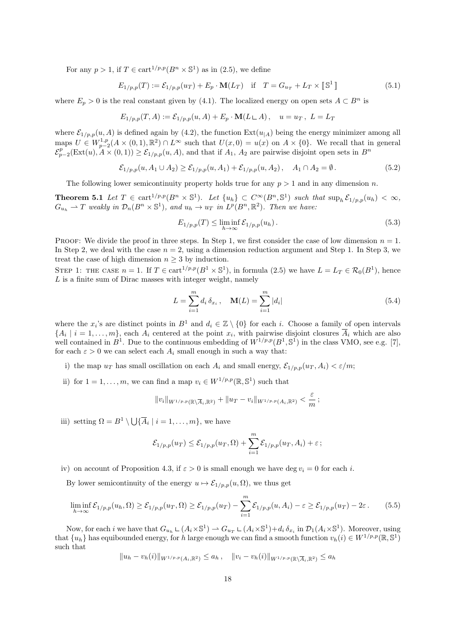For any  $p > 1$ , if  $T \in \text{cart}^{1/p,p}(B^n \times \mathbb{S}^1)$  as in (2.5), we define

$$
E_{1/p,p}(T) := \mathcal{E}_{1/p,p}(u_T) + E_p \cdot \mathbf{M}(L_T) \quad \text{if} \quad T = G_{u_T} + L_T \times [\mathbb{S}^1] \tag{5.1}
$$

where  $E_p > 0$  is the real constant given by (4.1). The localized energy on open sets  $A \subset B^n$  is

$$
E_{1/p,p}(T, A) := \mathcal{E}_{1/p,p}(u, A) + E_p \cdot \mathbf{M}(L \sqcup A), \quad u = u_T, \ L = L_T
$$

where  $\mathcal{E}_{1/p,p}(u, A)$  is defined again by (4.2), the function  $\text{Ext}(u_{|A})$  being the energy minimizer among all maps  $U \in W^{1,p}_{p-2}(A \times (0,1), \mathbb{R}^2) \cap L^{\infty}$  such that  $U(x,0) = u(x)$  on  $A \times \{0\}$ . We recall that in general  $\mathcal{E}_{p-2}^p(\text{Ext}(u), A \times (0,1)) \geq \mathcal{E}_{1/p,p}(u, A)$ , and that if *A*<sub>1</sub>, *A*<sub>2</sub> are pairwise disjoint open sets in *B*<sup>*n*</sup>

$$
\mathcal{E}_{1/p,p}(u, A_1 \cup A_2) \ge \mathcal{E}_{1/p,p}(u, A_1) + \mathcal{E}_{1/p,p}(u, A_2), \quad A_1 \cap A_2 = \emptyset.
$$
\n(5.2)

The following lower semicontinuity property holds true for any *p >* 1 and in any dimension *n*.

**Theorem 5.1** Let  $T \in \text{cart}^{1/p,p}(B^n \times \mathbb{S}^1)$ . Let  $\{u_h\} \subset C^{\infty}(B^n, \mathbb{S}^1)$  such that  $\sup_h \mathcal{E}_{1/p,p}(u_h) < \infty$ ,  $G_{u_h} \rightharpoonup T$  weakly in  $\mathcal{D}_n(B^n \times \mathbb{S}^1)$ , and  $u_h \to u_T$  in  $L^p(B^n, \mathbb{R}^2)$ . Then we have:

$$
E_{1/p,p}(T) \le \liminf_{h \to \infty} \mathcal{E}_{1/p,p}(u_h). \tag{5.3}
$$

PROOF: We divide the proof in three steps. In Step 1, we first consider the case of low dimension  $n = 1$ . In Step 2, we deal with the case  $n = 2$ , using a dimension reduction argument and Step 1. In Step 3, we treat the case of high dimension  $n \geq 3$  by induction.

STEP 1: THE CASE  $n = 1$ . If  $T \in \text{cart}^{1/p,p}(B^1 \times \mathbb{S}^1)$ , in formula (2.5) we have  $L = L_T \in \mathcal{R}_0(B^1)$ , hence *L* is a finite sum of Dirac masses with integer weight, namely

$$
L = \sum_{i=1}^{m} d_i \, \delta_{x_i} \,, \quad \mathbf{M}(L) = \sum_{i=1}^{m} |d_i| \tag{5.4}
$$

where the  $x_i$ 's are distinct points in  $B^1$  and  $d_i \in \mathbb{Z} \setminus \{0\}$  for each *i*. Choose a family of open intervals  $\{A_i \mid i = 1, \ldots, m\}$ , each  $A_i$  centered at the point  $x_i$ , with pairwise disjoint closures  $A_i$  which are also well contained in  $B^1$ . Due to the continuous embedding of  $W^{1/p,p}(B^1, \mathbb{S}^1)$  in the class VMO, see e.g. [7], for each  $\varepsilon > 0$  we can select each  $A_i$  small enough in such a way that:

- i) the map  $u_T$  has small oscillation on each  $A_i$  and small energy,  $\mathcal{E}_{1/p,p}(u_T, A_i) < \varepsilon/m$ ;
- ii) for  $1 = 1, \ldots, m$ , we can find a map  $v_i \in W^{1/p, p}(\mathbb{R}, \mathbb{S}^1)$  such that

$$
||v_i||_{W^{1/p,p}(\mathbb{R}\setminus\overline{A}_i,\mathbb{R}^2)} + ||u_T - v_i||_{W^{1/p,p}(A_i,\mathbb{R}^2)} < \frac{\varepsilon}{m};
$$

iii) setting  $\Omega = B^1 \setminus \bigcup \{ \overline{A}_i \mid i = 1, \ldots, m \}$ , we have

$$
\mathcal{E}_{1/p,p}(u_T) \leq \mathcal{E}_{1/p,p}(u_T,\Omega) + \sum_{i=1}^m \mathcal{E}_{1/p,p}(u_T,A_i) + \varepsilon;
$$

iv) on account of Proposition 4.3, if  $\varepsilon > 0$  is small enough we have deg  $v_i = 0$  for each *i*.

By lower semicontinuity of the energy  $u \mapsto \mathcal{E}_{1/p,p}(u,\Omega)$ , we thus get

$$
\liminf_{h \to \infty} \mathcal{E}_{1/p,p}(u_h, \Omega) \geq \mathcal{E}_{1/p,p}(u_T, \Omega) \geq \mathcal{E}_{1/p,p}(u_T) - \sum_{i=1}^m \mathcal{E}_{1/p,p}(u, A_i) - \varepsilon \geq \mathcal{E}_{1/p,p}(u_T) - 2\varepsilon. \tag{5.5}
$$

Now, for each *i* we have that  $G_{u_h} \sqcup (A_i \times \mathbb{S}^1) \to G_{u_T} \sqcup (A_i \times \mathbb{S}^1) + d_i \, \delta_{x_i}$  in  $\mathcal{D}_1(A_i \times \mathbb{S}^1)$ . Moreover, using that  $\{u_h\}$  has equibounded energy, for *h* large enough we can find a smooth function  $v_h(i) \in W^{1/p,p}(\mathbb{R}, \mathbb{S}^1)$ such that

$$
||u_h - v_h(i)||_{W^{1/p,p}(A_i, \mathbb{R}^2)} \le a_h, \quad ||v_i - v_h(i)||_{W^{1/p,p}(\mathbb{R}\setminus\overline{A}_i, \mathbb{R}^2)} \le a_h
$$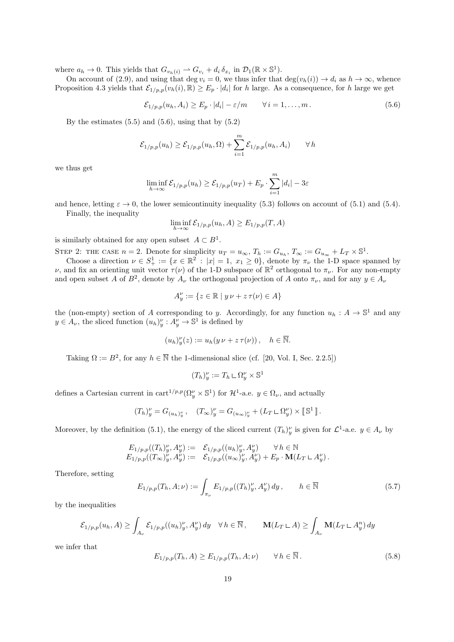where  $a_h \to 0$ . This yields that  $G_{v_h(i)} \to G_{v_i} + d_i \, \delta_{x_i}$  in  $\mathcal{D}_1(\mathbb{R} \times \mathbb{S}^1)$ .

On account of (2.9), and using that deg  $v_i = 0$ , we thus infer that  $\deg(v_h(i)) \to d_i$  as  $h \to \infty$ , whence Proposition 4.3 yields that  $\mathcal{E}_{1/p,p}(v_h(i), \mathbb{R}) \ge E_p \cdot |d_i|$  for *h* large. As a consequence, for *h* large we get

$$
\mathcal{E}_{1/p,p}(u_h, A_i) \ge E_p \cdot |d_i| - \varepsilon/m \qquad \forall \, i = 1, \dots, m \,. \tag{5.6}
$$

By the estimates  $(5.5)$  and  $(5.6)$ , using that by  $(5.2)$ 

$$
\mathcal{E}_{1/p,p}(u_h) \geq \mathcal{E}_{1/p,p}(u_h,\Omega) + \sum_{i=1}^m \mathcal{E}_{1/p,p}(u_h,A_i) \qquad \forall h
$$

we thus get

$$
\liminf_{h \to \infty} \mathcal{E}_{1/p,p}(u_h) \ge \mathcal{E}_{1/p,p}(u_T) + E_p \cdot \sum_{i=1}^m |d_i| - 3\varepsilon
$$

and hence, letting  $\varepsilon \to 0$ , the lower semicontinuity inequality (5.3) follows on account of (5.1) and (5.4). Finally, the inequality

$$
\liminf_{h \to \infty} \mathcal{E}_{1/p,p}(u_h, A) \ge E_{1/p,p}(T, A)
$$

is similarly obtained for any open subset  $A \subset B^1$ .

STEP 2: THE CASE  $n = 2$ . Denote for simplicity  $u_T = u_\infty$ ,  $T_h := G_{u_h}$ ,  $T_\infty := G_{u_\infty} + L_T \times \mathbb{S}^1$ .

Choose a direction  $\nu \in S^1_+ := \{x \in \mathbb{R}^2 : |x| = 1, x_1 \ge 0\}$ , denote by  $\pi_{\nu}$  the 1-D space spanned by *ν*, and fix an orienting unit vector  $\tau(\nu)$  of the 1-D subspace of  $\mathbb{R}^2$  orthogonal to  $\pi_\nu$ . For any non-empty and open subset *A* of  $B^2$ , denote by  $A_\nu$  the orthogonal projection of *A* onto  $\pi_\nu$ , and for any  $y \in A_\nu$ 

$$
A_y^{\nu} := \{ z \in \mathbb{R} \mid y \nu + z \tau(\nu) \in A \}
$$

the (non-empty) section of *A* corresponding to *y*. Accordingly, for any function  $u_h: A \to \mathbb{S}^1$  and any  $y \in A_{\nu}$ , the sliced function  $(u_h)^{\nu}_{y}: A_{y}^{\nu} \to \mathbb{S}^1$  is defined by

$$
(u_h)_y^{\nu}(z) := u_h(y \nu + z \tau(\nu)), \quad h \in \overline{\mathbb{N}}.
$$

Taking  $\Omega := B^2$ , for any  $h \in \overline{\mathbb{N}}$  the 1-dimensional slice (cf. [20, Vol. I, Sec. 2.2.5])

$$
(T_h)'_y := T_h \sqcup \Omega_y^{\nu} \times \mathbb{S}^1
$$

defines a Cartesian current in cart<sup>1/p,p</sup>( $\Omega_y^{\nu} \times \mathbb{S}^1$ ) for  $\mathcal{H}^1$ -a.e.  $y \in \Omega_{\nu}$ , and actually

$$
(T_h)^{\nu}_y = G_{(u_h)^{\nu}_y}, \quad (T_\infty)^{\nu}_y = G_{(u_\infty)^{\nu}_y} + (L_T \mathop{\perp} \Omega^{\nu}_y) \times [\![ \mathbb{S}^1 ]\!].
$$

Moreover, by the definition (5.1), the energy of the sliced current  $(T_h)_{y}^{\nu}$  is given for  $\mathcal{L}^1$ -a.e.  $y \in A_{\nu}$  by

$$
E_{1/p,p}((T_h)_{y}^{\nu}, A_{y}^{\nu}) := \mathcal{E}_{1/p,p}((u_h)_{y}^{\nu}, A_{y}^{\nu}) \quad \forall h \in \mathbb{N}
$$
  

$$
E_{1/p,p}((T_{\infty})_{y}^{\nu}, A_{y}^{\nu}) := \mathcal{E}_{1/p,p}((u_{\infty})_{y}^{\nu}, A_{y}^{\nu}) + E_p \cdot \mathbf{M}(L_T \sqcup A_{y}^{\nu}).
$$

Therefore, setting

$$
E_{1/p,p}(T_h, A; \nu) := \int_{\pi_{\nu}} E_{1/p,p}((T_h)'_y, A''_y) dy, \qquad h \in \overline{\mathbb{N}} \tag{5.7}
$$

by the inequalities

$$
\mathcal{E}_{1/p,p}(u_h, A) \ge \int_{A_{\nu}} \mathcal{E}_{1/p,p}((u_h)_{y}^{\nu}, A_{y}^{\nu}) dy \quad \forall \, h \in \overline{\mathbb{N}}, \qquad \mathbf{M}(L_T \sqcup A) \ge \int_{A_{\nu}} \mathbf{M}(L_T \sqcup A_{y}^n) dy
$$

we infer that

$$
E_{1/p,p}(T_h, A) \ge E_{1/p,p}(T_h, A; \nu) \qquad \forall h \in \overline{\mathbb{N}}.
$$
\n
$$
(5.8)
$$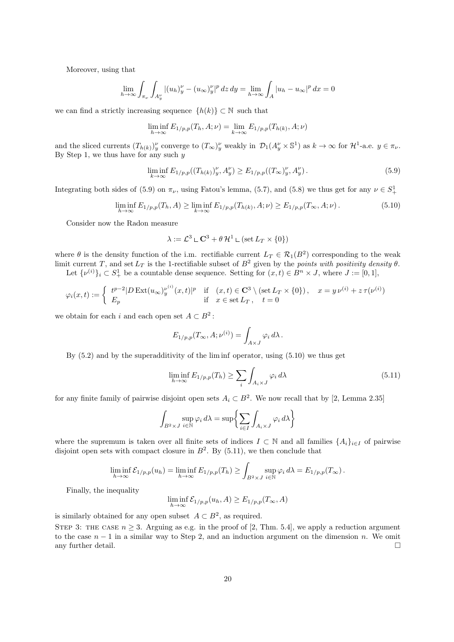Moreover, using that

$$
\lim_{h \to \infty} \int_{\pi_{\nu}} \int_{A_y^{\nu}} |(u_h)_y^{\nu} - (u_{\infty})_y^{\nu}|^p \, dz \, dy = \lim_{h \to \infty} \int_{A} |u_h - u_{\infty}|^p \, dx = 0
$$

we can find a strictly increasing sequence  $\{h(k)\}\subset\mathbb{N}$  such that

$$
\liminf_{h \to \infty} E_{1/p,p}(T_h, A; \nu) = \lim_{k \to \infty} E_{1/p,p}(T_{h(k)}, A; \nu)
$$

and the sliced currents  $(T_{h(k)})_y^{\nu}$  converge to  $(T_{\infty})_y^{\nu}$  weakly in  $\mathcal{D}_1(A_y^{\nu} \times \mathbb{S}^1)$  as  $k \to \infty$  for  $\mathcal{H}^1$ -a.e.  $y \in \pi_{\nu}$ . By Step 1, we thus have for any such *y*

$$
\liminf_{k \to \infty} E_{1/p,p}((T_{h(k)})_y^{\nu}, A_y^{\nu}) \ge E_{1/p,p}((T_{\infty})_y^{\nu}, A_y^{\nu}). \tag{5.9}
$$

Integrating both sides of (5.9) on  $\pi_{\nu}$ , using Fatou's lemma, (5.7), and (5.8) we thus get for any  $\nu \in S^1_+$ 

$$
\liminf_{h \to \infty} E_{1/p,p}(T_h, A) \ge \liminf_{k \to \infty} E_{1/p,p}(T_{h(k)}, A; \nu) \ge E_{1/p,p}(T_{\infty}, A; \nu).
$$
\n(5.10)

Consider now the Radon measure

$$
\lambda := \mathcal{L}^3 \sqcup \mathbf{C}^3 + \theta \mathcal{H}^1 \sqcup (\mathrm{set} \, L_T \times \{0\})
$$

where  $\theta$  is the density function of the i.m. rectifiable current  $L_T \in \mathcal{R}_1(B^2)$  corresponding to the weak limit current *T*, and set  $L_T$  is the 1-rectifiable subset of  $B^2$  given by the *points with positivity density*  $\theta$ .

Let  $\{\nu^{(i)}\}_i \subset S^1_+$  be a countable dense sequence. Setting for  $(x, t) \in B^n \times J$ , where  $J := [0, 1]$ ,

$$
\varphi_i(x,t) := \begin{cases} t^{p-2} |D \operatorname{Ext}(u_{\infty})_{y}^{\nu^{(i)}}(x,t)|^p & \text{if } (x,t) \in \mathbb{C}^3 \setminus (\operatorname{set} L_T \times \{0\}), & x = y \nu^{(i)} + z \tau(\nu^{(i)}) \\ E_p & \text{if } x \in \operatorname{set} L_T, \quad t = 0 \end{cases}
$$

we obtain for each *i* and each open set  $A \subset B^2$ :

$$
E_{1/p,p}(T_{\infty}, A; \nu^{(i)}) = \int_{A \times J} \varphi_i d\lambda.
$$

By  $(5.2)$  and by the superadditivity of the lim inf operator, using  $(5.10)$  we thus get

$$
\liminf_{h \to \infty} E_{1/p,p}(T_h) \ge \sum_i \int_{A_i \times J} \varphi_i \, d\lambda \tag{5.11}
$$

for any finite family of pairwise disjoint open sets  $A_i \subset B^2$ . We now recall that by [2, Lemma 2.35]

$$
\int_{B^2 \times J} \sup_{i \in \mathbb{N}} \varphi_i d\lambda = \sup \left\{ \sum_{i \in I} \int_{A_i \times J} \varphi_i d\lambda \right\}
$$

where the supremum is taken over all finite sets of indices  $I \subset \mathbb{N}$  and all families  $\{A_i\}_{i \in I}$  of pairwise disjoint open sets with compact closure in  $B^2$ . By  $(5.11)$ , we then conclude that

$$
\liminf_{h\to\infty} \mathcal{E}_{1/p,p}(u_h) = \liminf_{h\to\infty} E_{1/p,p}(T_h) \ge \int_{B^2 \times J} \sup_{i \in \mathbb{N}} \varphi_i \, d\lambda = E_{1/p,p}(T_\infty) \, .
$$

Finally, the inequality

$$
\liminf_{h \to \infty} \mathcal{E}_{1/p,p}(u_h, A) \ge E_{1/p,p}(T_{\infty}, A)
$$

is similarly obtained for any open subset  $A \subset B^2$ , as required.

STEP 3: THE CASE  $n \geq 3$ . Arguing as e.g. in the proof of [2, Thm. 5.4], we apply a reduction argument to the case *n −* 1 in a similar way to Step 2, and an induction argument on the dimension *n*. We omit any further detail.  $\Box$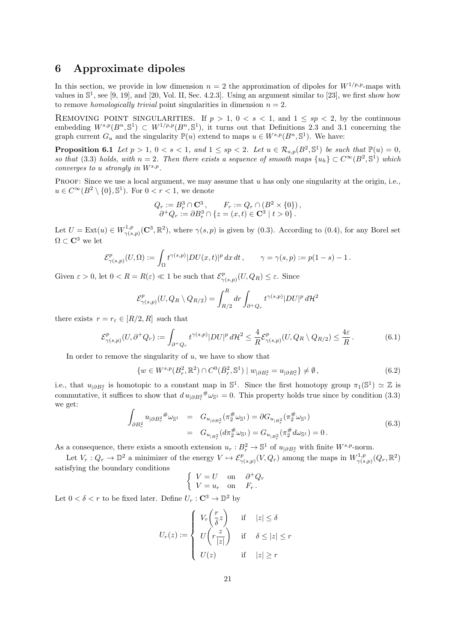### **6 Approximate dipoles**

In this section, we provide in low dimension  $n = 2$  the approximation of dipoles for  $W^{1/p,p}$ -maps with values in  $\mathbb{S}^1$ , see [9, 19], and [20, Vol. II, Sec. 4.2.3]. Using an argument similar to [23], we first show how to remove *homologically trivial* point singularities in dimension  $n = 2$ .

REMOVING POINT SINGULARITIES. If  $p > 1$ ,  $0 < s < 1$ , and  $1 \le sp < 2$ , by the continuous embedding  $W^{s,p}(B^n, \mathbb{S}^1) \subset W^{1/p,p}(B^n, \mathbb{S}^1)$ , it turns out that Definitions 2.3 and 3.1 concerning the graph current  $G_u$  and the singularity  $\mathbb{P}(u)$  extend to maps  $u \in W^{s,p}(B^n, \mathbb{S}^1)$ . We have:

**Proposition 6.1** *Let*  $p > 1$ ,  $0 < s < 1$ , and  $1 \le sp < 2$ . Let  $u \in \mathcal{R}_{s,p}(B^2, \mathbb{S}^1)$  be such that  $\mathbb{P}(u) = 0$ , *so that* (3.3) *holds, with*  $n = 2$ . Then there exists a sequence of smooth maps  $\{u_h\} \subset C^\infty(B^2, \mathbb{S}^1)$  which *converges to u strongly in Ws,p .*

PROOF: Since we use a local argument, we may assume that *u* has only one singularity at the origin, i.e., *u* ∈  $C^{\infty}(B^2 \setminus \{0\}, \mathbb{S}^1)$ . For  $0 < r < 1$ , we denote

$$
Q_r := B_r^3 \cap \mathbf{C}^3, \qquad F_r := Q_r \cap (B^2 \times \{0\}),
$$
  
\n
$$
\partial^+ Q_r := \partial B_r^3 \cap \{z = (x, t) \in \mathbf{C}^3 \mid t > 0\}.
$$

Let  $U = \text{Ext}(u) \in W^{1,p}_{\gamma(s)}$ <sup>1,*p*</sup><sub> $\gamma(s,p)$ </sub> (**C**<sup>3</sup>,  $\mathbb{R}^2$ ), where  $\gamma(s,p)$  is given by (0.3). According to (0.4), for any Borel set  $\Omega \subset \mathbf{C}^3$  we let

$$
\mathcal{E}^p_{\gamma(s,p)}(U,\Omega):=\int_\Omega t^{\gamma(s,p)}|DU(x,t)|^p\,dx\,dt\,,\qquad \gamma=\gamma(s,p):=p(1-s)-1\,.
$$

Given  $\varepsilon > 0$ , let  $0 < R = R(\varepsilon) \ll 1$  be such that  $\mathcal{E}_{\infty}^p$ *γ*(*s,p*) (*U, QR*) *≤ ε*. Since

$$
\mathcal{E}_{\gamma(s,p)}^p(U, Q_R \setminus Q_{R/2}) = \int_{R/2}^R dr \int_{\partial^+ Q_r} t^{\gamma(s,p)} |DU|^p d\mathcal{H}^2
$$

there exists  $r = r_{\varepsilon} \in [R/2, R]$  such that

$$
\mathcal{E}^p_{\gamma(s,p)}(U,\partial^+Q_r) := \int_{\partial^+Q_r} t^{\gamma(s,p)} |DU|^p \, d\mathcal{H}^2 \le \frac{4}{R} \mathcal{E}^p_{\gamma(s,p)}(U,Q_R \setminus Q_{R/2}) \le \frac{4\varepsilon}{R} \,. \tag{6.1}
$$

In order to remove the singularity of *u*, we have to show that

$$
\{w \in W^{s,p}(B_r^2, \mathbb{R}^2) \cap C^0(\bar{B}_r^2, \mathbb{S}^1) \mid w_{|\partial B_r^2} = u_{|\partial B_r^2}\} \neq \emptyset,
$$
\n(6.2)

i.e., that  $u_{|\partial B_r^2}$  is homotopic to a constant map in  $\mathbb{S}^1$ . Since the first homotopy group  $\pi_1(\mathbb{S}^1) \simeq \mathbb{Z}$  is commutative, it suffices to show that  $du_{|\partial B_r^2} \# \omega_{\mathbb{S}^1} = 0$ . This property holds true since by condition (3.3) we get:

$$
\int_{\partial B_r^2} u_{|\partial B_r^2}^{\#} \omega_{\mathbb{S}^1} = G_{u_{|\partial B_r^2}}(\pi_2^{\#} \omega_{\mathbb{S}^1}) = \partial G_{u_{|\partial F_r^2}}(\pi_2^{\#} \omega_{\mathbb{S}^1})
$$
\n
$$
= G_{u_{|\partial F_r^2}}(d\pi_2^{\#} \omega_{\mathbb{S}^1}) = G_{u_{|\partial F_r^2}}(\pi_2^{\#} d\omega_{\mathbb{S}^1}) = 0.
$$
\n(6.3)

As a consequence, there exists a smooth extension  $u_r : B_r^2 \to \mathbb{S}^1$  of  $u_{|\partial B_r^2}$  with finite  $W^{s,p}$ -norm.

Let  $V_r: Q_r \to \mathbb{D}^2$  a minimizer of the energy  $V \mapsto \mathcal{E}^p_{\gamma(s,p)}(V,Q_r)$  among the maps in  $W^{1,p}_{\gamma(s,p)}$  $\frac{\gamma^{1,p}}{\gamma(s,p)}(Q_r,\mathbb{R}^2)$ satisfying the boundary conditions

$$
\begin{cases}\nV = U & \text{on} \quad \partial^+ Q_r \\
V = u_r & \text{on} \quad F_r\n\end{cases}
$$

Let  $0 < \delta < r$  to be fixed later. Define  $U_r : \mathbb{C}^3 \to \mathbb{D}^2$  by

$$
U_r(z) := \begin{cases} V_r\left(\frac{r}{\delta}z\right) & \text{if } |z| \le \delta \\ U\left(r\frac{z}{|z|}\right) & \text{if } \delta \le |z| \le r \\ U(z) & \text{if } |z| \ge r \end{cases}
$$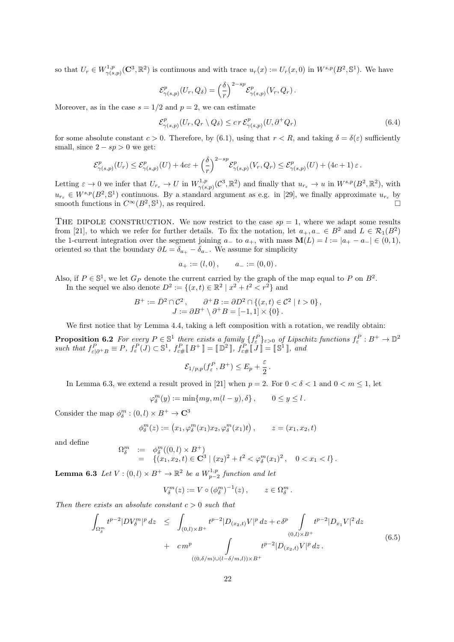so that  $U_r \in W^{1,p}_{\gamma(s)}$  $V^{1,p}_{\gamma(s,p)}(\mathbf{C}^3,\mathbb{R}^2)$  is continuous and with trace  $u_r(x) := U_r(x,0)$  in  $W^{s,p}(B^2,\mathbb{S}^1)$ . We have

$$
\mathcal{E}^p_{\gamma(s,p)}(U_r, Q_\delta) = \left(\frac{\delta}{r}\right)^{2-sp} \mathcal{E}^p_{\gamma(s,p)}(V_r, Q_r).
$$

Moreover, as in the case  $s = 1/2$  and  $p = 2$ , we can estimate

$$
\mathcal{E}^p_{\gamma(s,p)}(U_r, Q_r \setminus Q_\delta) \le cr \mathcal{E}^p_{\gamma(s,p)}(U, \partial^+ Q_r) \tag{6.4}
$$

for some absolute constant  $c > 0$ . Therefore, by (6.1), using that  $r < R$ , and taking  $\delta = \delta(\varepsilon)$  sufficiently small, since  $2 - sp > 0$  we get:

$$
\mathcal{E}^p_{\gamma(s,p)}(U_r) \leq \mathcal{E}^p_{\gamma(s,p)}(U) + 4c\varepsilon + \left(\frac{\delta}{r}\right)^{2-sp} \mathcal{E}^p_{\gamma(s,p)}(V_r, Q_r) \leq \mathcal{E}^p_{\gamma(s,p)}(U) + (4c+1)\varepsilon.
$$

Letting  $\varepsilon \to 0$  we infer that  $U_{r_{\varepsilon}} \to U$  in  $W_{\gamma(s)}^{1,p}$  $v_{\gamma(s,p)}^{1,p}(\mathcal{C}^3,\mathbb{R}^2)$  and finally that  $u_{r_\varepsilon} \to u$  in  $W^{s,p}(B^2,\mathbb{R}^2)$ , with  $u_{r_{\varepsilon}} \in W^{s,p}(B^2, \mathbb{S}^1)$  continuous. By a standard argument as e.g. in [29], we finally approximate  $u_{r_{\varepsilon}}$  by smooth functions in  $C^{\infty}(B^2, \mathbb{S}^1)$ , as required.

THE DIPOLE CONSTRUCTION. We now restrict to the case  $sp = 1$ , where we adapt some results from [21], to which we refer for further details. To fix the notation, let  $a_+, a_- \in B^2$  and  $L \in \mathcal{R}_1(B^2)$ the 1-current integration over the segment joining  $a_-\text{ to }a_+$ , with mass  $\mathbf{M}(L) = l := |a_+ - a_-| \in (0,1)$ , oriented so that the boundary  $\partial L = \delta_{a_{+}} - \delta_{a_{-}}$ . We assume for simplicity

$$
a_+ := (l,0), \qquad a_- := (0,0).
$$

Also, if  $P \in \mathbb{S}^1$ , we let  $G_P$  denote the current carried by the graph of the map equal to P on  $B^2$ . In the sequel we also denote  $D^2 := \{(x, t) \in \mathbb{R}^2 \mid x^2 + t^2 < r^2\}$  and

$$
B^+ := \overline{D}^2 \cap \mathcal{C}^2, \qquad \partial^+ B := \partial D^2 \cap \{(x, t) \in \mathcal{C}^2 \mid t > 0\},
$$
  

$$
J := \partial B^+ \setminus \partial^+ B = [-1, 1] \times \{0\}.
$$

We first notice that by Lemma 4.4, taking a left composition with a rotation, we readily obtain:

**Proposition 6.2** For every  $P \in \mathbb{S}^1$  there exists a family  $\{f^P_\varepsilon\}_{\varepsilon>0}$  of Lipschitz functions  $f^P_\varepsilon : B^+ \to \mathbb{D}^2$ such that  $f_{\varepsilon|\partial^+B}^P \equiv P$ ,  $f_{\varepsilon}^P(J) \subset \mathbb{S}^1$ ,  $f_{\varepsilon\#}^P[B^+] = [\mathbb{D}^2]$ ,  $f_{\varepsilon\#}^P[J] = [\mathbb{S}^1]$ , and

$$
\mathcal{E}_{1/p,p}(f_{\varepsilon}^P, B^+) \le E_p + \frac{\varepsilon}{2}.
$$

In Lemma 6.3, we extend a result proved in [21] when  $p = 2$ . For  $0 < \delta < 1$  and  $0 < m \le 1$ , let

$$
\varphi_\delta^m(y) := \min\{my, m(l-y), \delta\}, \qquad 0 \le y \le l.
$$

Consider the map  $\phi_{\delta}^{m} : (0, l) \times B^{+} \to \mathbb{C}^{3}$ 

Ω *m δ*

$$
\phi_{\delta}^{m}(z) := (x_1, \varphi_{\delta}^{m}(x_1)x_2, \varphi_{\delta}^{m}(x_1)t), \qquad z = (x_1, x_2, t)
$$

and define

$$
\begin{array}{rcl}\n:= & \phi_{\delta}^{m}((0,l)\times B^{+}) \\
= & \{(x_{1},x_{2},t)\in \mathbf{C}^{3}\mid (x_{2})^{2}+t^{2}<\varphi_{\delta}^{m}(x_{1})^{2}\,,\quad 0
$$

**Lemma 6.3** *Let*  $V : (0, l) \times B^+ \to \mathbb{R}^2$  *be a*  $W_{p-2}^{1,p}$  *function and let* 

$$
V_{\delta}^m(z) := V \circ (\phi_{\delta}^m)^{-1}(z), \qquad z \in \Omega_{\delta}^m.
$$

*Then there exists an absolute constant c >* 0 *such that*

$$
\int_{\Omega_{\delta}^{m}} t^{p-2} |DV_{\delta}^{m}|^{p} dz \leq \int_{(0,l)\times B^{+}} t^{p-2} |D_{(x_{2},t)}V|^{p} dz + c\delta^{p} \int_{(0,l)\times B^{+}} t^{p-2} |D_{x_{1}}V|^{2} dz \n+ cm^{p} \int_{((0,\delta/m)\cup(l-\delta/m,l))\times B^{+}} t^{p-2} |D_{(x_{2},t)}V|^{p} dz.
$$
\n(6.5)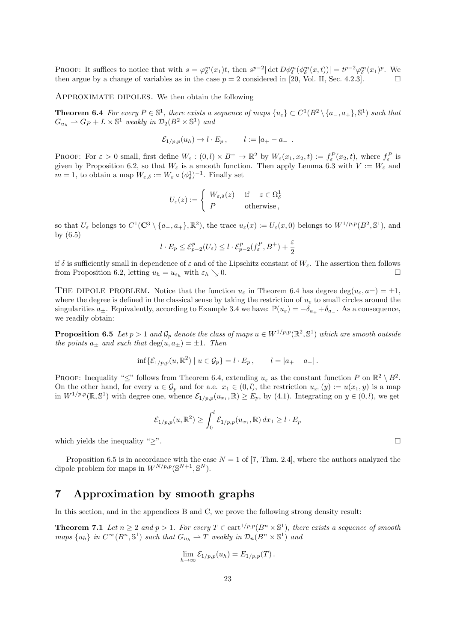**PROOF:** It suffices to notice that with  $s = \varphi_\delta^m(x_1)t$ , then  $s^{p-2}|\det D\phi_\delta^m(\phi_\delta^m(x,t))| = t^{p-2}\varphi_\delta^m(x_1)^p$ . We then argue by a change of variables as in the case  $p = 2$  considered in [20, Vol. II, Sec. 4.2.3].

Approximate dipoles. We then obtain the following

**Theorem 6.4** For every  $P \in \mathbb{S}^1$ , there exists a sequence of maps  $\{u_{\varepsilon}\} \subset C^1(B^2 \setminus \{a_-, a_+\}, \mathbb{S}^1)$  such that  $G_{u_h} \rightharpoonup G_P + L \times \mathbb{S}^1$  *weakly in*  $\mathcal{D}_2(B^2 \times \mathbb{S}^1)$  *and* 

$$
\mathcal{E}_{1/p,p}(u_h) \to l \cdot E_p, \qquad l := |a_+ - a_-|.
$$

**PROOF:** For  $\varepsilon > 0$  small, first define  $W_{\varepsilon} : (0, l) \times B^+ \to \mathbb{R}^2$  by  $W_{\varepsilon}(x_1, x_2, t) := f_{\varepsilon}^P(x_2, t)$ , where  $f_{\varepsilon}^P$  is given by Proposition 6.2, so that  $W_{\varepsilon}$  is a smooth function. Then apply Lemma 6.3 with  $V := W_{\varepsilon}$  and *m* = 1, to obtain a map  $W_{\varepsilon,\delta} := W_{\varepsilon} \circ (\phi_{\delta}^1)^{-1}$ . Finally set

$$
U_{\varepsilon}(z) := \begin{cases} W_{\varepsilon,\delta}(z) & \text{if } z \in \Omega_{\delta}^1 \\ P & \text{otherwise} \end{cases}
$$

so that  $U_{\varepsilon}$  belongs to  $C^1(\mathbb{C}^3 \setminus \{a_-, a_+\}, \mathbb{R}^2)$ , the trace  $u_{\varepsilon}(x) := U_{\varepsilon}(x,0)$  belongs to  $W^{1/p,p}(B^2, \mathbb{S}^1)$ , and by (6.5)

$$
l \cdot E_p \le \mathcal{E}_{p-2}^p(U_\varepsilon) \le l \cdot \mathcal{E}_{p-2}^p(f_\varepsilon^P, B^+) + \frac{\varepsilon}{2}
$$

if  $\delta$  is sufficiently small in dependence of  $\varepsilon$  and of the Lipschitz constant of  $W_{\varepsilon}$ . The assertion then follows from Proposition 6.2, letting  $u_h = u_{\varepsilon_h}$  with  $\varepsilon_h \searrow 0$ .

THE DIPOLE PROBLEM. Notice that the function  $u_{\varepsilon}$  in Theorem 6.4 has degree deg( $u_{\varepsilon}, a\pm$ ) =  $\pm 1$ , where the degree is defined in the classical sense by taking the restriction of  $u<sub>\varepsilon</sub>$  to small circles around the singularities  $a_{\pm}$ . Equivalently, according to Example 3.4 we have:  $\mathbb{P}(u_{\varepsilon}) = -\delta_{a_{+}} + \delta_{a_{-}}$ . As a consequence, we readily obtain:

**Proposition 6.5** *Let*  $p > 1$  *and*  $\mathcal{G}_p$  *denote the class of maps*  $u \in W^{1/p,p}(\mathbb{R}^2, \mathbb{S}^1)$  *which are smooth outside the points*  $a_{\pm}$  *and such that*  $\deg(u, a_{\pm}) = \pm 1$ *. Then* 

$$
\inf \{ \mathcal{E}_{1/p,p}(u,\mathbb{R}^2) \mid u \in \mathcal{G}_p \} = l \cdot E_p, \qquad l = |a_+ - a_-|.
$$

PROOF: Inequality " $\leq$ " follows from Theorem 6.4, extending  $u_{\varepsilon}$  as the constant function *P* on  $\mathbb{R}^2 \setminus B^2$ . On the other hand, for every  $u \in \mathcal{G}_p$  and for a.e.  $x_1 \in (0, l)$ , the restriction  $u_{x_1}(y) := u(x_1, y)$  is a map in  $W^{1/p,p}(\mathbb{R}, \mathbb{S}^1)$  with degree one, whence  $\mathcal{E}_{1/p,p}(u_{x_1}, \mathbb{R}) \ge E_p$ , by (4.1). Integrating on  $y \in (0, l)$ , we get

$$
\mathcal{E}_{1/p,p}(u,\mathbb{R}^2) \ge \int_0^l \mathcal{E}_{1/p,p}(u_{x_1},\mathbb{R}) dx_1 \ge l \cdot E_p
$$

which yields the inequality "*≥*".

Proposition 6.5 is in accordance with the case  $N = 1$  of [7, Thm. 2.4], where the authors analyzed the dipole problem for maps in  $W^{N/p,p}(\mathbb{S}^{N+1}, \mathbb{S}^N)$ .

### **7 Approximation by smooth graphs**

In this section, and in the appendices B and C, we prove the following strong density result:

**Theorem 7.1** *Let*  $n \geq 2$  *and*  $p > 1$ *. For every*  $T \in \text{cart}^{1/p,p}(B^n \times \mathbb{S}^1)$ *, there exists a sequence of smooth* maps  $\{u_h\}$  in  $C^{\infty}(B^n, \mathbb{S}^1)$  such that  $G_{u_h} \rightharpoonup T$  weakly in  $\mathcal{D}_n(B^n \times \mathbb{S}^1)$  and

$$
\lim_{h\to\infty} \mathcal{E}_{1/p,p}(u_h) = E_{1/p,p}(T).
$$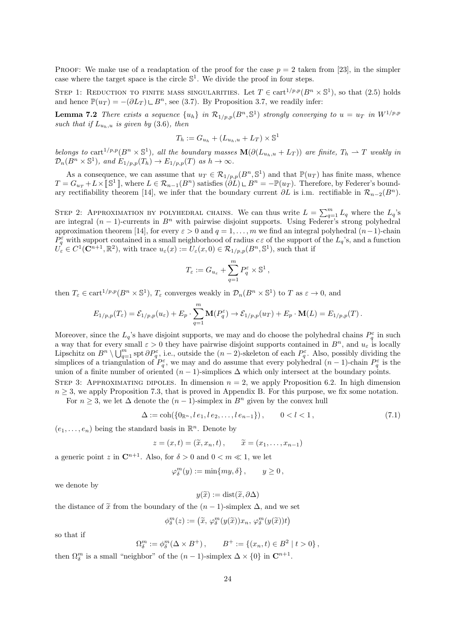**PROOF:** We make use of a readaptation of the proof for the case  $p = 2$  taken from [23], in the simpler case where the target space is the circle  $\mathbb{S}^1$ . We divide the proof in four steps.

STEP 1: REDUCTION TO FINITE MASS SINGULARITIES. Let  $T \in \text{cart}^{1/p,p}(B^n \times \mathbb{S}^1)$ , so that  $(2.5)$  holds and hence  $\mathbb{P}(u_T) = -(\partial L_T) \sqcup B^n$ , see (3.7). By Proposition 3.7, we readily infer:

**Lemma 7.2** There exists a sequence  $\{u_h\}$  in  $\mathcal{R}_{1/p,p}(B^n,\mathbb{S}^1)$  strongly converging to  $u = u_T$  in  $W^{1/p,p}$ *such that if*  $L_{u_h, u}$  *is given by* (3.6)*, then* 

$$
T_h := G_{u_h} + (L_{u_h, u} + L_T) \times \mathbb{S}^1
$$

belongs to cart<sup>1/p,p</sup>( $B^n \times \mathbb{S}^1$ ), all the boundary masses  $\mathbf{M}(\partial(L_{u_h,u} + L_T))$  are finite,  $T_h \to T$  weakly in  $\mathcal{D}_n(B^n \times \mathbb{S}^1)$ *, and*  $E_{1/p,p}(T_h) \to E_{1/p,p}(T)$  *as*  $h \to \infty$ *.* 

As a consequence, we can assume that  $u_T \in \mathcal{R}_{1/p,p}(B^n, \mathbb{S}^1)$  and that  $\mathbb{P}(u_T)$  has finite mass, whence  $T = G_{u_T} + L \times [\mathbb{S}^1]$ , where  $L \in \mathcal{R}_{n-1}(B^n)$  satisfies  $(\partial L) \cup B^n = -\mathbb{P}(u_T)$ . Therefore, by Federer's boundary rectifiability theorem [14], we infer that the boundary current  $\partial L$  is i.m. rectifiable in  $\mathcal{R}_{n-2}(B^n)$ .

STEP 2: APPROXIMATION BY POLYHEDRAL CHAINS. We can thus write  $L = \sum_{q=1}^{m} L_q$  where the  $L_q$ 's are integral  $(n-1)$ -currents in  $B<sup>n</sup>$  with pairwise disjoint supports. Using Federer's strong polyhedral approximation theorem [14], for every  $\varepsilon > 0$  and  $q = 1, \ldots, m$  we find an integral polyhedral  $(n-1)$ -chain  $P_q^{\varepsilon}$  with support contained in a small neighborhood of radius  $c \varepsilon$  of the support of the  $L_q$ 's, and a function  $U_{\varepsilon} \in C^1(\mathbb{C}^{n+1}, \mathbb{R}^2)$ , with trace  $u_{\varepsilon}(x) := U_{\varepsilon}(x,0) \in \mathcal{R}_{1/p,p}(B^n, \mathbb{S}^1)$ , such that if

$$
T_{\varepsilon} := G_{u_{\varepsilon}} + \sum_{q=1}^{m} P_q^{\varepsilon} \times \mathbb{S}^1,
$$

then  $T_{\varepsilon} \in \text{cart}^{1/p,p}(B^n \times \mathbb{S}^1)$ ,  $T_{\varepsilon}$  converges weakly in  $\mathcal{D}_n(B^n \times \mathbb{S}^1)$  to *T* as  $\varepsilon \to 0$ , and

$$
E_{1/p,p}(T_{\varepsilon})=\mathcal{E}_{1/p,p}(u_{\varepsilon})+E_p\cdot \sum_{q=1}^m \mathbf{M}(P_q^{\varepsilon})\to \mathcal{E}_{1/p,p}(u_T)+E_p\cdot \mathbf{M}(L)=E_{1/p,p}(T).
$$

Moreover, since the  $L_q$ 's have disjoint supports, we may and do choose the polyhedral chains  $P_q^{\varepsilon}$  in such a way that for every small  $\varepsilon > 0$  they have pairwise disjoint supports contained in  $B^n$ , and  $u_{\varepsilon}$  is locally Lipschitz on  $B^n \setminus \bigcup_{q=1}^m \operatorname{spt} \partial P_q^{\varepsilon}$ , i.e., outside the  $(n-2)$ -skeleton of each  $P_q^{\varepsilon}$ . Also, possibly dividing the simplices of a triangulation of  $P_q^{\varepsilon}$ , we may and do assume that every polyhedral  $(n-1)$ -chain  $P_q^{\varepsilon}$  is the union of a finite number of oriented  $(n-1)$ -simplices  $\Delta$  which only intersect at the boundary points.

STEP 3: APPROXIMATING DIPOLES. In dimension  $n = 2$ , we apply Proposition 6.2. In high dimension  $n \geq 3$ , we apply Proposition 7.3, that is proved in Appendix B. For this purpose, we fix some notation. For  $n \geq 3$ , we let  $\Delta$  denote the  $(n-1)$ -simplex in  $B<sup>n</sup>$  given by the convex hull

$$
\Delta := \text{coh}(\{0_{\mathbb{R}^n}, l \, e_1, l \, e_2, \dots, l \, e_{n-1}\}), \qquad 0 < l < 1,\tag{7.1}
$$

 $(e_1, \ldots, e_n)$  being the standard basis in  $\mathbb{R}^n$ . Denote by

$$
z = (x, t) = (\widetilde{x}, x_n, t), \qquad \widetilde{x} = (x_1, \ldots, x_{n-1})
$$

a generic point *z* in  $\mathbb{C}^{n+1}$ . Also, for  $\delta > 0$  and  $0 < m \ll 1$ , we let

$$
\varphi_\delta^m(y) := \min\{my, \delta\} \, , \qquad y \ge 0 \, ,
$$

we denote by

$$
y(\widetilde{x}) := \text{dist}(\widetilde{x}, \partial \Delta)
$$

the distance of  $\tilde{x}$  from the boundary of the  $(n-1)$ -simplex  $\Delta$ , and we set

$$
\phi_\delta^m(z):=\big(\widetilde{x},\,\varphi_\delta^m(y(\widetilde{x}))x_n,\,\varphi_\delta^m(y(\widetilde{x}))t\big)
$$

so that if

$$
\Omega_0^m := \phi_\delta^m(\Delta \times B^+), \qquad B^+ := \{(x_n, t) \in B^2 \mid t > 0\},
$$

then  $\Omega_{\delta}^{m}$  is a small "neighbor" of the  $(n-1)$ -simplex  $\Delta \times \{0\}$  in  $\mathbb{C}^{n+1}$ .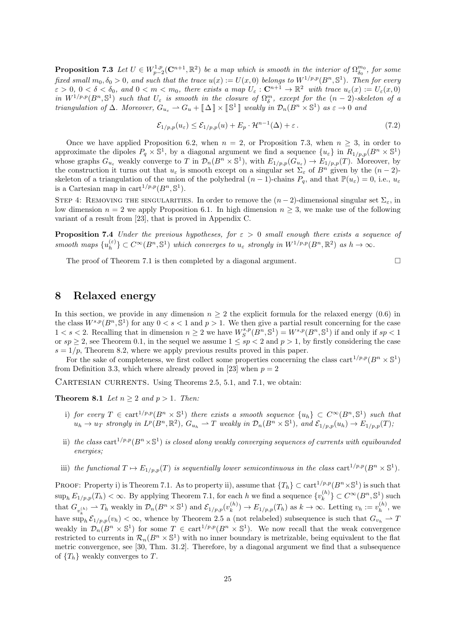**Proposition 7.3** Let  $U \in W_{p-2}^{1,p}(\mathbb{C}^{n+1}, \mathbb{R}^2)$  be a map which is smooth in the interior of  $\Omega_{\delta_0}^{m_0}$ , for some *fixed small*  $m_0, \delta_0 > 0$ *, and such that the trace*  $u(x) := U(x,0)$  *belongs to*  $W^{1/p,p}(B^n, \mathbb{S}^1)$ *. Then for every*  $\varepsilon > 0$ ,  $0 < \delta < \delta_0$ , and  $0 < m < m_0$ , there exists a map  $U_{\varepsilon} : \mathbb{C}^{n+1} \to \mathbb{R}^2$  with trace  $u_{\varepsilon}(x) := U_{\varepsilon}(x,0)$ *in*  $W^{1/p,p}(B^n, \mathbb{S}^1)$  *such that*  $U_{\varepsilon}$  *is smooth in the closure of*  $\Omega_{\delta}^m$ *, except for the*  $(n-2)$ *-skeleton of a triangulation of*  $\Delta$ *. Moreover*,  $G_{u_{\varepsilon}} \rightharpoonup G_u + [\![\Delta]\!] \times [\![\mathbb{S}^1]\!]$  *weakly in*  $\mathcal{D}_n(B^n \times \mathbb{S}^1)$  *as*  $\varepsilon \to 0$  *and* 

$$
\mathcal{E}_{1/p,p}(u_{\varepsilon}) \le \mathcal{E}_{1/p,p}(u) + E_p \cdot \mathcal{H}^{n-1}(\Delta) + \varepsilon. \tag{7.2}
$$

Once we have applied Proposition 6.2, when  $n = 2$ , or Proposition 7.3, when  $n \geq 3$ , in order to approximate the dipoles  $P_q \times \mathbb{S}^1$ , by a diagonal argument we find a sequence  $\{u_{\varepsilon}\}\$ in  $R_{1/p,p}(B^n \times \mathbb{S}^1)$ whose graphs  $G_{u_{\varepsilon}}$  weakly converge to T in  $\mathcal{D}_n(B^n \times \mathbb{S}^1)$ , with  $E_{1/p,p}(G_{u_{\varepsilon}}) \to E_{1/p,p}(T)$ . Moreover, by the construction it turns out that  $u_{\varepsilon}$  is smooth except on a singular set  $\Sigma_{\varepsilon}$  of  $B^n$  given by the  $(n-2)$ skeleton of a triangulation of the union of the polyhedral  $(n-1)$ -chains  $P_q$ , and that  $\mathbb{P}(u_{\varepsilon}) = 0$ , i.e.,  $u_{\varepsilon}$ is a Cartesian map in cart<sup> $1/p,p$ </sup> $(B<sup>n</sup>, \mathbb{S}<sup>1</sup>)$ .

STEP 4: REMOVING THE SINGULARITIES. In order to remove the  $(n-2)$ -dimensional singular set  $\Sigma_{\varepsilon}$ , in low dimension  $n = 2$  we apply Proposition 6.1. In high dimension  $n \geq 3$ , we make use of the following variant of a result from [23], that is proved in Appendix C.

**Proposition 7.4** *Under the previous hypotheses, for ε >* 0 *small enough there exists a sequence of smooth maps*  $\{u_h^{(\varepsilon)}\}$  $\{e\}$ <sub>*h*</sub> $\}$   $\subset C^{\infty}(B^n, \mathbb{S}^1)$  *which converges to*  $u_{\varepsilon}$  *strongly in*  $W^{1/p,p}(B^n, \mathbb{R}^2)$  *as*  $h \to \infty$ .

The proof of Theorem 7.1 is then completed by a diagonal argument.  $\Box$ 

# **8 Relaxed energy**

In this section, we provide in any dimension  $n \geq 2$  the explicit formula for the relaxed energy (0.6) in the class  $W^{s,p}(B^n, \mathbb{S}^1)$  for any  $0 < s < 1$  and  $p > 1$ . We then give a partial result concerning for the case  $1 < s < 2$ . Recalling that in dimension  $n \geq 2$  we have  $W_S^{s,p}(B^n, \mathbb{S}^1) = W^{s,p}(B^n, \mathbb{S}^1)$  if and only if  $sp < 1$ or  $sp \geq 2$ , see Theorem 0.1, in the sequel we assume  $1 \leq sp < 2$  and  $p > 1$ , by firstly considering the case  $s = 1/p$ , Theorem 8.2, where we apply previous results proved in this paper.

For the sake of completeness, we first collect some properties concerning the class cart<sup>1/p,p</sup>( $B<sup>n</sup> \times \mathbb{S}$ <sup>1</sup>) from Definition 3.3, which where already proved in [23] when  $p = 2$ 

CARTESIAN CURRENTS. Using Theorems 2.5, 5.1, and 7.1, we obtain:

**Theorem 8.1** *Let*  $n > 2$  *and*  $p > 1$ *. Then:* 

- $i)$  *for every*  $T \in \text{cart}^{1/p,p}(B^n \times \mathbb{S}^1)$  *there exists a smooth sequence*  $\{u_h\} \subset C^{\infty}(B^n, \mathbb{S}^1)$  *such that*  $u_h \to u_T$  strongly in  $L^p(B^n, \mathbb{R}^2)$ ,  $G_{u_h} \to T$  weakly in  $\mathcal{D}_n(B^n \times \mathbb{S}^1)$ , and  $\mathcal{E}_{1/p,p}(u_h) \to E_{1/p,p}(T)$ ,
- ii) the class cart<sup>1/p,p</sup>( $B<sup>n</sup> \times \mathbb{S}$ <sup>1</sup>) is closed along weakly converging sequences of currents with equibounded *energies;*
- iii) the functional  $T \mapsto E_{1/p,p}(T)$  is sequentially lower semicontinuous in the class  $\text{cart}^{1/p,p}(B^n \times \mathbb{S}^1)$ .

PROOF: Property i) is Theorem 7.1. As to property ii), assume that  $\{T_h\} \subset \text{cart}^{1/p,p}(B^n \times \mathbb{S}^1)$  is such that  $\sup_h E_{1/p,p}(T_h) < \infty$ . By applying Theorem 7.1, for each *h* we find a sequence  $\{v_k^{(h)}\}$  ${n \choose k}$  ⊂  $C^{\infty}(B^n, \mathbb{S}^1)$  such that  $G_{v_k^{(h)}} \rightharpoonup T_h$  weakly in  $\mathcal{D}_n(B^n \times \mathbb{S}^1)$  and  $\mathcal{E}_{1/p,p}(v_k^{(h)})$  $k^{(h)}$ <sub>k</sub> $\rightarrow$   $E_{1/p,p}(T_h)$  as  $k \rightarrow \infty$ . Letting  $v_h := v_h^{(h)}$  $b_h^{(n)}$ , we have  $\sup_h \mathcal{E}_{1/p,p}(v_h) < \infty$ , whence by Theorem 2.5 a (not relabeled) subsequence is such that  $G_{v_h} \to T$ weakly in  $\mathcal{D}_n(B^n \times \mathbb{S}^1)$  for some  $T \in \text{cart}^{1/p,p}(B^n \times \mathbb{S}^1)$ . We now recall that the weak convergence restricted to currents in  $\mathcal{R}_n(B^n \times \mathbb{S}^1)$  with no inner boundary is metrizable, being equivalent to the flat metric convergence, see [30, Thm. 31.2]. Therefore, by a diagonal argument we find that a subsequence of  ${T_h}$  weakly converges to *T*.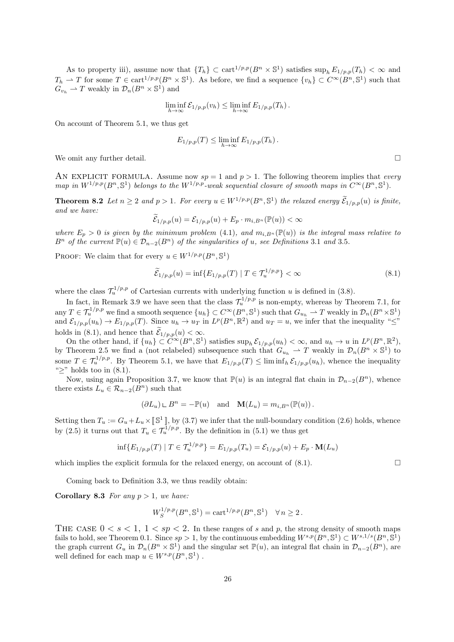As to property iii), assume now that  $\{T_h\} \subset \text{cart}^{1/p,p}(B^n \times \mathbb{S}^1)$  satisfies  $\sup_h E_{1/p,p}(T_h) < \infty$  and  $T_h \rightharpoonup T$  for some  $T \in \text{cart}^{1/p,p}(B^n \times \mathbb{S}^1)$ . As before, we find a sequence  $\{v_h\} \subset C^{\infty}(B^n, \mathbb{S}^1)$  such that  $G_{v_h} \rightharpoonup T$  weakly in  $\mathcal{D}_n(B^n \times \mathbb{S}^1)$  and

$$
\liminf_{h\to\infty} \mathcal{E}_{1/p,p}(v_h) \leq \liminf_{h\to\infty} E_{1/p,p}(T_h).
$$

On account of Theorem 5.1, we thus get

$$
E_{1/p,p}(T) \le \liminf_{h \to \infty} E_{1/p,p}(T_h).
$$

We omit any further detail.  $\square$ 

AN EXPLICIT FORMULA. Assume now  $sp = 1$  and  $p > 1$ . The following theorem implies that *every map in*  $W^{1/p,p}(B^n, \mathbb{S}^1)$  *belongs to the*  $W^{1/p,p}$ *-weak sequential closure of smooth maps in*  $C^{\infty}(B^n, \mathbb{S}^1)$ *.* 

**Theorem 8.2** Let  $n \ge 2$  and  $p > 1$ . For every  $u \in W^{1/p,p}(B^n, \mathbb{S}^1)$  the relaxed energy  $\widetilde{\mathcal{E}}_{1/p,p}(u)$  is finite, *and we have:*

$$
\widetilde{\mathcal{E}}_{1/p,p}(u) = \mathcal{E}_{1/p,p}(u) + E_p \cdot m_{i,B^n}(\mathbb{P}(u)) < \infty
$$

*where*  $E_p > 0$  *is given by the minimum problem* (4.1)*, and*  $m_{i,B^n}(\mathbb{P}(u))$  *is the integral mass relative to*  $B^n$  *of the current*  $\mathbb{P}(u) \in \mathcal{D}_{n-2}(B^n)$  *of the singularities of u, see Definitions* 3.1 *and* 3.5*.* 

PROOF: We claim that for every  $u \in W^{1/p,p}(B^n, \mathbb{S}^1)$ 

$$
\widetilde{\mathcal{E}}_{1/p,p}(u) = \inf \{ E_{1/p,p}(T) \mid T \in \mathcal{T}_u^{1/p,p} \} < \infty \tag{8.1}
$$

where the class  $\mathcal{T}_u^{1/p,p}$  of Cartesian currents with underlying function *u* is defined in (3.8).

In fact, in Remark 3.9 we have seen that the class  $\mathcal{T}_u^{1/p,p}$  is non-empty, whereas by Theorem 7.1, for any  $T \in \mathcal{T}_u^{1/p,p}$  we find a smooth sequence  $\{u_h\} \subset C^{\infty}(B^n, \mathbb{S}^1)$  such that  $G_{u_h} \rightharpoonup T$  weakly in  $\mathcal{D}_n(B^n \times \mathbb{S}^1)$ and  $\mathcal{E}_{1/p,p}(u_h) \to E_{1/p,p}(T)$ . Since  $u_h \to u_T$  in  $L^p(B^n,\mathbb{R}^2)$  and  $u_T = u$ , we infer that the inequality " $\leq$ " holds in (8.1), and hence that  $\mathcal{E}_{1/p,p}(u) < \infty$ .

On the other hand, if  $\{u_h\} \subset \widehat{C}^{\infty}(B^n, \mathbb{S}^1)$  satisfies  $\sup_h \mathcal{E}_{1/p,p}(u_h) < \infty$ , and  $u_h \to u$  in  $L^p(B^n, \mathbb{R}^2)$ , by Theorem 2.5 we find a (not relabeled) subsequence such that  $G_{u_h} \rightharpoonup T$  weakly in  $\mathcal{D}_n(B^n \times \mathbb{S}^1)$  to some  $T \in \mathcal{T}_u^{1/p,p}$ . By Theorem 5.1, we have that  $E_{1/p,p}(T) \leq \liminf_h \mathcal{E}_{1/p,p}(u_h)$ , whence the inequality "*≥*" holds too in (8.1).

Now, using again Proposition 3.7, we know that  $\mathbb{P}(u)$  is an integral flat chain in  $\mathcal{D}_{n-2}(B^n)$ , whence there exists  $L_u \in \mathcal{R}_{n-2}(B^n)$  such that

$$
(\partial L_u) \perp B^n = -\mathbb{P}(u)
$$
 and  $\mathbf{M}(L_u) = m_{i,B^n}(\mathbb{P}(u)).$ 

Setting then  $T_u := G_u + L_u \times [\mathbb{S}^1]$ , by (3.7) we infer that the null-boundary condition (2.6) holds, whence by (2.5) it turns out that  $T_u \in \mathcal{T}_u^{1/p,p}$ . By the definition in (5.1) we thus get

$$
\inf \{ E_{1/p,p}(T) \mid T \in \mathcal{T}_u^{1/p,p} \} = E_{1/p,p}(T_u) = \mathcal{E}_{1/p,p}(u) + E_p \cdot \mathbf{M}(L_u)
$$

which implies the explicit formula for the relaxed energy, on account of  $(8.1)$ .

Coming back to Definition 3.3, we thus readily obtain:

**Corollary 8.3** *For any*  $p > 1$ *, we have:* 

$$
W_S^{1/p,p}(B^n, \mathbb{S}^1) = \text{cart}^{1/p,p}(B^n, \mathbb{S}^1) \quad \forall n \ge 2.
$$

THE CASE  $0 \lt s \lt 1$ ,  $1 \lt sp \lt 2$ . In these ranges of *s* and *p*, the strong density of smooth maps fails to hold, see Theorem 0.1. Since  $sp > 1$ , by the continuous embedding  $W^{s,p}(B^n, \mathbb{S}^1) \subset W^{s,1/s}(B^n, \mathbb{S}^1)$ the graph current  $G_u$  in  $\mathcal{D}_n(B^n \times \mathbb{S}^1)$  and the singular set  $\mathbb{P}(u)$ , an integral flat chain in  $\mathcal{D}_{n-2}(B^n)$ , are well defined for each map  $u \in W^{s,p}(B^n, \mathbb{S}^1)$ .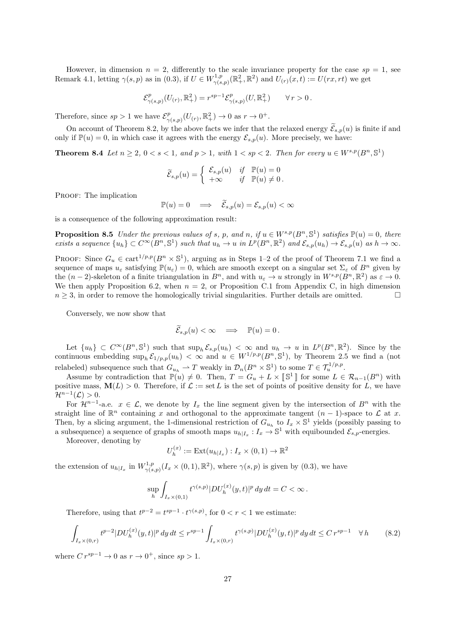However, in dimension  $n = 2$ , differently to the scale invariance property for the case  $sp = 1$ , see Remark 4.1, letting  $\gamma(s, p)$  as in (0.3), if  $U \in W^{1,p}_{\gamma(s)}$  $U^{1,p}_{\gamma(s,p)}(\mathbb{R}^2_+, \mathbb{R}^2)$  and  $U_{(r)}(x,t) := U(rx,rt)$  we get

$$
\mathcal{E}^p_{\gamma(s,p)}(U_{(r)},\mathbb{R}^2_+)=r^{sp-1}\mathcal{E}^p_{\gamma(s,p)}(U,\mathbb{R}^2_+)\qquad \forall\, r>0\,.
$$

Therefore, since  $sp > 1$  we have  $\mathcal{E}_{\sim}^p$  $\frac{p}{\gamma(s,p)}(U_{(r)}, \mathbb{R}^2_+) \to 0$  as  $r \to 0^+.$ 

On account of Theorem 8.2, by the above facts we infer that the relaxed energy  $\widetilde{\mathcal{E}}_{s,p}(u)$  is finite if and only if  $\mathbb{P}(u) = 0$ , in which case it agrees with the energy  $\mathcal{E}_{s,p}(u)$ . More precisely, we have:

**Theorem 8.4** *Let*  $n \geq 2$ ,  $0 < s < 1$ , and  $p > 1$ , with  $1 < sp < 2$ . Then for every  $u \in W^{s,p}(B^n, \mathbb{S}^1)$ 

$$
\widetilde{\mathcal{E}}_{s,p}(u) = \begin{cases} \mathcal{E}_{s,p}(u) & \text{if } \mathbb{P}(u) = 0 \\ +\infty & \text{if } \mathbb{P}(u) \neq 0. \end{cases}
$$

PROOF: The implication

$$
\mathbb{P}(u) = 0 \quad \Longrightarrow \quad \widetilde{\mathcal{E}}_{s,p}(u) = \mathcal{E}_{s,p}(u) < \infty
$$

is a consequence of the following approximation result:

**Proposition 8.5** Under the previous values of s, p, and n, if  $u \in W^{s,p}(B^n, \mathbb{S}^1)$  satisfies  $\mathbb{P}(u) = 0$ , there exists a sequence  $\{u_h\} \subset C^{\infty}(B^n, \mathbb{S}^1)$  such that  $u_h \to u$  in  $L^p(B^n, \mathbb{R}^2)$  and  $\mathcal{E}_{s,p}(u_h) \to \mathcal{E}_{s,p}(u)$  as  $h \to \infty$ .

PROOF: Since  $G_u \in \text{cart}^{1/p,p}(B^n \times \mathbb{S}^1)$ , arguing as in Steps 1–2 of the proof of Theorem 7.1 we find a sequence of maps  $u_{\varepsilon}$  satisfying  $\mathbb{P}(u_{\varepsilon}) = 0$ , which are smooth except on a singular set  $\Sigma_{\varepsilon}$  of  $B^n$  given by the  $(n-2)$ -skeleton of a finite triangulation in  $B^n$ , and with  $u_{\varepsilon} \to u$  strongly in  $W^{s,p}(B^n,\mathbb{R}^2)$  as  $\varepsilon \to 0$ . We then apply Proposition 6.2, when  $n = 2$ , or Proposition C.1 from Appendix C, in high dimension  $n \geq 3$ , in order to remove the homologically trivial singularities. Further details are omitted.

Conversely, we now show that

$$
\widetilde{\mathcal{E}}_{s,p}(u) < \infty \quad \Longrightarrow \quad \mathbb{P}(u) = 0 \, .
$$

Let  $\{u_h\} \subset C^{\infty}(B^n, \mathbb{S}^1)$  such that  $\sup_h \mathcal{E}_{s,p}(u_h) < \infty$  and  $u_h \to u$  in  $L^p(B^n, \mathbb{R}^2)$ . Since by the continuous embedding  $\sup_h \mathcal{E}_{1/p,p}(u_h) < \infty$  and  $u \in W^{1/p,p}(B^n, \mathbb{S}^1)$ , by Theorem 2.5 we find a (not relabeled) subsequence such that  $G_{u_h} \rightharpoonup T$  weakly in  $\mathcal{D}_n(B^n \times \mathbb{S}^1)$  to some  $T \in \mathcal{T}_u^{1/p,p}$ .

Assume by contradiction that  $\mathbb{P}(u) \neq 0$ . Then,  $T = G_u + L \times [\mathbb{S}^1]$  for some  $L \in \mathcal{R}_{n-1}(B^n)$  with positive mass,  $\mathbf{M}(L) > 0$ . Therefore, if  $\mathcal{L} := \text{set } L$  is the set of points of positive density for *L*, we have  $\mathcal{H}^{n-1}(\mathcal{L}) > 0.$ 

For  $\mathcal{H}^{n-1}$ -a.e.  $x \in \mathcal{L}$ , we denote by  $I_x$  the line segment given by the intersection of  $B^n$  with the straight line of  $\mathbb{R}^n$  containing *x* and orthogonal to the approximate tangent  $(n-1)$ -space to  $\mathcal L$  at *x*. Then, by a slicing argument, the 1-dimensional restriction of  $G_{u_h}$  to  $I_x \times \mathbb{S}^1$  yields (possibly passing to a subsequence) a sequence of graphs of smooth maps  $u_{h|I_x}: I_x \to \mathbb{S}^1$  with equibounded  $\mathcal{E}_{s,p}$ -energies.

Moreover, denoting by

$$
U_h^{(x)} := \text{Ext}(u_{h|I_x}) : I_x \times (0,1) \to \mathbb{R}^2
$$

the extension of  $u_{h|I_x}$  in  $W_{\gamma(s)}^{1,p}$  $\gamma^{1,p}_{(\gamma(s,p))}(I_x \times (0,1), \mathbb{R}^2)$ , where  $\gamma(s,p)$  is given by  $(0.3)$ , we have

$$
\sup_h \int_{I_x \times (0,1)} t^{\gamma(s,p)} |DU_h^{(x)}(y,t)|^p dy dt = C < \infty.
$$

Therefore, using that  $t^{p-2} = t^{sp-1} \cdot t^{\gamma(s,p)}$ , for  $0 < r < 1$  we estimate:

$$
\int_{I_x \times (0,r)} t^{p-2} |DU_h^{(x)}(y,t)|^p \, dy \, dt \le r^{sp-1} \int_{I_x \times (0,r)} t^{\gamma(s,p)} |DU_h^{(x)}(y,t)|^p \, dy \, dt \le Cr^{sp-1} \quad \forall \, h \tag{8.2}
$$

where  $Cr^{sp-1} \rightarrow 0$  as  $r \rightarrow 0^+$ , since  $sp > 1$ .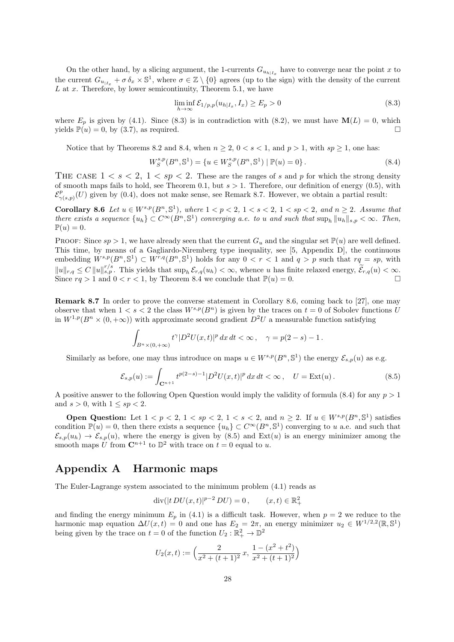On the other hand, by a slicing argument, the 1-currents  $G_{u_h|_{I_x}}$  have to converge near the point *x* to the current  $G_{u_{|I_x}} + \sigma \delta_x \times \mathbb{S}^1$ , where  $\sigma \in \mathbb{Z} \setminus \{0\}$  agrees (up to the sign) with the density of the current *L* at *x*. Therefore, by lower semicontinuity, Theorem 5.1, we have

$$
\liminf_{h \to \infty} \mathcal{E}_{1/p,p}(u_{h|I_x}, I_x) \ge E_p > 0
$$
\n(8.3)

where  $E_p$  is given by (4.1). Since (8.3) is in contradiction with (8.2), we must have  $\mathbf{M}(L) = 0$ , which yields  $\mathbb{P}(u) = 0$ , by (3.7), as required.

Notice that by Theorems 8.2 and 8.4, when  $n \geq 2$ ,  $0 < s < 1$ , and  $p > 1$ , with  $sp \geq 1$ , one has:

$$
W_S^{s,p}(B^n, \mathbb{S}^1) = \{ u \in W_S^{s,p}(B^n, \mathbb{S}^1) \mid \mathbb{P}(u) = 0 \}.
$$
\n(8.4)

THE CASE  $1 < s < 2, 1 < sp < 2$ . These are the ranges of s and p for which the strong density of smooth maps fails to hold, see Theorem 0.1, but *s >* 1. Therefore, our definition of energy (0.5), with  $\mathcal{E}^p_{\sim}$  $\gamma_{(s,p)}(U)$  given by (0.4), does not make sense, see Remark 8.7. However, we obtain a partial result:

**Corollary 8.6** Let  $u \in W^{s,p}(B^n, \mathbb{S}^1)$ , where  $1 < p < 2$ ,  $1 < s < 2$ ,  $1 < sp < 2$ , and  $n \ge 2$ . Assume that there exists a sequence  $\{u_h\} \subset C^{\infty}(B^n, \mathbb{S}^1)$  converging a.e. to u and such that  $\sup_h \|u_h\|_{s,p} < \infty$ . Then,  $\mathbb{P}(u) = 0.$ 

PROOF: Since  $sp > 1$ , we have already seen that the current  $G_u$  and the singular set  $\mathbb{P}(u)$  are well defined. This time, by means of a Gagliardo-Niremberg type inequality, see [5, Appendix D], the continuous embedding  $W^{s,p}(B^n, \mathbb{S}^1) \subset W^{r,q}(B^n, \mathbb{S}^1)$  holds for any  $0 < r < 1$  and  $q > p$  such that  $rq = sp$ , with  $||u||_{r,q} \leq C ||u||_{s,p}^{r/s}$ . This yields that  $\sup_h \mathcal{E}_{r,q}(u_h) < \infty$ , whence u has finite relaxed energy,  $\widetilde{\mathcal{E}}_{r,q}(u) < \infty$ . Since  $rq > 1$  and  $0 < r < 1$ , by Theorem 8.4 we conclude that  $\mathbb{P}(u) = 0$ .

**Remark 8.7** In order to prove the converse statement in Corollary 8.6, coming back to [27], one may observe that when  $1 < s < 2$  the class  $W^{s,p}(B^n)$  is given by the traces on  $t = 0$  of Sobolev functions *U* in  $W^{1,p}(B^n \times (0, +\infty))$  with approximate second gradient  $D^2U$  a measurable function satisfying

$$
\int_{B^n \times (0,+\infty)} t^{\gamma} |D^2 U(x,t)|^p dx dt < \infty , \quad \gamma = p(2-s) - 1.
$$

Similarly as before, one may thus introduce on maps  $u \in W^{s,p}(B^n, \mathbb{S}^1)$  the energy  $\mathcal{E}_{s,p}(u)$  as e.g.

$$
\mathcal{E}_{s,p}(u) := \int_{\mathbf{C}^{n+1}} t^{p(2-s)-1} |D^2 U(x,t)|^p \, dx \, dt < \infty \,, \quad U = \text{Ext}(u) \,. \tag{8.5}
$$

A positive answer to the following Open Question would imply the validity of formula (8.4) for any *p >* 1 and  $s > 0$ , with  $1 \le sp < 2$ .

**Open Question:** Let  $1 < p < 2$ ,  $1 < sp < 2$ ,  $1 < s < 2$ , and  $n \geq 2$ . If  $u \in W^{s,p}(B^n, \mathbb{S}^1)$  satisfies condition  $\mathbb{P}(u) = 0$ , then there exists a sequence  $\{u_h\} \subset C^{\infty}(B^n, \mathbb{S}^1)$  converging to *u* a.e. and such that  $\mathcal{E}_{s,p}(u_h) \to \mathcal{E}_{s,p}(u)$ , where the energy is given by (8.5) and Ext(*u*) is an energy minimizer among the smooth maps  $\tilde{U}$  from  $\mathbb{C}^{n+1}$  to  $\mathbb{D}^2$  with trace on  $t = 0$  equal to  $u$ .

# **Appendix A Harmonic maps**

The Euler-Lagrange system associated to the minimum problem (4.1) reads as

$$
\operatorname{div}(|t\,DU(x,t)|^{p-2}\,DU) = 0\,,\qquad (x,t)\in\mathbb{R}^2_+
$$

and finding the energy minimum  $E_p$  in (4.1) is a difficult task. However, when  $p = 2$  we reduce to the harmonic map equation  $\Delta U(x,t) = 0$  and one has  $E_2 = 2\pi$ , an energy minimizer  $u_2 \in W^{1/2,2}(\mathbb{R}, \mathbb{S}^1)$ being given by the trace on  $t = 0$  of the function  $U_2 : \mathbb{R}_+^2 \to \mathbb{D}^2$ 

$$
U_2(x,t):=\left(\frac{2}{x^2+(t+1)^2}\,x,\,\frac{1-(x^2+t^2)}{x^2+(t+1)^2}\right)
$$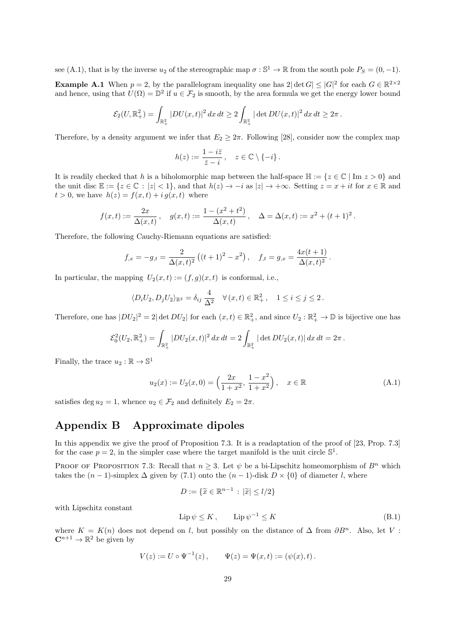see (A.1), that is by the inverse  $u_2$  of the stereographic map  $\sigma : \mathbb{S}^1 \to \mathbb{R}$  from the south pole  $P_S = (0, -1)$ .

**Example A.1** When  $p = 2$ , by the parallelogram inequality one has  $2|\det G| \leq |G|^2$  for each  $G \in \mathbb{R}^{2 \times 2}$ and hence, using that  $U(\Omega) = \mathbb{D}^2$  if  $u \in \mathcal{F}_2$  is smooth, by the area formula we get the energy lower bound

$$
\mathcal{E}_2(U,\mathbb{R}^2_+) = \int_{\mathbb{R}^2_+} |DU(x,t)|^2 \, dx \, dt \geq 2 \int_{\mathbb{R}^2_+} |\det DU(x,t)|^2 \, dx \, dt \geq 2\pi \, .
$$

Therefore, by a density argument we infer that  $E_2 \geq 2\pi$ . Following [28], consider now the complex map

$$
h(z) := \frac{1 - i\overline{z}}{\overline{z} - i}, \quad z \in \mathbb{C} \setminus \{-i\}.
$$

It is readily checked that *h* is a biholomorphic map between the half-space  $\mathbb{H} := \{z \in \mathbb{C} \mid \text{Im } z > 0\}$  and the unit disc  $\mathbb{E} := \{z \in \mathbb{C} : |z| < 1\}$ , and that  $h(z) \to -i$  as  $|z| \to +\infty$ . Setting  $z = x + it$  for  $x \in \mathbb{R}$  and  $t > 0$ , we have  $h(z) = f(x, t) + ig(x, t)$  where

$$
f(x,t) := \frac{2x}{\Delta(x,t)}, \quad g(x,t) := \frac{1 - (x^2 + t^2)}{\Delta(x,t)}, \quad \Delta = \Delta(x,t) := x^2 + (t+1)^2.
$$

Therefore, the following Cauchy-Riemann equations are satisfied:

$$
f_{,x} = -g_{,t} = \frac{2}{\Delta(x,t)^2} \left( (t+1)^2 - x^2 \right), \quad f_{,t} = g_{,x} = \frac{4x(t+1)}{\Delta(x,t)^2}.
$$

In particular, the mapping  $U_2(x,t) := (f,g)(x,t)$  is conformal, i.e.,

$$
\langle D_i U_2, D_j U_2 \rangle_{\mathbb{R}^2} = \delta_{ij} \frac{4}{\Delta^2} \quad \forall (x, t) \in \mathbb{R}^2_+, \quad 1 \le i \le j \le 2.
$$

Therefore, one has  $|DU_2|^2 = 2|\det DU_2|$  for each  $(x,t) \in \mathbb{R}^2_+$ , and since  $U_2 : \mathbb{R}^2_+ \to \mathbb{D}$  is bijective one has

$$
\mathcal{E}_0^2(U_2,\mathbb{R}^2_+) = \int_{\mathbb{R}^2_+} |DU_2(x,t)|^2 dx dt = 2 \int_{\mathbb{R}^2_+} |\det DU_2(x,t)| dx dt = 2\pi.
$$

Finally, the trace  $u_2 : \mathbb{R} \to \mathbb{S}^1$ 

$$
u_2(x) := U_2(x, 0) = \left(\frac{2x}{1+x^2}, \frac{1-x^2}{1+x^2}\right), \quad x \in \mathbb{R}
$$
 (A.1)

satisfies deg  $u_2 = 1$ , whence  $u_2 \in \mathcal{F}_2$  and definitely  $E_2 = 2\pi$ .

# **Appendix B Approximate dipoles**

In this appendix we give the proof of Proposition 7.3. It is a readaptation of the proof of [23, Prop. 7.3] for the case  $p = 2$ , in the simpler case where the target manifold is the unit circle  $\mathbb{S}^1$ .

PROOF OF PROPOSITION 7.3: Recall that  $n \geq 3$ . Let  $\psi$  be a bi-Lipschitz homeomorphism of  $B^n$  which takes the  $(n-1)$ -simplex  $\Delta$  given by (7.1) onto the  $(n-1)$ -disk  $D \times \{0\}$  of diameter *l*, where

$$
D := \{ \widetilde{x} \in \mathbb{R}^{n-1} \, : \, |\widetilde{x}| \le l/2 \}
$$

with Lipschitz constant

$$
Lip\,\psi \le K\,, \qquad Lip\,\psi^{-1} \le K\tag{B.1}
$$

where  $K = K(n)$  does not depend on *l*, but possibly on the distance of  $\Delta$  from  $\partial B^n$ . Also, let *V*:  $\mathbb{C}^{n+1} \to \mathbb{R}^2$  be given by

$$
V(z) := U \circ \Psi^{-1}(z), \qquad \Psi(z) = \Psi(x, t) := (\psi(x), t).
$$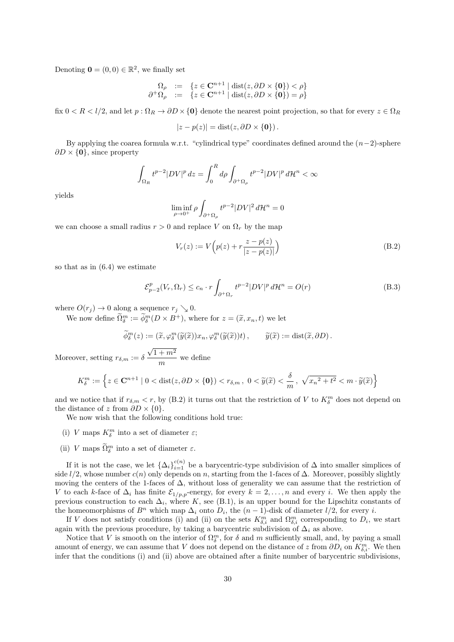Denoting  $\mathbf{0} = (0,0) \in \mathbb{R}^2$ , we finally set

$$
\begin{array}{rcl}\n\Omega_{\rho} & := & \{ z \in \mathbf{C}^{n+1} \mid \operatorname{dist}(z, \partial D \times \{0\}) < \rho \} \\
\partial^+ \Omega_{\rho} & := & \{ z \in \mathbf{C}^{n+1} \mid \operatorname{dist}(z, \partial D \times \{0\}) = \rho \}\n\end{array}
$$

fix  $0 < R < l/2$ , and let  $p : \Omega_R \to \partial D \times \{0\}$  denote the nearest point projection, so that for every  $z \in \Omega_R$ 

$$
|z - p(z)| = \text{dist}(z, \partial D \times \{0\}).
$$

By applying the coarea formula w.r.t. "cylindrical type" coordinates defined around the (*n−*2)-sphere *∂D × {***0***}*, since property

$$
\int_{\Omega_R} t^{p-2} |DV|^p dz = \int_0^R d\rho \int_{\partial^+\Omega_\rho} t^{p-2} |DV|^p d\mathcal{H}^n < \infty
$$

yields

$$
\liminf_{\rho \to 0^+} \rho \int_{\partial^+\Omega_\rho} t^{p-2} |DV|^2 d\mathcal{H}^n = 0
$$

we can choose a small radius  $r > 0$  and replace *V* on  $\Omega_r$  by the map

$$
V_r(z) := V\left(p(z) + r\frac{z - p(z)}{|z - p(z)|}\right)
$$
 (B.2)

so that as in (6.4) we estimate

$$
\mathcal{E}_{p-2}^p(V_r, \Omega_r) \le c_n \cdot r \int_{\partial^+ \Omega_r} t^{p-2} |DV|^p d\mathcal{H}^n = O(r)
$$
\n(B.3)

where  $O(r_j) \to 0$  along a sequence  $r_j \searrow 0$ .

We now define  $\tilde{\Omega}_{\delta}^{m} := \tilde{\phi}_{\delta}^{m}(D \times B^{+})$ , where for  $z = (\tilde{x}, x_n, t)$  we let

$$
\widetilde{\phi}^m_\delta(z) := (\widetilde{x}, \varphi_\delta^m(\widetilde{y}(\widetilde{x}))x_n, \varphi_\delta^m(\widetilde{y}(\widetilde{x}))t), \qquad \widetilde{y}(\widetilde{x}) := \text{dist}(\widetilde{x}, \partial D).
$$

Moreover, setting  $r_{\delta,m} := \delta$  $√1 + m<sup>2</sup>$  $\frac{m}{m}$  we define

$$
K_{\delta}^{m} := \left\{ z \in \mathbf{C}^{n+1} \mid 0 < \text{dist}(z, \partial D \times \{0\}) < r_{\delta, m}, \ 0 < \widetilde{y}(\widetilde{x}) < \frac{\delta}{m}, \ \sqrt{{x_n}^2 + t^2} < m \cdot \widetilde{y}(\widetilde{x}) \right\}
$$

and we notice that if  $r_{\delta,m} < r$ , by (B.2) it turns out that the restriction of *V* to  $K_{\delta}^{m}$  does not depend on the distance of *z* from  $\partial D \times \{0\}$ .

We now wish that the following conditions hold true:

- (i) *V* maps  $K^m_\delta$  into a set of diameter  $\varepsilon$ ;
- (ii) *V* maps  $\tilde{\Omega}_{\delta}^{m}$  into a set of diameter  $\varepsilon$ .

If it is not the case, we let  ${\{\Delta_i\}}_{i=1}^{c(n)}$  be a barycentric-type subdivision of  $\Delta$  into smaller simplices of side  $l/2$ , whose number  $c(n)$  only depends on *n*, starting from the 1-faces of  $\Delta$ . Moreover, possibly slightly moving the centers of the 1-faces of  $\Delta$ , without loss of generality we can assume that the restriction of *V* to each *k*-face of  $\Delta_i$  has finite  $\mathcal{E}_{1/p,p}$ -energy, for every  $k = 2, ..., n$  and every *i*. We then apply the previous construction to each  $\Delta_i$ , where *K*, see (B.1), is an upper bound for the Lipschitz constants of the homeomorphisms of  $B^n$  which map  $\Delta_i$  onto  $D_i$ , the  $(n-1)$ -disk of diameter  $l/2$ , for every *i*.

If *V* does not satisfy conditions (i) and (ii) on the sets  $K_{\delta,i}^m$  and  $\Omega_{\delta,i}^m$  corresponding to  $D_i$ , we start again with the previous procedure, by taking a barycentric subdivision of  $\Delta_i$  as above.

Notice that *V* is smooth on the interior of  $\Omega_{\delta}^{m}$ , for  $\delta$  and  $m$  sufficiently small, and, by paying a small amount of energy, we can assume that *V* does not depend on the distance of *z* from  $\partial D_i$  on  $K_{\delta,i}^m$ . We then infer that the conditions (i) and (ii) above are obtained after a finite number of barycentric subdivisions,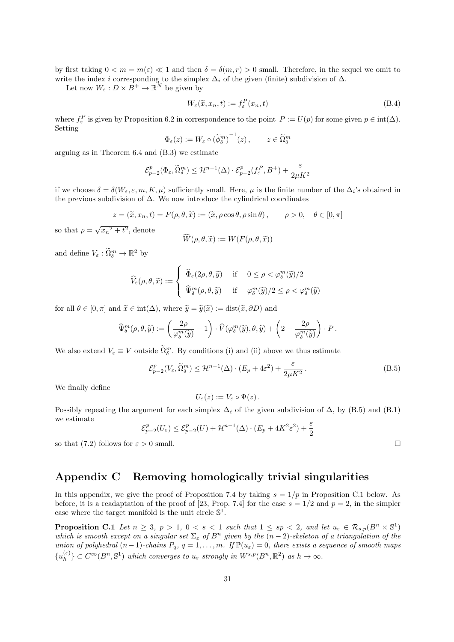by first taking  $0 \le m = m(\varepsilon) \le 1$  and then  $\delta = \delta(m, r) > 0$  small. Therefore, in the sequel we omit to write the index *i* corresponding to the simplex  $\Delta_i$  of the given (finite) subdivision of  $\Delta$ .

Let now  $W_{\varepsilon}: D \times B^+ \to \mathbb{R}^N$  be given by

$$
W_{\varepsilon}(\widetilde{x}, x_n, t) := f_{\varepsilon}^P(x_n, t)
$$
\n(B.4)

where  $f_{\varepsilon}^P$  is given by Proposition 6.2 in correspondence to the point  $P := U(p)$  for some given  $p \in \text{int}(\Delta)$ . Setting

$$
\Phi_{\varepsilon}(z) := W_{\varepsilon} \circ (\widetilde{\phi}_{\delta}^m)^{-1}(z), \qquad z \in \widetilde{\Omega}_{\delta}^m
$$

arguing as in Theorem 6.4 and (B.3) we estimate

$$
\mathcal{E}^p_{p-2}(\Phi_{\varepsilon},\widetilde{\Omega}_\delta^m) \leq \mathcal{H}^{n-1}(\Delta) \cdot \mathcal{E}^p_{p-2}(f^P_{\varepsilon},B^+) + \frac{\varepsilon}{2\mu K^2}
$$

if we choose  $\delta = \delta(W_{\varepsilon}, \varepsilon, m, K, \mu)$  sufficiently small. Here,  $\mu$  is the finite number of the  $\Delta_i$ 's obtained in the previous subdivision of  $\Delta$ . We now introduce the cylindrical coordinates

$$
z = (\tilde{x}, x_n, t) = F(\rho, \theta, \tilde{x}) := (\tilde{x}, \rho \cos \theta, \rho \sin \theta), \qquad \rho > 0, \quad \theta \in [0, \pi]
$$

so that  $\rho = \sqrt{x_n^2 + t^2}$ , denote

$$
W(\rho, \theta, \widetilde{x}) := W(F(\rho, \theta, \widetilde{x}))
$$

and define  $V_{\varepsilon} : \tilde{\Omega}_{\delta}^{m} \to \mathbb{R}^{2}$  by

$$
\widehat{V}_{\varepsilon}(\rho,\theta,\widetilde{x}) := \begin{cases}\n\widehat{\Phi}_{\varepsilon}(2\rho,\theta,\widetilde{y}) & \text{if } 0 \leq \rho < \varphi_{\delta}^{m}(\widetilde{y})/2 \\
\widehat{\Psi}_{\delta}^{m}(\rho,\theta,\widetilde{y}) & \text{if } \varphi_{\delta}^{m}(\widetilde{y})/2 \leq \rho < \varphi_{\delta}^{m}(\widetilde{y})\n\end{cases}
$$

for all  $\theta \in [0, \pi]$  and  $\tilde{x} \in \text{int}(\Delta)$ , where  $\tilde{y} = \tilde{y}(\tilde{x}) := \text{dist}(\tilde{x}, \partial D)$  and

$$
\widehat{\Psi}^m_\delta(\rho,\theta,\widetilde{y}):=\left(\frac{2\rho}{\varphi^m_\delta(\widetilde{y})}-1\right)\cdot \widehat{V}(\varphi^m_\delta(\widetilde{y}),\theta,\widetilde{y})+\left(2-\frac{2\rho}{\varphi^m_\delta(\widetilde{y})}\right)\cdot P\,.
$$

We also extend  $V_{\varepsilon} \equiv V$  outside  $\tilde{\Omega}_{\delta}^{m}$ . By conditions (i) and (ii) above we thus estimate

$$
\mathcal{E}_{p-2}^p(V_{\varepsilon}, \widetilde{\Omega}_\delta^m) \le \mathcal{H}^{n-1}(\Delta) \cdot (E_p + 4\varepsilon^2) + \frac{\varepsilon}{2\mu K^2}.
$$
 (B.5)

We finally define

$$
U_{\varepsilon}(z):=V_{\varepsilon}\circ\Psi(z)\,.
$$

Possibly repeating the argument for each simplex  $\Delta_i$  of the given subdivision of  $\Delta$ , by (B.5) and (B.1) we estimate

 $\mathcal{E}_{p-2}^p(U_\varepsilon) \leq \mathcal{E}_{p-2}^p(U) + \mathcal{H}^{n-1}(\Delta) \cdot (E_p + 4K^2 \varepsilon^2) + \frac{\varepsilon}{2}$ 

so that (7.2) follows for  $\varepsilon > 0$  small.

# **Appendix C Removing homologically trivial singularities**

In this appendix, we give the proof of Proposition 7.4 by taking  $s = 1/p$  in Proposition C.1 below. As before, it is a readaptation of the proof of [23, Prop. 7.4] for the case  $s = 1/2$  and  $p = 2$ , in the simpler case where the target manifold is the unit circle  $\mathbb{S}^1$ .

**Proposition C.1** Let  $n \geq 3$ ,  $p > 1$ ,  $0 < s < 1$  such that  $1 \leq sp < 2$ , and let  $u_{\varepsilon} \in \mathcal{R}_{s,p}(B^n \times \mathbb{S}^1)$ *which is smooth except on a singular set*  $\Sigma_{\varepsilon}$  *of*  $B^n$  *given by the*  $(n-2)$ *-skeleton of a triangulation of the union of polyhedral*  $(n-1)$ *-chains*  $P_q$ *,*  $q = 1, \ldots, m$ *. If*  $\mathbb{P}(u_{\varepsilon}) = 0$ *, there exists a sequence of smooth maps*  $\{u_h^{(\varepsilon)}\}$  $\{e\}$ <sub>*h*</sub> $\}$   $\subset C^{\infty}(B^n, \mathbb{S}^1)$  *which converges to*  $u_{\varepsilon}$  *strongly in*  $W^{s,p}(B^n, \mathbb{R}^2)$  *as*  $h \to \infty$ *.*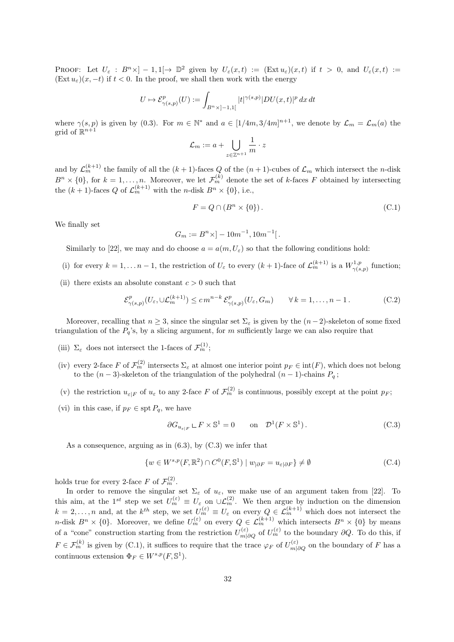PROOF: Let  $U_{\varepsilon}: B^{n}\times ]-1,1[ \to \mathbb{D}^{2}$  given by  $U_{\varepsilon}(x,t) := (\text{Ext } u_{\varepsilon})(x,t)$  if  $t > 0$ , and  $U_{\varepsilon}(x,t) :=$  $(Ext u<sub>\varepsilon</sub>)(x, -t)$  if  $t < 0$ . In the proof, we shall then work with the energy

$$
U\mapsto \mathcal{E}^p_{\gamma(s,p)}(U):=\int_{B^n\times ]-1,1[}|t|^{\gamma(s,p)}|DU(x,t)|^p\,dx\,dt
$$

where  $\gamma(s, p)$  is given by (0.3). For  $m \in \mathbb{N}^*$  and  $a \in [1/4m, 3/4m]^{n+1}$ , we denote by  $\mathcal{L}_m = \mathcal{L}_m(a)$  the grid of  $\mathbb{R}^{n+1}$ 

$$
\mathcal{L}_m := a + \bigcup_{z \in \mathbb{Z}^{n+1}} \frac{1}{m} \cdot z
$$

and by  $\mathcal{L}_m^{(k+1)}$  the family of all the  $(k+1)$ -faces *Q* of the  $(n+1)$ -cubes of  $\mathcal{L}_m$  which intersect the *n*-disk  $B<sup>n</sup> \times \{0\}$ , for  $k = 1, \ldots, n$ . Moreover, we let  $\mathcal{F}_m^{(k)}$  denote the set of *k*-faces *F* obtained by intersecting the  $(k+1)$ -faces Q of  $\mathcal{L}_m^{(k+1)}$  with the *n*-disk  $B^n \times \{0\}$ , i.e.,

$$
F = Q \cap (B^n \times \{0\}).\tag{C.1}
$$

We finally set

$$
G_m := B^n \times ] - 10m^{-1}, 10m^{-1} [.
$$

- Similarly to [22], we may and do choose  $a = a(m, U_{\varepsilon})$  so that the following conditions hold:
- (i) for every  $k = 1, \ldots n-1$ , the restriction of  $U_{\varepsilon}$  to every  $(k+1)$ -face of  $\mathcal{L}_m^{(k+1)}$  is a  $W_{\gamma(s)}^{1,p}$  $\gamma^{1,p}_{(s,p)}$  function;
- (ii) there exists an absolute constant  $c > 0$  such that

$$
\mathcal{E}^p_{\gamma(s,p)}(U_\varepsilon,\cup\mathcal{L}_m^{(k+1)}) \le c m^{n-k} \mathcal{E}^p_{\gamma(s,p)}(U_\varepsilon,G_m) \qquad \forall k=1,\ldots,n-1.
$$
 (C.2)

Moreover, recalling that  $n \geq 3$ , since the singular set  $\Sigma_{\varepsilon}$  is given by the  $(n-2)$ -skeleton of some fixed triangulation of the  $P_q$ 's, by a slicing argument, for *m* sufficiently large we can also require that

- (iii)  $\Sigma_{\varepsilon}$  does not intersect the 1-faces of  $\mathcal{F}_{m}^{(1)}$ ;
- (iv) every 2-face *F* of  $\mathcal{F}_m^{(2)}$  intersects  $\Sigma_{\varepsilon}$  at almost one interior point  $p_F \in \text{int}(F)$ , which does not belong to the  $(n-3)$ -skeleton of the triangulation of the polyhedral  $(n-1)$ -chains  $P_q$ ;
- (v) the restriction  $u_{\varepsilon|F}$  of  $u_{\varepsilon}$  to any 2-face  $F$  of  $\mathcal{F}_m^{(2)}$  is continuous, possibly except at the point  $p_F$ ;
- (vi) in this case, if  $p_F \in \text{spt } P_q$ , we have

$$
\partial G_{u_{\varepsilon|F}} \subset F \times \mathbb{S}^1 = 0 \qquad \text{on} \quad \mathcal{D}^1(F \times \mathbb{S}^1). \tag{C.3}
$$

As a consequence, arguing as in  $(6.3)$ , by  $(C.3)$  we infer that

$$
\{w \in W^{s,p}(F,\mathbb{R}^2) \cap C^0(F,\mathbb{S}^1) \mid w_{|\partial F} = u_{\varepsilon|\partial F}\}\neq \emptyset
$$
\n(C.4)

holds true for every 2-face  $F$  of  $\mathcal{F}_m^{(2)}$ .

In order to remove the singular set  $\Sigma_{\varepsilon}$  of  $u_{\varepsilon}$ , we make use of an argument taken from [22]. To this aim, at the 1<sup>st</sup> step we set  $U_m^{(\varepsilon)} \equiv U_\varepsilon$  on  $\cup \mathcal{L}_m^{(2)}$ . We then argue by induction on the dimension  $k = 2, \ldots, n$  and, at the  $k^{th}$  step, we set  $U_m^{(\varepsilon)} \equiv U_{\varepsilon}$  on every  $Q \in \mathcal{L}_m^{(k+1)}$  which does not intersect the *n*-disk  $B^n \times \{0\}$ . Moreover, we define  $U_m^{(\varepsilon)}$  on every  $Q \in \mathcal{L}_m^{(k+1)}$  which intersects  $B^n \times \{0\}$  by means of a "cone" construction starting from the restriction  $U_{m|\partial Q}^{(\varepsilon)}$  of  $U_{m}^{(\varepsilon)}$  to the boundary  $\partial Q$ . To do this, if  $F \in \mathcal{F}_m^{(k)}$  is given by (C.1), it suffices to require that the trace  $\varphi_F$  of  $U_{m|\partial Q}^{(\varepsilon)}$  on the boundary of *F* has a continuous extension  $\Phi_F \in W^{s,p}(F, \mathbb{S}^1)$ .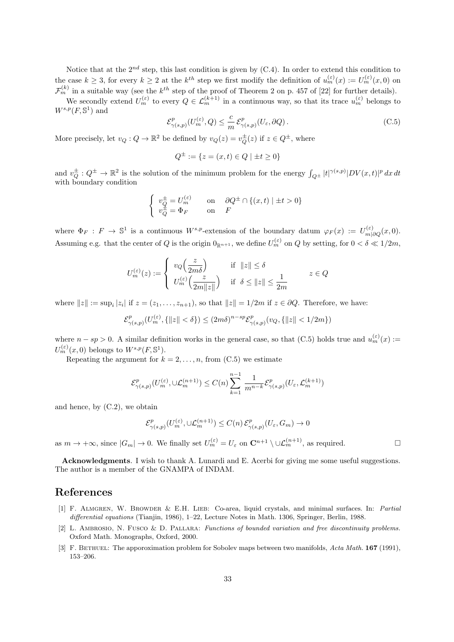Notice that at the  $2^{nd}$  step, this last condition is given by  $(C.4)$ . In order to extend this condition to the case  $k \geq 3$ , for every  $k \geq 2$  at the  $k^{th}$  step we first modify the definition of  $u_m^{(\varepsilon)}(x) := U_m^{(\varepsilon)}(x,0)$  on  $\mathcal{F}_m^{(k)}$  in a suitable way (see the  $k^{th}$  step of the proof of Theorem 2 on p. 457 of [22] for further details).

We secondly extend  $U_m^{(\varepsilon)}$  to every  $Q \in \mathcal{L}_m^{(k+1)}$  in a continuous way, so that its trace  $u_m^{(\varepsilon)}$  belongs to  $W^{s,p}(F,\mathbb{S}^1)$  and

$$
\mathcal{E}^p_{\gamma(s,p)}(U_m^{(\varepsilon)}, Q) \le \frac{c}{m} \mathcal{E}^p_{\gamma(s,p)}(U_{\varepsilon}, \partial Q). \tag{C.5}
$$

More precisely, let  $v_Q: Q \to \mathbb{R}^2$  be defined by  $v_Q(z) = v_Q^{\pm}(z)$  if  $z \in Q^{\pm}$ , where

$$
Q^{\pm} := \{ z = (x, t) \in Q \mid \pm t \ge 0 \}
$$

and  $v_Q^{\pm}$ :  $Q^{\pm} \to \mathbb{R}^2$  is the solution of the minimum problem for the energy  $\int_{Q^{\pm}} |t|^{\gamma(s,p)} |DV(x,t)|^p dx dt$ with boundary condition

$$
\begin{cases}\nv_Q^{\pm} = U_m^{(\varepsilon)} & \text{on} \quad \partial Q^{\pm} \cap \{(x, t) \mid \pm t > 0\} \\
v_Q^{\pm} = \Phi_F & \text{on} \quad F\n\end{cases}
$$

where  $\Phi_F : F \to \mathbb{S}^1$  is a continuous  $W^{s,p}$ -extension of the boundary datum  $\varphi_F(x) := U_{m|\partial Q}^{(\varepsilon)}(x,0)$ . Assuming e.g. that the center of *Q* is the origin  $0_{\mathbb{R}^{n+1}}$ , we define  $U_m^{(\varepsilon)}$  on *Q* by setting, for  $0 < \delta \ll 1/2m$ ,

$$
U_m^{(\varepsilon)}(z) := \begin{cases} v_Q\Big(\frac{z}{2m\delta}\Big) & \text{if } ||z|| \le \delta \\ U_m^{(\varepsilon)}\Big(\frac{z}{2m||z||}\Big) & \text{if } \delta \le ||z|| \le \frac{1}{2m} \end{cases} \qquad z \in Q
$$

where  $||z|| := \sup_i |z_i|$  if  $z = (z_1, \ldots, z_{n+1})$ , so that  $||z|| = 1/2m$  if  $z \in \partial Q$ . Therefore, we have:

$$
\mathcal{E}^p_{\gamma(s,p)}(U_m^{(\varepsilon)}, \{\|z\| < \delta\}) \le (2m\delta)^{n-sp} \mathcal{E}^p_{\gamma(s,p)}(v_Q, \{\|z\| < 1/2m\})
$$

where  $n - sp > 0$ . A similar definition works in the general case, so that (C.5) holds true and  $u_m^{(\varepsilon)}(x) :=$  $U_m^{(\varepsilon)}(x,0)$  belongs to  $W^{s,p}(F,\mathbb{S}^1)$ .

Repeating the argument for  $k = 2, \ldots, n$ , from  $(C.5)$  we estimate

$$
\mathcal{E}^p_{\gamma(s,p)}(U_m^{(\varepsilon)},\cup\mathcal{L}_m^{(n+1)})\leq C(n)\sum_{k=1}^{n-1}\frac{1}{m^{n-k}}\mathcal{E}^p_{\gamma(s,p)}(U_{\varepsilon},\mathcal{L}_m^{(k+1)})
$$

and hence, by  $(C.2)$ , we obtain

$$
\mathcal{E}^p_{\gamma(s,p)}(U_m^{(\varepsilon)}, \cup \mathcal{L}_m^{(n+1)}) \le C(n) \, \mathcal{E}^p_{\gamma(s,p)}(U_\varepsilon, G_m) \to 0
$$

as  $m \to +\infty$ , since  $|G_m| \to 0$ . We finally set  $U_m^{(\varepsilon)} = U_\varepsilon$  on  $\mathbb{C}^{n+1} \setminus \cup \mathcal{L}_m^{(n+1)}$ , as required.

**Acknowledgments**. I wish to thank A. Lunardi and E. Acerbi for giving me some useful suggestions. The author is a member of the GNAMPA of INDAM.

### **References**

- [1] F. Almgren, W. Browder & E.H. Lieb: Co-area, liquid crystals, and minimal surfaces. In: *Partial differential equations* (Tianjin, 1986), 1–22, Lecture Notes in Math. 1306, Springer, Berlin, 1988.
- [2] L. Ambrosio, N. Fusco & D. Pallara: *Functions of bounded variation and free discontinuity problems.* Oxford Math. Monographs, Oxford, 2000.
- [3] F. Bethuel: The apporoximation problem for Sobolev maps between two manifolds, *Acta Math.* **167** (1991), 153–206.